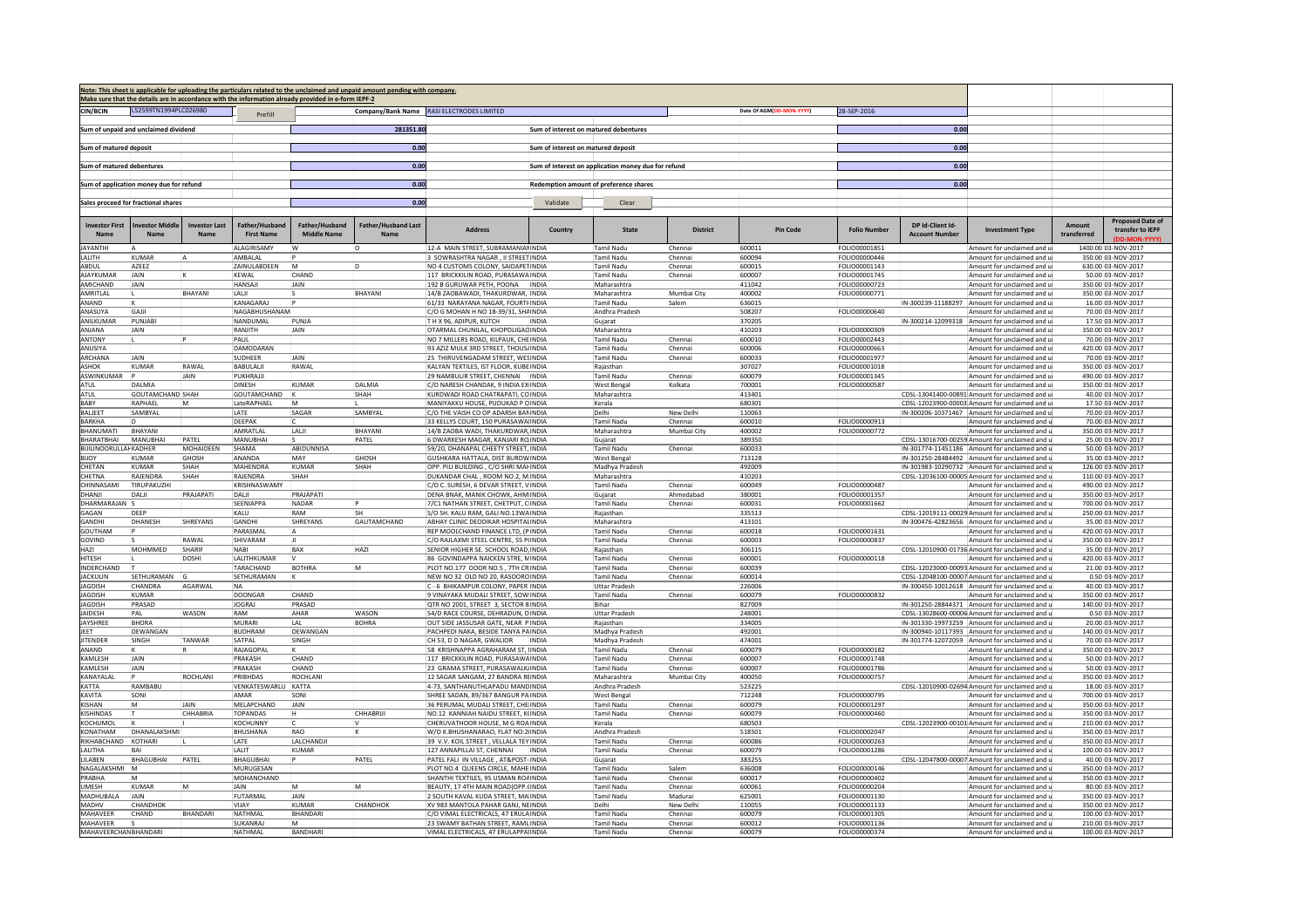|                                      |                                         |                      |                                     |                                                                                                     | Note: This sheet is applicable for uploading the particulars related to the unclaimed and unpaid amount pending with company. |                                                                             |                                    |                                                     |                     |                          |                                       |                                          |                                                                                              |                       |                                                              |
|--------------------------------------|-----------------------------------------|----------------------|-------------------------------------|-----------------------------------------------------------------------------------------------------|-------------------------------------------------------------------------------------------------------------------------------|-----------------------------------------------------------------------------|------------------------------------|-----------------------------------------------------|---------------------|--------------------------|---------------------------------------|------------------------------------------|----------------------------------------------------------------------------------------------|-----------------------|--------------------------------------------------------------|
| <b>CIN/BCIN</b>                      | L52599TN1994PLC026980                   |                      |                                     | Make sure that the details are in accordance with the information already provided in e-form IEPF-2 |                                                                                                                               | Company/Bank Name RASI ELECTRODES LIMITED                                   |                                    |                                                     |                     | Date Of AGM(DD-MON-YYYY) | 28-SEP-2016                           |                                          |                                                                                              |                       |                                                              |
|                                      |                                         |                      | Prefill                             |                                                                                                     |                                                                                                                               |                                                                             |                                    |                                                     |                     |                          |                                       |                                          |                                                                                              |                       |                                                              |
|                                      | Sum of unpaid and unclaimed dividend    |                      |                                     |                                                                                                     | 281351.80                                                                                                                     |                                                                             |                                    | Sum of interest on matured debentures               |                     |                          |                                       | 0.00                                     |                                                                                              |                       |                                                              |
| Sum of matured deposit               |                                         |                      |                                     |                                                                                                     | 0.00                                                                                                                          |                                                                             | Sum of interest on matured deposit |                                                     |                     |                          |                                       | 0.00                                     |                                                                                              |                       |                                                              |
|                                      |                                         |                      |                                     |                                                                                                     |                                                                                                                               |                                                                             |                                    |                                                     |                     |                          |                                       |                                          |                                                                                              |                       |                                                              |
| Sum of matured debentures            |                                         |                      |                                     |                                                                                                     | 0.00                                                                                                                          |                                                                             |                                    | Sum of interest on application money due for refund |                     |                          |                                       | 0.00                                     |                                                                                              |                       |                                                              |
|                                      | Sum of application money due for refund |                      |                                     |                                                                                                     | 0.00                                                                                                                          |                                                                             |                                    | Redemption amount of preference shares              |                     |                          |                                       | 0.00                                     |                                                                                              |                       |                                                              |
|                                      |                                         |                      |                                     |                                                                                                     |                                                                                                                               |                                                                             |                                    |                                                     |                     |                          |                                       |                                          |                                                                                              |                       |                                                              |
|                                      | Sales proceed for fractional shares     |                      |                                     |                                                                                                     | 0.00                                                                                                                          |                                                                             | Validate                           | Clear                                               |                     |                          |                                       |                                          |                                                                                              |                       |                                                              |
| <b>Investor First</b><br>Nam         | nvestor Middle                          | <b>Investor Last</b> | Father/Husband<br><b>First Name</b> | Father/Husband<br><b>Middle Name</b>                                                                | <b>Father/Husband Last</b><br>Nam                                                                                             | <b>Address</b>                                                              | Country                            | <b>State</b>                                        | <b>District</b>     | Pin Code                 | <b>Folio Numbe</b>                    | DP Id-Client Id-<br><b>Account Numbe</b> | <b>Investment Type</b>                                                                       | Amount<br>transferred | <b>Proposed Date of</b><br>transfer to IEPF<br>(DD-MON-YYYY) |
| AYANTHI<br>ALITH                     | <b>KUMAR</b>                            |                      | ALAGIRISAMY<br>AMBALAL              | ۱w                                                                                                  | ı0                                                                                                                            | 2-A MAIN STREET, SUBRAMANIANINDIA<br>3 SOWRASHTRA NAGAR , II STREET INDIA   |                                    | Tamil Nadu<br>Tamil Nadu                            | Chennai<br>Chenna   | 600011<br>600094         | FOLIO00001851<br>FOLIO00000446        |                                          | Amount for unclaimed and u<br>Amount for unclaimed and                                       |                       | 1400.00 03-NOV-2017<br>350.00 03-NOV-2017                    |
| ABDUL                                | AZEEZ                                   |                      | ZAINULABDEEN                        | İм                                                                                                  |                                                                                                                               | NO 4 CUSTOMS COLONY, SAIDAPETINDIA                                          |                                    | <b>Tamil Nadu</b>                                   | Chennai             | 600015                   | FOLIO00001143                         |                                          | Amount for unclaimed and                                                                     |                       | 630.00 03-NOV-2017                                           |
| <b>NAYKUMAR</b>                      | <b>JAIN</b>                             |                      | KEWAL                               | CHAND                                                                                               |                                                                                                                               | 117 BRICKKILIN ROAD, PURASAWAINDIA                                          |                                    | Tamil Nadu                                          | Chennai             | 500007                   | FOLIO00001745                         |                                          | Amount for unclaimed and                                                                     |                       | 50.00 03-NOV-2017                                            |
| AMICHAND<br>AMRITLAL                 | JAIN                                    | <b>BHAYANI</b>       | HANSAJI<br>I ALIL                   | JAIN                                                                                                | <b>BHAYANI</b>                                                                                                                | 192 B GURUWAR PETH, POONA INDIA<br>14/B ZAOBAWADI. THAKURDWAR. INDIA        |                                    | Maharashtra<br>Maharashtra                          | Mumhai City         | 411042<br>100002         | FOLIO00000723<br><b>FOLIO00000771</b> |                                          | Amount for unclaimed and u<br>Amount for unclaimed and                                       |                       | 350.00 03-NOV-2017<br>350.00 03-NOV-2017                     |
| <b>NAND</b>                          |                                         |                      | KANAGARA                            |                                                                                                     |                                                                                                                               | 61/33 NARAYANA NAGAR, FOURTHINDIA                                           |                                    | Tamil Nadu                                          | Salem               | 536015                   |                                       | IN-300239-11188297                       | Amount for unclaimed and                                                                     |                       | 16.00 03-NOV-2017                                            |
| ANASUYA                              | GAIII                                   |                      | <b>NAGABHUSHANAM</b>                |                                                                                                     |                                                                                                                               | C/O G MOHAN H NO 18-39/31, SHAINDIA                                         |                                    | Andhra Pradesh                                      |                     | 508207                   | <b>FOLIO00000640</b>                  |                                          | Amount for unclaimed and                                                                     |                       | 70.00 03-NOV-2017                                            |
| ANILKUMAR                            | PUNJABI                                 |                      | NANDUMAL                            | PUNJA                                                                                               |                                                                                                                               | TH X 96, ADIPUR, KUTCH                                                      | INDIA                              | Guiarat                                             |                     | 370205                   |                                       |                                          | IN-300214-12099318 Amount for unclaimed and                                                  |                       | 17.50 03-NOV-2017                                            |
| ANIANA<br><b>ANTONY</b>              | <b>JAIN</b>                             |                      | RANJITH<br>PAUL                     | JAIN                                                                                                |                                                                                                                               | OTARMAL CHUNILAL, KHOPOLIGACINDIA<br>NO 7 MILLERS ROAD, KILPAUK, CHEINDIA   |                                    | Maharashtra<br>Tamil Nadu                           | Chennai             | 110203<br>600010         | FOLIO00000309<br>FOLIO00002443        |                                          | Amount for unclaimed and<br>Amount for unclaimed and                                         |                       | 350.00 03-NOV-2017<br>70.00 03-NOV-2017                      |
| ANUSIYA                              |                                         |                      | DAMODARAN                           |                                                                                                     |                                                                                                                               | 3 AZIZ MULK 3RD STREET, THOUS INDIA                                         |                                    | Tamil Nadu                                          | Chenna              | 500006                   | FOLIO00000663                         |                                          | Amount for unclaimed and                                                                     |                       | 420.00 03-NOV-2017                                           |
| ARCHANA                              | <b>IAIN</b>                             |                      | SUDHEER                             | <b>IAIN</b>                                                                                         |                                                                                                                               | 25 THIRUVENGADAM STREET, WESINDIA                                           |                                    | Tamil Nadu                                          | Chenna              | 600033                   | FOLIO00001977                         |                                          | Amount for unclaimed and                                                                     |                       | 70.00 03-NOV-2017                                            |
| ASHOK<br>ASWINKUMAR                  | KUMAR                                   | RAWAL<br>JAIN        | BABULALJI<br>PUKHRAJJI              | RAWAL                                                                                               |                                                                                                                               | KALYAN TEXTILES, IST FLOOR, KUBEINDIA<br>29 NAMBULIR STREET, CHENNAI  INDIA |                                    | Raiasthan<br>Tamil Nadu                             | Chenna              | 307027<br>600079         | FOLIO00001018<br>FOLIO00001345        |                                          | Amount for unclaimed and<br>Amount for unclaimed and                                         |                       | 350.00 03-NOV-2017<br>490.00 03-NOV-2017                     |
| ATUL                                 | <b>DAI MIA</b>                          |                      | <b>DINESH</b>                       | KUMAR                                                                                               | DAI MIA                                                                                                                       | C/O NARESH CHANDAK. 9 INDIA EXIINDIA                                        |                                    | West Bengal                                         | Kolkata             | 700001                   | FOLIO00000587                         |                                          | Amount for unclaimed and                                                                     |                       | 350.00 03-NOV-2017                                           |
| ATUL                                 | <b>GOUTAMCHAND SHAH</b>                 |                      | GOUTAMCHAND                         | - IK                                                                                                | SHAH                                                                                                                          | URDWADI ROAD CHATRAPATI, COINDIA                                            |                                    | Maharashtra                                         |                     | 113401                   |                                       |                                          | CDSL-13041400-00891 Amount for unclaimed and u                                               |                       | 40.00 03-NOV-2017                                            |
| BABY<br><b>BALIFFT</b>               | RAPHAFI<br>SAMBYAI                      |                      | LateRAPHAEL<br><b>IATF</b>          | <b>IM</b><br>SAGAE                                                                                  | SAMBYAI                                                                                                                       | MANIYAKKU HOUSE. PUDUKAD P CINDIA<br>C/O THE VAISH CO OP ADARSH BANINDIA    |                                    | Kerala<br>Delhi                                     | <b>New Delhi</b>    | 680301<br>110063         |                                       |                                          | CDSL-12023900-00003 Amount for unclaimed and<br>IN-300206-10371467 Amount for unclaimed and  |                       | 17.50 03-NOV-2017<br>70.00 03-NOV-2017                       |
| <b>BARKHA</b>                        |                                         |                      | <b>DEEPAK</b>                       |                                                                                                     |                                                                                                                               | 33 KELLYS COURT, 150 PURASAWA INDIA                                         |                                    | Tamil Nadu                                          | Chenna              | 600010                   | FOLIO00000913                         |                                          | Amount for unclaimed and                                                                     |                       | 70.00 03-NOV-2017                                            |
| BHANUMATI                            | RHAYANI                                 |                      | <b>AMRATI AI</b>                    | I ALII                                                                                              | <b>BHAYANI</b>                                                                                                                | 14/B ZAOBA WADI. THAKURDWARJINDIA                                           |                                    | Maharashtra                                         | Mumbai City         | 400002                   | FOLIO00000772                         |                                          | Amount for unclaimed and u                                                                   |                       | 350.00 03-NOV-2017                                           |
| <b>HARATBHAI</b>                     | MANUBHAI                                | PATEL                | MANUBHAI                            |                                                                                                     | PATEL                                                                                                                         | DWARKESH MAGAR, KANJARI ROINDIA                                             |                                    | Guiarat                                             |                     | 389350                   |                                       |                                          | CDSL-13016700-00259 Amount for unclaimed and u                                               |                       | 25.00 03-NOV-2017                                            |
| <b>BUILINOORULLAHKADHER</b><br>BIJOY | <b>KUMAR</b>                            | MOHAIDEEN<br>GHOSH   | SHAMA<br>ANANDA                     | ABIDUNNISA<br>MAY                                                                                   | GHOSH                                                                                                                         | 59/20, DHANAPAL CHEETY STREET. INDIA<br>GUSHKARA HATTALA. DIST BURDWINDIA   |                                    | Tamil Nadu<br><b>West Bengal</b>                    | Chenna              | 600033<br>713128         |                                       |                                          | IN-301774-11451186 Amount for unclaimed and<br>IN-301250-28484492 Amount for unclaimed and   |                       | 50.00 03-NOV-2017<br>35.00 03-NOV-2017                       |
| CHETAN                               | KUMAR                                   | SHAH                 | MAHENDRA                            | <b>KUMAR</b>                                                                                        | SHAH                                                                                                                          | OPP. PILI BUILDING, C/O SHRI MAHINDIA                                       |                                    | Madhya Pradesh                                      |                     | 492009                   |                                       |                                          | IN-301983-10290732 Amount for unclaimed and u                                                |                       | 126.00 03-NOV-2017                                           |
| <b>HFTNA</b>                         | RAJENDRA                                | SHAH                 | RAJENDRA                            | SHAH                                                                                                |                                                                                                                               | DUKANDAR CHAL, ROOM NO.2, MINDIA                                            |                                    | Maharashtra                                         |                     | 110203                   |                                       |                                          | CDSL-12036100-00005 Amount for unclaimed and                                                 |                       | 110.00 03-NOV-2017                                           |
| HINNASAMI<br><b>ILIANJI</b>          | TIRUPAKUZHI<br>DALJI                    | PRAJAPATI            | KRISHNASWAMY<br>DALI                | PRAJAPATI                                                                                           |                                                                                                                               | C/O C. SURESH, 6 DEVAR STREET, VINDIA<br>DENA BNAK, MANIK CHOWK, AHM INDIA  |                                    | Tamil Nadu<br>Gujarat                               | Chenna<br>Ahmedabad | 600049<br>380001         | FOLIO00000487<br>FOLIO00001357        |                                          | Amount for unclaimed and<br>Amount for unclaimed and                                         |                       | 490.00 03-NOV-2017<br>350.00 03-NOV-2017                     |
| DHARMARAIAN                          |                                         |                      | SEENIAPPA                           | NADAR                                                                                               |                                                                                                                               | 7/C1 NATHAN STREET, CHETPUT, CINDIA                                         |                                    | <b>Tamil Nadu</b>                                   | Chenna              | 600031                   | FOLIO00001662                         |                                          | Amount for unclaimed and                                                                     |                       | 700.00 03-NOV-2017                                           |
| <b>GAN</b>                           | DEEP                                    |                      | KALU                                | RAM                                                                                                 |                                                                                                                               | S/O SH. KALU RAM. GALI NO.13WAINDIA                                         |                                    | Rajasthan                                           |                     | 335513                   |                                       |                                          | CDSL-12019111-00029 Amount for unclaimed and                                                 |                       | 250.00 03-NOV-2017                                           |
| GANDHI<br>GOUTHAM                    | <b>DHANESH</b>                          | SHREYANS             | GANDHI<br>PARASMAI                  | SHREYANS                                                                                            | <b>GAUTAMCHAND</b>                                                                                                            | ABHAY CLINIC DEODIKAR HOSPITALINDIA<br>REP MOOLCHAND FINANCE LTD. (PINDIA   |                                    | Maharashtra<br>Tamil Nadu                           | Chennai             | 413101<br>600018         | FOLIO00001631                         |                                          | IN-300476-42823656 Amount for unclaimed and<br>Amount for unclaimed and u                    |                       | 35.00 03-NOV-2017<br>420.00 03-NOV-2017                      |
| GOVIND                               |                                         | RAWAL                | SHIVARAM                            | ΙA<br>IJ                                                                                            |                                                                                                                               | C/O RAJLAXMI STEEL CENTRE, 55 PIINDIA                                       |                                    | <b>Tamil Nadu</b>                                   | Chenna              | 600003                   | FOLIO00000837                         |                                          | Amount for unclaimed and i                                                                   |                       | 350.00 03-NOV-2017                                           |
| HAZI                                 | <b>MOHMMED</b>                          | SHARIF               | NABI                                | BAX                                                                                                 | HA7I                                                                                                                          | SENIOR HIGHER SE. SCHOOL ROAD, INDIA                                        |                                    | Raiasthan                                           |                     | 306115                   |                                       |                                          | CDSL-12010900-01736 Amount for unclaimed and u                                               |                       | 35.00 03-NOV-2017                                            |
| HITESH                               |                                         | DOSHI                | LALITHKUMAR                         |                                                                                                     | M                                                                                                                             | 86 GOVINDAPPA NAICKEN STRE, MINDIA                                          |                                    | Tamil Nadu                                          | Chenna              | 600001<br>500039         | FOLIO00000118                         |                                          | Amount for unclaimed and                                                                     |                       | 420.00 03-NOV-2017                                           |
| NDERCHAND<br><b>ACKULIN</b>          | SETHURAMAN                              |                      | TARACHAND<br>SETHURAMAN             | BOTHRA                                                                                              |                                                                                                                               | PLOT NO.177 DOOR NO.5, 7TH CRINDIA<br>NEW NO 32 OLD NO 20, RASOOROINDIA     |                                    | Tamil Nadu<br>Tamil Nadu                            | Chenna<br>Chenna    | 600014                   |                                       |                                          | CDSL-12023000-00093 Amount for unclaimed and<br>CDSL-12048100-00007 Amount for unclaimed and |                       | 21.00 03-NOV-2017<br>0.50 03-NOV-2017                        |
| AGDISH                               | CHANDRA                                 | AGARWAL              | N <sub>A</sub>                      |                                                                                                     |                                                                                                                               | - 6 BHIKAMPUR COLONY, PAPER INDIA                                           |                                    | Uttar Pradesh                                       |                     | 226006                   |                                       |                                          | IN-300450-10012618 Amount for unclaimed and                                                  |                       | 40.00 03-NOV-2017                                            |
| <b>AGDISH</b>                        | KUMAR                                   |                      | <b>DOONGAR</b>                      | CHAND                                                                                               |                                                                                                                               | 9 VINAYAKA MUDALI STREET, SOW INDIA                                         |                                    | <b>Tamil Nadu</b>                                   | Chenna              | 600079                   | <b>FOLIO00000832</b>                  |                                          | Amount for unclaimed and u                                                                   |                       | 350.00 03-NOV-2017                                           |
| <b>AGDISH</b><br><b>AIDESH</b>       | PRASAD<br>PAL                           | WASON                | <b>JOGRAJ</b><br>RAM                | PRASAD<br>AHAR                                                                                      | WASON                                                                                                                         | QTR NO 2001, STREET 3, SECTOR 8 INDIA<br>54/D RACE COURSE, DEHRADUN, DINDIA |                                    | Bihar<br>Uttar Pradesh                              |                     | 827009<br>248001         |                                       |                                          | IN-301250-28844371 Amount for unclaimed and<br>CDSL-13028600-00006 Amount for unclaimed and  |                       | 140.00 03-NOV-2017<br>0.50 03-NOV-2017                       |
| <b>AYSHRFF</b>                       | <b>BHORA</b>                            |                      | MURARI                              | I AI                                                                                                | <b>BOHRA</b>                                                                                                                  | OUT SIDE JASSUSAR GATE, NEAR PINDIA                                         |                                    | Rajasthan                                           |                     | 334005                   |                                       |                                          | IN-301330-19973259 Amount for unclaimed and (                                                |                       | 20.00 03-NOV-2017                                            |
| EET                                  | DEWANGAN                                |                      | <b>BUDHRAM</b>                      | DEWANGAN                                                                                            |                                                                                                                               | PACHPEDI NAKA, BESIDE TANYA PAINDIA                                         |                                    | Madhya Pradesh                                      |                     | 492001                   |                                       |                                          | IN-300940-10117393 Amount for unclaimed and u                                                |                       | 140.00 03-NOV-2017                                           |
| <b>TENDER</b><br><b>ANAND</b>        | SINGH                                   | TANWAR               | SATPAL<br>RAIAGOPAI                 | SINGH                                                                                               |                                                                                                                               | CH 53, D D NAGAR, GWALIOR<br>58 KRISHNAPPA AGRAHARAM ST. INDIA              | <b>INDIA</b>                       | Madhya Pradesh<br>Tamil Nadu                        | Chennai             | 474001<br>600079         | <b>EOLIO00000182</b>                  |                                          | IN-301774-12072059 Amount for unclaimed and<br>Amount for unclaimed and                      |                       | 70.00 03-NOV-2017<br>350.00 03-NOV-2017                      |
| AMLESH                               | JAIN                                    |                      | PRAKASH                             | CHAND                                                                                               |                                                                                                                               | 117 BRICKKILIN ROAD, PURASAWAINDIA                                          |                                    | Tamil Nadu                                          | Chenna              | 600007                   | FOLIO00001748                         |                                          | Amount for unclaimed and                                                                     |                       | 50.00 03-NOV-2017                                            |
| <b>AMI FSH</b>                       | <b>JAIN</b>                             |                      | PRAKASH                             | CHAND                                                                                               |                                                                                                                               | 23 GRAMA STREET, PURASAWALK INDIA                                           |                                    | Tamil Nadu                                          | Chennai             | 600007                   | FOLIO00001786                         |                                          | Amount for unclaimed and                                                                     |                       | 50.00 03-NOV-2017                                            |
| ANAYALAL                             |                                         | ROCHLANI             | PRIBHDAS                            | ROCHLANI                                                                                            |                                                                                                                               | 2 SAGAR SANGAM, 27 BANDRA RUNDIA                                            |                                    | Maharashtra                                         | Mumbai City         | 100050                   | FOLIO00000757                         |                                          | Amount for unclaimed and                                                                     |                       | 350.00 03-NOV-2017                                           |
| <b>ATTA</b><br>KAVITA                | RAMRARII<br>SONI                        |                      | VENKATESWARLU KATTA<br>AMAR         | SON                                                                                                 |                                                                                                                               | 4-73. SANTHANUTHLAPADU MANDINDIA<br>SHREE SADAN, 89/367 BANGUR PAINDIA      |                                    | Andhra Pradesh<br><b>West Bengal</b>                |                     | 523225<br>712248         | FOLIO00000795                         |                                          | CDSL-12010900-02694 Amount for unclaimed and<br>Amount for unclaimed and                     |                       | 18.00 03-NOV-2017<br>700.00 03-NOV-2017                      |
| KISHAN                               |                                         | JAIN                 | MELAPCHAND                          | JAIN                                                                                                |                                                                                                                               | 36 PERUMAL MUDALI STREET, CHE INDIA                                         |                                    | Tamil Nadu                                          | Chenna              | 600079                   | FOLIO00001297                         |                                          | Amount for unclaimed and                                                                     |                       | 350.00 03-NOV-2017                                           |
| KISHINDAS                            |                                         | CHHABRIA             | <b>TOPANDAS</b>                     | iн.                                                                                                 | CHHABRIIL                                                                                                                     | NO.12 KANNIAH NAIDU STREET. KUNDIA                                          |                                    | Tamil Nadu                                          | Chenna              | 600079                   | FOLIO00000460                         |                                          | Amount for unclaimed and u                                                                   |                       | 350.00 03-NOV-2017                                           |
| KOCHUMOL<br><b>ONATHAM</b>           | DHANALAKSHMI                            |                      | KOCHUNNY<br>BHUSHANA                | RAO                                                                                                 |                                                                                                                               | HERUVATHOOR HOUSE, M G ROAINDIA<br>W/O K.BHUSHANARAO, FLAT NO:2 INDIA       |                                    | Kerala<br>Andhra Pradesh                            |                     | 580503<br>518501         | FOLIO00002047                         |                                          | CDSL-12023900-00101 Amount for unclaimed and u<br>Amount for unclaimed and                   |                       | 210.00 03-NOV-2017<br>350.00 03-NOV-2017                     |
| RIKHABCHAND                          | KOTHARI                                 |                      | LATE                                | LALCHANDJI                                                                                          |                                                                                                                               | 39 V.V. KOIL STREET . VELLALA TEYINDIA                                      |                                    | <b>Tamil Nadu</b>                                   | Chenna              | 600086                   | FOLIO00000263                         |                                          | Amount for unclaimed and                                                                     |                       | 350.00 03-NOV-2017                                           |
| ALITHA                               | <b>BA</b>                               |                      | LALIT                               | <b>KUMAR</b>                                                                                        |                                                                                                                               | 127 ANNAPILLAI ST, CHENNAI                                                  | INDIA                              | Tamil Nadu                                          | Chennai             | 600079                   | FOLIO00001286                         |                                          | Amount for unclaimed and                                                                     |                       | 100.00 03-NOV-2017                                           |
| <b>II ABFN</b>                       | BHAGUBHAI                               | PATEL                | <b>BHAGURHAI</b>                    |                                                                                                     | PATEL                                                                                                                         | PATEL FALI IN VILLAGE, AT&POST-INDIA                                        |                                    | Gujarat                                             |                     | 383255                   |                                       |                                          | CDSL-12047800-00007 Amount for unclaimed and                                                 |                       | 40.00 03-NOV-2017                                            |
| <b>JAGALAKSHMI</b><br>PRABHA         | ΙM                                      |                      | MURUGESAN<br>MOHANCHAND             |                                                                                                     |                                                                                                                               | LOT NO.4 QUEENS CIRCLE, MAHE INDIA<br>SHANTHI TEXTILES, 95 USMAN ROAINDIA   |                                    | Tamil Nadu<br>Tamil Nadu                            | Salem<br>Chenna     | 536008<br>600017         | FOLIO00000146<br>FOLIO00000402        |                                          | Amount for unclaimed and<br>Amount for unclaimed and                                         |                       | 350.00 03-NOV-2017<br>350.00 03-NOV-2017                     |
| <b>UMFSH</b>                         | KUMAR                                   | M                    | <b>JAIN</b>                         | <b>IM</b>                                                                                           | <b>M</b>                                                                                                                      | BEAUTY, 17 4TH MAIN ROAD(OPP, INDIA                                         |                                    | <b>Tamil Nadu</b>                                   | Chenna              | 600061                   | FOLIO00000204                         |                                          | Amount for unclaimed and                                                                     |                       | 80.00 03-NOV-2017                                            |
| MADHUBALA                            | JAIN                                    |                      | FUTARMAL                            | JAIN                                                                                                |                                                                                                                               | 2 SOUTH KAVAL KUDA STREET, MAIINDIA                                         |                                    | Tamil Nadu                                          | Madurai             | 625001                   | FOLIO00001130                         |                                          | Amount for unclaimed and                                                                     |                       | 350.00 03-NOV-2017                                           |
| MADHV<br>MAHAVEER                    | CHANDHOK<br>CHAND                       | <b>BHANDARI</b>      | VIIAY<br>NATHMAL                    | KUMAR<br>BHANDARI                                                                                   | CHANDHOK                                                                                                                      | XV 983 MANTOLA PAHAR GANJ, NEINDIA<br>C/O VIMAL ELECTRICALS, 47 ERULAINDIA  |                                    | Delhi<br>Tamil Nadu                                 | New Delhi<br>Chenna | 110055<br>600079         | FOLIO00001133<br>FOLIO00001305        |                                          | Amount for unclaimed and<br>Amount for unclaimed and                                         |                       | 350.00 03-NOV-2017<br>100.00 03-NOV-2017                     |
| MAHAVEER                             |                                         |                      | SUKANRAJ                            |                                                                                                     |                                                                                                                               | 3 SWAMY BATHAN STREET, RAMLINDIA                                            |                                    | Tamil Nadu                                          | Chenna              | 600012                   | FOLIO00001136                         |                                          | Amount for unclaimed and                                                                     |                       | 210.00 03-NOV-2017                                           |
| MAHAVEERCHANBHANDARI                 |                                         |                      | NATHMAL                             | <b>BANDHARI</b>                                                                                     |                                                                                                                               | VIMAL FLECTRICALS, 47 FRULAPPAINDIA                                         |                                    | <b>Tamil Nadu</b>                                   | Chenna              | 600079                   | <b>FOLIO00000374</b>                  |                                          | Amount for unclaimed and u                                                                   |                       | 100.0003-NOV-2017                                            |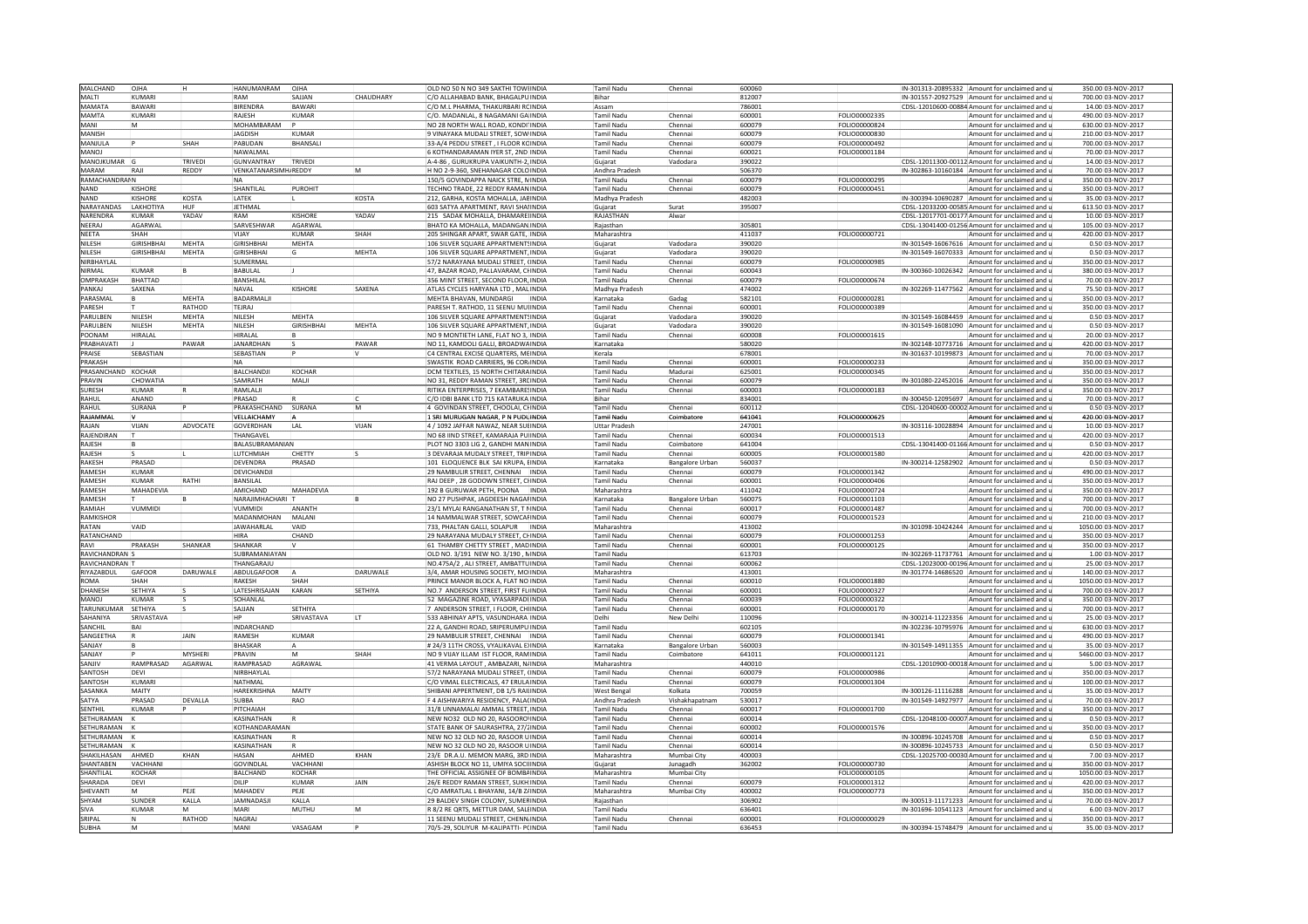| MALCHAND       | OJHA             | ін             | HANUMANRAM           | OJHA              |             | OLD NO 50 N NO 349 SAKTHI TOW INDIA                                        |       | Tamil Nadu                          | Chennai                   | 600060 |                      |                    | IN-301313-20895332 Amount for unclaimed and                               | 350.00 03-NOV-2017  |
|----------------|------------------|----------------|----------------------|-------------------|-------------|----------------------------------------------------------------------------|-------|-------------------------------------|---------------------------|--------|----------------------|--------------------|---------------------------------------------------------------------------|---------------------|
| MALTI          | KUMARI           |                | RAM                  | SAJJAN            | CHAUDHARY   | C/O ALLAHABAD BANK, BHAGALPUINDIA                                          |       | Bihar                               |                           | 812007 |                      |                    | IN-301557-20927529 Amount for unclaimed and                               | 700.00 03-NOV-2017  |
| MAMATA         | BAWARI           |                | <b>BIRENDRA</b>      | <b>BAWAR</b>      |             | O M.L PHARMA, THAKURBARI ROINDIA                                           |       | Assam                               |                           | 786001 |                      |                    | CDSL-12010600-00884 Amount for unclaimed and                              | 14.00 03-NOV-2017   |
| MAMTA          | KUMARI           |                |                      | KUMAR             |             |                                                                            |       | <b>Tamil Nadu</b>                   | Chennai                   | 600001 | FOLIO00002335        |                    |                                                                           | 490.00 03-NOV-2017  |
|                |                  |                | RAJESH               |                   |             | C/O. MADANLAL, 8 NAGAMANI GA INDIA                                         |       |                                     |                           |        |                      |                    | Amount for unclaimed and                                                  |                     |
| MANI           |                  |                | MOHAMBARAM           |                   |             | NO 28 NORTH WALL ROAD, KONDITINDIA                                         |       | <b>Tamil Nadu</b>                   | Chenna                    | 600079 | FOLIO00000824        |                    | Amount for unclaimed and                                                  | 630.00 03-NOV-2017  |
| MANISH         |                  |                | <b>JAGDISH</b>       | KUMAR             |             | 9 VINAYAKA MUDALI STREET. SOW INDIA                                        |       | Tamil Nadu                          | Chennai                   | 600079 | FOLIO00000830        |                    | Amount for unclaimed and                                                  | 210.00 03-NOV-2017  |
| <b>MANIULA</b> |                  | SHAH           | PARUDAN              | <b>BHANSAL</b>    |             | 33-A/4 PEDDU STREET, I FLOOR KOINDIA                                       |       | Tamil Nadu                          | Chennai                   | 600079 | FOLIO00000492        |                    | Amount for unclaimed and <b>i</b>                                         | 700.0003-NOV-2017   |
| <b>LONAM</b>   |                  |                | NAWAI MAI            |                   |             | KOTHANDARAMAN IYER ST, 2ND INDIA                                           |       | Tamil Nadu                          | Chennai                   | 600021 | FOLIO00001184        |                    | Amount for unclaimed and                                                  | 70.00 03-NOV-2017   |
| MANOJKUMAR     |                  | <b>TRIVEDI</b> | <b>GUNVANTRAY</b>    | TRIVED            |             | A-4-86, GURUKRUPA VAIKUNTH-2, INDIA                                        |       | Gujarat                             | Vadodara                  | 390022 |                      |                    | CDSL-12011300-00112 Amount for unclaimed and                              | 14.00 03-NOV-2017   |
| MARAM          | RAJI             | REDDY          | VENKATANARSIMH/REDDY |                   | İм.         | H NO 2-9-360. SNEHANAGAR COLOINDIA                                         |       | Andhra Pradesh                      |                           | 506370 |                      |                    | IN-302863-10160184 Amount for unclaimed and                               | 70.00 03-NOV-2017   |
|                |                  |                |                      |                   |             |                                                                            |       |                                     |                           |        |                      |                    |                                                                           |                     |
| RAMACHANDRAIN  |                  |                | <b>NA</b>            |                   |             | 150/5 GOVINDAPPA NAICK STRE, MINDIA                                        |       | <b>Tamil Nadu</b>                   | Chennai                   | 600079 | FOLIO00000295        |                    | Amount for unclaimed and                                                  | 350.00 03-NOV-2017  |
| <b>NAND</b>    | <b>KISHORE</b>   |                | SHANTILAL            | PUROHIT           |             | TECHNO TRADE, 22 REDDY RAMAN INDIA                                         |       | Tamil Nadu                          | Chenna                    | 600079 | FOLIO00000451        |                    | Amount for unclaimed and                                                  | 350.00 03-NOV-2017  |
| <b>NAND</b>    | <b>ISHORI</b>    | KOSTA          | LATEK                |                   | KOSTA       | 212. GARHA, KOSTA MOHALLA, JAPINDIA                                        |       | Madhya Pradesh                      |                           | 482003 |                      |                    | IN-300394-10690287 Amount for unclaimed and                               | 35.00 03-NOV-2017   |
| NARAYANDAS     | LAKHOTIYA        | HUF            | JETHMAL              |                   |             | 603 SATYA APARTMENT, RAVI SHAIINDIA                                        |       | Gujarat                             | Surat                     | 395007 |                      |                    | CDSL-12033200-00585 Amount for unclaimed and                              | 613.50 03-NOV-2017  |
| NARFNDRA       | KIIMAR           | YADAV          | RAM                  | KISHORE           | YADAV       | 215 SADAK MOHALLA, DHAMAREUNDIA                                            |       | RAJASTHAN                           | Alwar                     |        |                      |                    | CDSL-12017701-00177 Amount for unclaimed and                              | 10.00 03-NOV-2017   |
| NEERAJ         | AGARWAL          |                | SARVESHWAR           | AGARWAI           |             | BHATO KA MOHALLA, MADANGAN INDIA                                           |       | Raiasthan                           |                           | 305801 |                      |                    | CDSL-13041400-01256 Amount for unclaimed and                              | 105.00 03-NOV-2017  |
|                |                  |                |                      |                   |             |                                                                            |       |                                     |                           |        |                      |                    |                                                                           |                     |
| NEETA          | SHAH             |                | VIJAY                | <b>KUMAR</b>      | SHAH        | 205 SHINGAR APART, SWAR GATE, INDIA                                        |       | Maharashtra                         |                           | 411037 | FOLIO00000721        |                    | Amount for unclaimed and                                                  | 420.00 03-NOV-2017  |
| NII FSH        | GIRISHRHAI       | MEHTA          | <b>GIRISHBHAI</b>    | MEHTA             |             | 106 SILVER SQUARE APPARTMENTSINDIA                                         |       | Gujarat                             | Vadodara                  | 390020 |                      |                    | IN-301549-16067616 Amount for unclaimed and                               | 0.50 03-NOV-2017    |
| NILESH         | <b>IRISHBHAI</b> | MEHTA          | <b>GIRISHBHA</b>     |                   | MEHTA       | 06 SILVER SQUARE APPARTMENT, INDIA                                         |       | Gujarat                             | Vadodara                  | 90020  |                      |                    | IN-301549-16070333 Amount for unclaimed and                               | 0.50 03-NOV-2017    |
| NIRBHAYLAL     |                  |                | SUMERMAL             |                   |             | 57/2 NARAYANA MUDALI STREET, (INDIA                                        |       | Tamil Nadu                          | Chenna                    | 600079 | FOLIO00000985        |                    | Amount for unclaimed and                                                  | 350.00 03-NOV-2017  |
| <b>NIRMAL</b>  | KUMAR            |                | <b>BABULAL</b>       |                   |             | 47. BAZAR ROAD, PALLAVARAM, CHINDIA                                        |       | <b>Tamil Nadu</b>                   | Chennai                   | 600043 |                      |                    | IN-300360-10026342 Amount for unclaimed and                               | 380.00 03-NOV-2017  |
| OMPRAKASH      | <b>BHATTAD</b>   |                | BANSHILAI            |                   |             | 356 MINT STREET, SECOND FLOOR INDIA                                        |       | <b>Tamil Nadu</b>                   | Chenna                    | 600079 | FOLIO00000674        |                    | Amount for unclaimed and                                                  | 70.00 03-NOV-2017   |
| PANKAI         |                  |                | NAVAL                | <b>KISHORE</b>    | SAXENA      | ATLAS CYCLES HARYANA LTD, MALINDIA                                         |       | Madhya Pradesh                      |                           | 474002 |                      |                    | IN-302269-11477562 Amount for unclaimed and                               | 75.50 03-NOV-2017   |
| PARASMAI       | SAXENA           |                | <b>BADARMALI</b>     |                   |             |                                                                            |       |                                     |                           | 582101 |                      |                    |                                                                           | 350.00 03-NOV-2017  |
|                |                  | <b>MFHTA</b>   |                      |                   |             | MEHTA BHAVAN. MUNDARGI                                                     | INDIA | Karnataka                           | Gadag                     |        | FOLIO00000281        |                    | Amount for unclaimed and i                                                |                     |
| PARFSH         |                  | RATHOD         | TEJRAJ               |                   |             | PARESH T. RATHOD, 11 SEENU MUINDIA                                         |       | Tamil Nadu                          | Chennai                   | 600001 | FOLIO00000389        |                    | Amount for unclaimed and                                                  | 350.00 03-NOV-2017  |
| PARUI BEN      | NII FSH          | MEHTA          | NILESH               | MFHTA             |             | 106 SILVER SQUARE APPARTMENTSINDIA                                         |       | Gujarat                             | Vadodara                  | 390020 |                      |                    | IN-301549-16084459 Amount for unclaimed and                               | 0.50 03-NOV-2017    |
| PARULBEN       | NILESH           | MEHTA          | NILESH               | <b>GIRISHBHAI</b> | MEHTA       | 106 SILVER SQUARE APPARTMENT, INDIA                                        |       | Guiarat                             | Vadodara                  | 390020 |                      |                    | IN-301549-16081090 Amount for unclaimed and                               | 0.50 03-NOV-2017    |
| POONAM         | HIRALAL          |                | HIRALAL              |                   |             | NO 9 MONTIETH LANE, FLAT NO 3, INDIA                                       |       | <b>Tamil Nadu</b>                   | Chennai                   | 600008 | FOLIO00001615        |                    | Amount for unclaimed and                                                  | 20.00 03-NOV-2017   |
| PRARHAVATI     |                  | PAWAR          | <b>IANARDHAN</b>     |                   | PAWAR       | NO 11, KAMDOLI GALLI, BROADWAINDIA                                         |       | Karnataka                           |                           | 580020 |                      |                    | IN-302148-10773716 Amount for unclaimed and                               | 420.00 03-NOV-2017  |
| PRAISE         | SEBASTIAN        |                | SEBASTIAN            |                   |             | C4 CENTRAL EXCISE QUARTERS, MEINDIA                                        |       | Kerala                              |                           | 578001 |                      | IN-301637-10199873 | Amount for unclaimed and                                                  | 70.00 03-NOV-2017   |
|                |                  |                |                      |                   |             |                                                                            |       |                                     |                           |        |                      |                    |                                                                           |                     |
| PRAKASH        |                  |                | NA                   |                   |             | SWASTIK ROAD CARRIERS, 96 CORINDIA                                         |       | Tamil Nadu                          | Chenna                    | 600001 | FOLIO00000233        |                    | Amount for unclaimed and                                                  | 350.00 03-NOV-2017  |
| PRASANCHAND    | KOCHAR           |                | BALCHANDI            | KOCHAR            |             | DCM TEXTILES, 15 NORTH CHITARAINDIA                                        |       | Tamil Nadu                          | Madurai                   | 625001 | FOLIO00000345        |                    | Amount for unclaimed and i                                                | 350.00 03-NOV-2017  |
| PRAVIN         | CHOWATIA         |                | SAMRATH              | MALI              |             | NO 31, REDDY RAMAN STREET, 3RUNDIA                                         |       | <b>Tamil Nadu</b>                   | Chennai                   | 600079 |                      |                    | IN-301080-22452016 Amount for unclaimed and                               | 350.00 03-NOV-2017  |
| SURESH         | KUMAR            |                | RAMLALII             |                   |             | RITIKA ENTERPRISES, 7 EKAMBARESINDIA                                       |       | Tamil Nadu                          | Chenna                    | 600003 | FOLIO00000183        |                    | Amount for unclaimed and                                                  | 350.00 03-NOV-2017  |
| RAHUL          | ANAND            |                | PRASAD               |                   |             | C/O IDBI BANK LTD 715 KATARUKA INDIA                                       |       | Bihar                               |                           | 834001 |                      |                    | IN-300450-12095697 Amount for unclaimed and r                             | 70.00 03-NOV-2017   |
| RAHUL          | <b>URANA</b>     |                | PRAKASHCHAND         | SURANA            | ١M          | GOVINDAN STREET, CHOOLAI, CHINDIA                                          |       | <b>Tamil Nadu</b>                   | Chennai                   | 600112 |                      |                    | CDSL-12040600-00002 Amount for unclaimed and u                            | 0.50 03-NOV-2017    |
|                |                  |                |                      |                   |             |                                                                            |       |                                     |                           |        |                      |                    |                                                                           |                     |
| RAIAMMAI       |                  |                | VELLAICHAMY          |                   |             | 1 SRI MURUGAN NAGAR, P N PUDUINDIA                                         |       | Tamil Nadu                          | Coimbator                 | 641041 | FOLIO00000625        |                    | Amount for unclaimed and                                                  | 420.00 03-NOV-2017  |
| RAJAN          | VIJAN            | ADVOCATE       | GOVERDHAN            | <b>LAL</b>        | VIJAN       | 4 / 1092 JAFFAR NAWAZ, NEAR SULINDIA                                       |       | <b>Uttar Pradesi</b>                |                           | 247001 |                      |                    | IN-303116-10028894 Amount for unclaimed and                               | 10.00 03-NOV-2017   |
| RAJENDIRAN     |                  |                | THANGAVEL            |                   |             | NO 68 IIND STREET, KAMARAJA PU INDIA                                       |       | <b>Tamil Nadu</b>                   | Chennai                   | 600034 | FOLIO00001513        |                    | Amount for unclaimed and                                                  | 420.00 03-NOV-2017  |
| RAJESH         |                  |                | BALASUBRAMANIAN      |                   |             | PLOT NO 3303 LIG 2, GANDHI MAN INDIA                                       |       | <b>Tamil Nadu</b>                   | Coimbatore                | 641004 |                      |                    | CDSL-13041400-01166 Amount for unclaimed and r                            | 0.50 03-NOV-2017    |
| RAIFSH         |                  |                | <b>I UTCHMIAH</b>    | CHETTY            |             | 3 DEVARAJA MUDAI Y STREET. TRIPINDIA                                       |       | Tamil Nadu                          | Chennai                   | 600005 | <b>FOLIO00001580</b> |                    | Amount for unclaimed and                                                  | 420.0003-NOV-2017   |
| RAKESH         | PRASAD           |                | DEVENDRA             | PRASAD            |             | 101 ELOQUENCE BLK SAI KRUPA, EINDIA                                        |       | Karnataka                           | Bangalore Urban           | 560037 |                      | IN-300214-12582902 | Amount for unclaimed and                                                  | 0.50 03-NOV-2017    |
|                |                  |                |                      |                   |             |                                                                            |       |                                     |                           |        |                      |                    |                                                                           |                     |
|                |                  |                |                      |                   |             |                                                                            |       |                                     |                           |        |                      |                    |                                                                           |                     |
| RAMFSH         | KLIMAR           |                | DEVICHANDJI          |                   |             | 29 NAMBULIR STREET, CHENNAI  INDIA                                         |       | Tamil Nadu                          | Chenna                    | 600079 | FOLIO00001342        |                    | Amount for unclaimed and                                                  | 490.00 03-NOV-2017  |
| RAMESH         | KUMAR            | RATHI          | BANSILAL             |                   |             | RAJ DEEP. 28 GODOWN STREET. CHINDIA                                        |       | <b>Tamil Nadu</b>                   | Chennai                   | 600001 | FOLIO00000406        |                    | Amount for unclaimed and                                                  | 350.00 03-NOV-2017  |
| RAMESH         | MAHADEVIA        |                | AMICHAND             | MAHADEVIA         |             | 192 B GURUWAR PETH, POONA  INDIA                                           |       | Maharashtra                         |                           | 411042 | FOLIO00000724        |                    | Amount for unclaimed and                                                  | 350.00 03-NOV-2017  |
| <b>RAMESH</b>  |                  |                | NARAJIMHACHARI T     |                   |             | NO 27 PUSHPAK, JAGDEESH NAGAHINDIA                                         |       | Karnataka                           |                           | 560075 | FOLIO00001103        |                    | Amount for unclaimed and a                                                | 700.00 03-NOV-2017  |
|                |                  |                |                      |                   |             |                                                                            |       |                                     | Bangalore Urban           |        |                      |                    |                                                                           |                     |
| RAMIAH         | VUMMIDI          |                | VUMMIDI              | ANANTH            |             | 23/1 MYLAI RANGANATHAN ST. T NINDIA                                        |       | <b>Tamil Nadu</b>                   | Chennai                   | 600017 | FOLIO00001487        |                    | Amount for unclaimed and                                                  | 700.00 03-NOV-2017  |
| RAMKISHOF      |                  |                | MADANMOHAN           | MALANI            |             | 14 NAMMALWAR STREET, SOWCARINDIA                                           |       | Tamil Nadu                          | Chenna                    | 600079 | FOLIO00001523        |                    | Amount for unclaimed and                                                  | 210.00 03-NOV-2017  |
| RATAN          | <b>CIAV</b>      |                | <b>JAWAHARI AI</b>   | VAID              |             | 733, PHALTAN GALLI, SOLAPUR   INDIA                                        |       | Maharashtra                         |                           | 413002 |                      |                    | IN-301098-10424244 Amount for unclaimed and u                             | 1050.00 03-NOV-2017 |
| RATANCHAND     |                  |                | HIRA                 | CHAND             |             | 29 NARAYANA MUDALY STREET, CHINDIA                                         |       | <b>Tamil Nadu</b>                   | Chennai                   | 600079 | FOLIO00001253        |                    | Amount for unclaimed and                                                  | 350.00 03-NOV-2017  |
| RAVI           | PRAKASH          | <b>SHANKAR</b> | SHANKAR              |                   |             | 61 THAMBY CHETTY STREET, MADINDIA                                          |       | <b>Tamil Nadu</b>                   | Chennai                   | 600001 | FOLIO00000125        |                    | Amount for unclaimed and u                                                | 350.00 03-NOV-2017  |
| RAVICHANDRAN   |                  |                | SUBRAMANIAYAN        |                   |             | OLD NO. 3/191 NEW NO. 3/190, NINDIA                                        |       | <b>Tamil Nadu</b>                   |                           | 613703 |                      |                    | IN-302269-11737761 Amount for unclaimed and                               | 1.00 03-NOV-2017    |
| RAVICHANDRAN   |                  |                | THANGARAJL           |                   |             | NO.475A/2, ALI STREET, AMBATTUINDIA                                        |       | Tamil Nadu                          | Chennai                   | 600062 |                      |                    | CDSL-12023000-00196 Amount for unclaimed and                              | 25.00 03-NOV-2017   |
| RIYAZABDUL     | GAFOOR           | DARUWALE       | ABDULGAFOOR          |                   | DARUWALE    | 3/4. AMAR HOUSING SOCIETY, MOINDIA                                         |       | Maharashtra                         |                           | 413001 |                      |                    | IN-301774-14686520 Amount for unclaimed and                               | 140.00 03-NOV-2017  |
|                | SHAH             |                |                      | SHAH              |             |                                                                            |       |                                     |                           |        |                      |                    |                                                                           |                     |
| <b>ROMA</b>    |                  |                | RAKESH               |                   |             | PRINCE MANOR BLOCK A, FLAT NO INDIA                                        |       | <b>Tamil Nadu</b>                   | Chenna                    | 600010 | FOLIO00001880        |                    | Amount for unclaimed and                                                  | 1050.00 03-NOV-2017 |
| <b>DHANESH</b> | SETHIYA          |                | LATESHRISAJAN        | KARAN             | SETHIYA     | NO.7 ANDERSON STREET, FIRST FLUNDIA                                        |       | <b>Tamil Nadu</b>                   | Chenna                    | 600001 | FOLIO00000327        |                    | Amount for unclaimed and                                                  | 700.00 03-NOV-2017  |
| MANOL          | KUMAR            |                | <b>SOHANI AI</b>     |                   |             | 52 MAGAZINE ROAD, VYASARPADIINDIA                                          |       | Tamil Nadu                          | Chennai                   | 600039 | FOLIO00000322        |                    | Amount for unclaimed and <b>i</b>                                         | 350.00 03-NOV-2017  |
| TARUNKUMAR     | SETHIYA          |                | SAJJAN               | SFTHIYA           |             | ANDERSON STREET, I FLOOR, CHIINDIA                                         |       | Tamil Nadu                          | Chennai                   | 600001 | FOLIO00000170        |                    | Amount for unclaimed and                                                  | 700.00 03-NOV-2017  |
| SAHANIYA       | RIVASTAVA        |                | HP                   | <b>SRIVASTAVA</b> | lт          | 533 ABHINAY APTS, VASUNDHARA INDIA                                         |       | Delhi                               | New Delh                  | 110096 |                      |                    | IN-300214-11223356 Amount for unclaimed and                               | 25.00 03-NOV-2017   |
| SANCHIL        | <b>DAI</b>       |                | INDARCHAND           |                   |             | 22 A, GANDHI ROAD, SRIPERUMPU INDIA                                        |       | <b>Tamil Nadu</b>                   |                           | 602105 |                      |                    | IN-302236-10795976 Amount for unclaimed and                               | 630.00 03-NOV-2017  |
| SANGEETHA      |                  | JAIN           | RAMESH               | KUMAR             |             | 29 NAMBULIR STREET, CHENNAI  INDIA                                         |       | Tamil Nadu                          | Chennai                   | 600079 | FOLIO00001341        |                    | Amount for unclaimed and                                                  | 490.00 03-NOV-2017  |
|                |                  |                |                      |                   |             |                                                                            |       |                                     |                           |        |                      |                    |                                                                           |                     |
| SANJAY         |                  |                | BHASKAR              |                   |             | # 24/3 11TH CROSS, VYALIKAVAL EXINDIA                                      |       | Karnataka                           | Bangalore Urban           | 560003 |                      |                    | IN-301549-14911355 Amount for unclaimed and r                             | 35.00 03-NOV-2017   |
| SANIAY         |                  | <b>MYSHERI</b> | PRAVIN               |                   | SHAH        | NO 9 VIJAY ILLAM IST FLOOR, RAMINDIA                                       |       | <b>Tamil Nadu</b>                   | Coimbatore                | 641011 | FOLIO00001121        |                    | Amount for unclaimed and                                                  | 5460.00 03-NOV-2017 |
| SANJIV         | RAMPRASAD        | AGARWAL        | RAMPRASAD            | AGRAWAI           |             | 41 VERMA LAYOUT, AMBAZARI, N/INDIA                                         |       | Maharashtra                         |                           | 440010 |                      |                    | CDSL-12010900-00018 Amount for unclaimed and                              | 5.00 03-NOV-2017    |
| SANTOSH        | DFVI             |                | NIRBHAYLAL           |                   |             | 57/2 NARAYANA MUDALI STREET, (INDIA                                        |       | Tamil Nadu                          | Chenna                    | 600079 | FOLIO00000986        |                    | Amount for unclaimed and                                                  | 350.00 03-NOV-2017  |
| SANTOSH        | KUMARI           |                | NATHMAL              |                   |             | C/O VIMAL ELECTRICALS, 47 FRUI AINDIA                                      |       | Tamil Nadu                          | Chenna                    | 600079 | FOLIO00001304        |                    | Amount for unclaimed and                                                  | 100.00 03-NOV-2017  |
| SASANKA        | MAITY            |                | HAREKRISHNA          | MAITY             |             | SHIBANI APPERTMENT, DB 1/5 RAILINDIA                                       |       | West Bengal                         | Kolkata                   | 700059 |                      |                    | IN-300126-11116288 Amount for unclaimed and (                             | 35.00 03-NOV-2017   |
| SATYA          | PRASAD           | DEVALLA        | SUBBA                | <b>RAO</b>        |             |                                                                            |       |                                     |                           | 530017 |                      |                    |                                                                           | 70.00 03-NOV-2017   |
| SENTHIL        | <b>UMAR</b>      |                | PITCHAIAH            |                   |             | F 4 AISHWARIYA RESIDENCY, PALA INDIA<br>31/8 UNNAMALAI AMMAL STREET. INDIA |       | Andhra Pradesh<br><b>Tamil Nadu</b> | Vishakhapatnam<br>Chennai | 600017 |                      |                    | IN-301549-14927977 Amount for unclaimed and u<br>Amount for unclaimed and | 350.00 03-NOV-2017  |
|                |                  |                |                      |                   |             |                                                                            |       |                                     |                           |        | FOLIO00001700        |                    |                                                                           |                     |
| SETHURAMAN     |                  |                | KASINATHAN           |                   |             | NEW NO32 OLD NO 20, RASOORO INDIA                                          |       | Tamil Nadu                          | Chenna                    | 600014 |                      |                    | CDSL-12048100-00007 Amount for unclaimed and                              | 0.50 03-NOV-2017    |
| SETHURAMAN     |                  |                | KOTHANDARAMAN        |                   |             | STATE BANK OF SAURASHTRA, 27/2INDIA                                        |       | Tamil Nadu                          | Chenna                    | 600002 | FOLIO00001576        |                    | Amount for unclaimed and                                                  | 350.00 03-NOV-2017  |
| SETHURAMAN     |                  |                | KASINATHAN           |                   |             | NEW NO 32 OLD NO 20. RASOOR UINDIA                                         |       | <b>Tamil Nadu</b>                   | Chenna                    | 600014 |                      |                    | IN-300896-10245708 Amount for unclaimed and                               | 0.50 03-NOV-2017    |
| SETHURAMAN     |                  |                | KASINATHAN           |                   |             | NEW NO 32 OLD NO 20, RASOOR UINDIA                                         |       | Tamil Nadu                          | Chenna                    | 600014 |                      |                    | IN-300896-10245733 Amount for unclaimed and                               | 0.50 03-NOV-2017    |
| SHAKII HASAN   | <b>AHMED</b>     | KHAN           | HASAN                | AHMED             | KHAN        | 23/E DR.A.U. MEMON MARG. 3RD INDIA                                         |       | Maharashtra                         | Mumbai City               | 400003 |                      |                    | CDSL-12025700-00030 Amount for unclaimed and r                            | 7.00 03-NOV-2017    |
| SHANTARFN      | /ACHHANI         |                | <b>GOVINDLAI</b>     | VACHHANI          |             | ASHISH BLOCK NO 11. UMIYA SOCIİINDIA                                       |       | Guiarat                             | Junagadh                  |        | FOLIO00000730        |                    | Amount for unclaimed and                                                  |                     |
|                |                  |                |                      |                   |             |                                                                            |       |                                     |                           | 362002 |                      |                    |                                                                           | 350.00 03-NOV-2017  |
| SHANTILAI      | KOCHAR           |                | BALCHAND             | KOCHAR            |             | THE OFFICIAL ASSIGNEE OF BOMBAINDIA                                        |       | Maharashtra                         | Mumbai City               |        | FOLIO00000105        |                    | Amount for unclaimed and                                                  | 1050.00 03-NOV-2017 |
| SHARADA        | DFVI             |                | <b>OILIP</b>         | KUMAR             | <b>IAIN</b> | 26/F REDDY RAMAN STREET. SUKHINDIA                                         |       | <b>Tamil Nadu</b>                   | Chennai                   | 600079 | FOLIO00001312        |                    | Amount for unclaimed and                                                  | 420.0003-NOV-2017   |
| SHEVANT        |                  | PEJE           | MAHADEV              | PEJE              |             | C/O AMRATLAL L BHAYANI, 14/B ZAINDIA                                       |       | Maharashtra                         | Mumbai City               | 400002 | FOLIO00000773        |                    | Amount for unclaimed and                                                  | 350.00 03-NOV-2017  |
| SHYAM          | SUNDER           | KALLA          | <b>JAMNADASJ</b>     | KALLA             |             | 29 BALDEV SINGH COLONY, SUMERINDIA                                         |       | Rajasthan                           |                           | 306902 |                      |                    | IN-300513-11171233 Amount for unclaimed and                               | 70.00 03-NOV-2017   |
| SIVA           | KUMAR            | м              | MARI                 | <b>MUTHU</b>      | İм          | <b>8/2 RE QRTS, METTUR DAM, SALIINDIA</b>                                  |       | <b>Tamil Nadu</b>                   |                           | 636401 |                      |                    | IN-301696-10541123 Amount for unclaimed and (                             | 6.00 03-NOV-2017    |
| SRIPAL         |                  | RATHOD         | NAGRAJ               |                   |             | 11 SEENU MUDALI STREET. CHENNINDIA                                         |       | Tamil Nadu                          | Chennai                   | 600001 | FOLIO00000029        |                    | Amount for unclaimed and                                                  | 350.00 03-NOV-2017  |
| SUBHA          | м                |                | MANI                 | VASAGAM           |             | 70/5-29, SOLIYUR M-KALIPATTI- POINDIA                                      |       | <b>Tamil Nadu</b>                   |                           | 36453  |                      |                    | IN-300394-15748479 Amount for unclaimed and u                             | 35.00 03-NOV-2017   |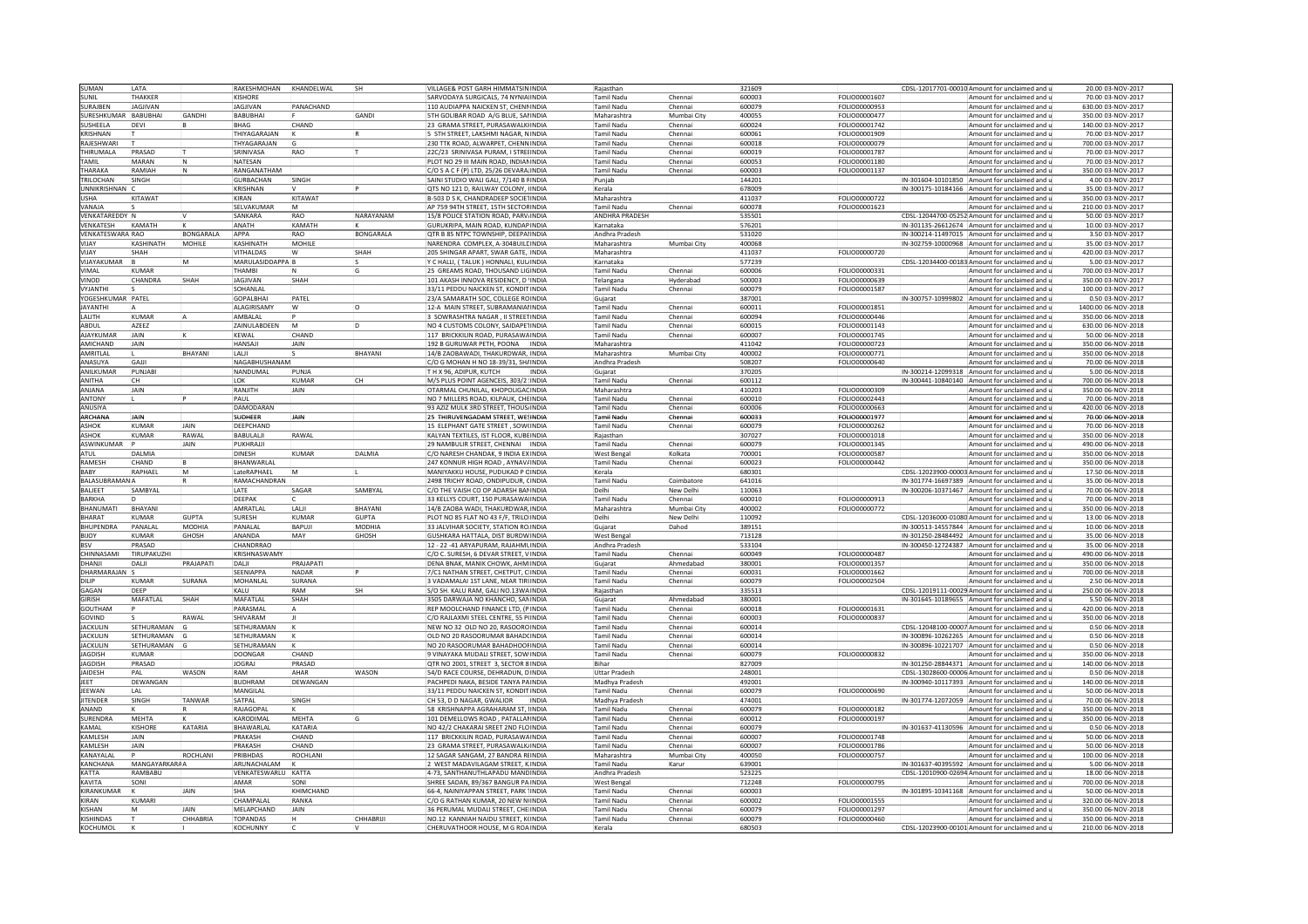| SUMAN                             | LATA                      |                  | RAKESHMOHAN KHANDELWAL      |              | <b>SH</b>     | VILLAGE& POST GARH HIMMATSIN INDIA                                      |              | Rajasthan                       |             | 321609            |                      | CDSL-12017701-00010 Amount for unclaimed and                               | 20.00 03-NOV-2017                        |
|-----------------------------------|---------------------------|------------------|-----------------------------|--------------|---------------|-------------------------------------------------------------------------|--------------|---------------------------------|-------------|-------------------|----------------------|----------------------------------------------------------------------------|------------------------------------------|
| SUNIL                             | <b>HAKKFR</b>             |                  | <b>KISHORE</b>              |              |               | SARVODAYA SURGICALS. 74 NYNIA INDIA                                     |              | <b>Tamil Nadu</b>               | Chennai     | 600003            | FOLIO00001607        | Amount for unclaimed and                                                   | 70.00 03-NOV-2017                        |
| SURAJBEN                          | <b>JAGJIVAN</b>           |                  | <b>JAGJIVAN</b>             | PANACHAND    |               | 10 AUDIAPPA NAICKEN ST. CHENNINDIA                                      |              | <b>Tamil Nadu</b>               | Chennai     | 600079            | FOLIO00000953        | Amount for unclaimed and                                                   | 630.00 03-NOV-2017                       |
| SURFSHKUMAR                       | RABURHAL                  | GANDHI           | BABUBHAI                    |              | GANDI         | <b>5TH GOLIBAR ROAD A/G BLUE, SAMINDIA</b>                              |              | Maharashtra                     | Mumbai City | 400055            | FOLIO00000477        | Amount for unclaimed and a                                                 | 350.00 03-NOV-2017                       |
| <b>SUSHEELA</b>                   |                           |                  | <b>BHAG</b>                 | CHAND        |               | 23 GRAMA STREET, PURASAWALKIINDIA                                       |              |                                 | Chenna      | 600024            | FOLIO00001742        |                                                                            | 140.00 03-NOV-2017                       |
|                                   | DEVI                      |                  |                             |              |               |                                                                         |              | <b>Tamil Nadu</b>               |             |                   |                      | Amount for unclaimed and                                                   |                                          |
| KRISHNAN                          |                           |                  | THIYAGARAJAN                |              |               | 5 STH STREET, LAKSHMI NAGAR, NINDIA                                     |              | Tamil Nadu                      | Chennai     | 600061            | FOLIO00001909        | Amount for unclaimed and                                                   | 70.00 03-NOV-2017                        |
| RAIFSHWARI                        |                           |                  | THYAGARAIAN                 |              |               | 230 TTK ROAD, ALWARPET, CHENNINDIA                                      |              | Tamil Nadu                      | Chennai     | 600018            | FOLIO00000079        | Amount for unclaimed and i                                                 | 700.0003-NOV-2017                        |
| THIRUMALA                         | PRASAD                    |                  | SRINIVASA                   | RAO          |               | 22C/23 SRINIVASA PURAM, I STREINDIA                                     |              | Tamil Nadu                      | Chennai     | 600019            | FOLIO00001787        | Amount for unclaimed and                                                   | 70.00 03-NOV-2017                        |
| TAMIL                             | MARAN                     |                  | NATESAN                     |              |               | PLOT NO 29 III MAIN ROAD, INDIANINDIA                                   |              | Tamil Nadu                      | Chenna      | 600053            | FOLIO00001180        | Amount for unclaimed and                                                   | 70.00 03-NOV-2017                        |
| THARAKA                           | RAMIAH                    | İN.              | RANGANATHAM                 |              |               | C/O S A C F (P) LTD, 25/26 DEVARA INDIA                                 |              | <b>Tamil Nadu</b>               | Chennai     | 600003            | FOLIO00001137        | Amount for unclaimed and                                                   | 350.00 03-NOV-2017                       |
| TRILOCHAN                         | SINGH                     |                  | <b>GURBACHAN</b>            | SINGH        |               | SAINI STUDIO WALI GALI, 7/140 B RINDIA                                  |              | Punjab                          |             | 144201            |                      | IN-301604-10101850 Amount for unclaimed and                                | 4.00 03-NOV-2017                         |
| UNNIKRISHNAN                      |                           |                  | KRISHNAN                    |              |               | QTS NO 121 D, RAILWAY COLONY, INDIA                                     |              | Kerala                          |             | 678009            |                      | IN-300175-10184166 Amount for unclaimed and                                | 35.00 03-NOV-2017                        |
| <b>USHA</b>                       | KITAWAT                   |                  | KIRAN                       | KITAWAT      |               | B-503 D S K, CHANDRADEEP SOCIETINDIA                                    |              | Maharashtra                     |             | 411037            | FOLIO00000722        | Amount for unclaimed and                                                   | 350.00 03-NOV-2017                       |
| VANAJA                            |                           |                  | SELVAKUMAR                  |              |               | P 759 94TH STREET. 15TH SECTORINDIA                                     |              | Tamil Nadu                      | Chennai     | 600078            | FOLIO00001623        | Amount for unclaimed and                                                   | 210.00 03-NOV-2017                       |
| <b>VENKATAREDDY</b>               |                           |                  | <b>SANKARA</b>              | RAO          | NARAYANAM     | 15/8 POLICE STATION ROAD, PARVINDIA                                     |              | <b>ANDHRA PRADESH</b>           |             | 535501            |                      | CDSL-12044700-05252 Amount for unclaimed and                               | 50.00 03-NOV-2017                        |
| VENKATESH                         | KAMATH                    |                  | ANATH                       | KAMATH       |               | GURUKRIPA, MAIN ROAD, KUNDAPINDIA                                       |              | Karnataka                       |             | 576201            |                      | IN-301135-26612674 Amount for unclaimed and                                | 10.00 03-NOV-2017                        |
|                                   |                           |                  |                             |              |               |                                                                         |              |                                 |             |                   |                      |                                                                            |                                          |
| VENKATESWARA RAO                  |                           | <b>BONGARALA</b> | APPA                        | RAO          | BONGARALA     | QTR B 85 NTPC TOWNSHIP, DEEPAINDIA                                      |              | Andhra Pradesh                  |             | 531020            |                      | IN-300214-11497015 Amount for unclaimed and u                              | 3.50 03-NOV-2017                         |
| VIIAY                             | KASHINATH                 | MOHILE           | KASHINATH                   | MOHILE       |               | NARENDRA COMPLEX, A-304BUILDINDIA                                       |              | Maharashtra                     | Mumbai City | 400068            |                      | IN-302759-10000968 Amount for unclaimed and                                | 35.00 03-NOV-2017                        |
| VIJAY                             | HAH                       |                  | VITHALDAS                   |              | SHAH          | 205 SHINGAR APART, SWAR GATE, INDIA                                     |              | Maharashtra                     |             | 111037            | FOLIO00000720        | Amount for unclaimed and                                                   | 420.00 03-NOV-2017                       |
| VIJAYAKUMAR                       |                           |                  | MARULASIDDAPPA B            |              |               | Y C HALLI, (TALUK) HONNALI, KULINDIA                                    |              | Karnataka                       |             | 577239            |                      | CDSL-12034400-00183 Amount for unclaimed and                               | 5.00 03-NOV-2017                         |
| VIMAI                             | KUMAR                     |                  | THAMBI                      |              | lG            | 25 GREAMS ROAD, THOUSAND LIGINDIA                                       |              | <b>Tamil Nadu</b>               | Chennai     | 600006            | FOLIO00000331        | Amount for unclaimed and i                                                 | 700.00 03-NOV-2017                       |
| VINOD                             | CHANDRA                   | SHAH             | <b>JAGJIVAN</b>             | SHAH         |               | 101 AKASH INNOVA RESIDENCY, D INDIA                                     |              | Telangana                       | Hyderabad   | 500003            | FOLIO00000639        | Amount for unclaimed and                                                   | 350.00 03-NOV-2017                       |
| <b>VYJANTHI</b>                   |                           |                  | SOHANLAL                    |              |               | 33/11 PEDDU NAICKEN ST, KONDITINDIA                                     |              | Tamil Nadu                      | Chennai     | 600079            | FOLIO00001587        | Amount for unclaimed and                                                   | 100.00 03-NOV-2017                       |
| YOGESHKUMAR PATEL                 |                           |                  | <b>GOPALBHAI</b>            | PATFI        |               | 23/A SAMARATH SOC, COLLEGE ROINDIA                                      |              | Gujarat                         |             | 387001            |                      | IN-300757-10999802 Amount for unclaimed and (                              | 0.50 03-NOV-2017                         |
| <b>JAYANTH</b>                    |                           |                  | <b>ALAGIRISAMY</b>          |              |               | 12-A MAIN STREET, SUBRAMANIA INDIA                                      |              | <b>Tamil Nadu</b>               | Chennai     | 600011            | FOLIO00001851        | Amount for unclaimed and                                                   | 1400.00 06-NOV-2018                      |
| <b>ALITH</b>                      | KIIMAR                    |                  | ΔΜΡΔΙΔΙ                     |              |               | 3 SOWRASHTRA NAGAR, II STREETINDIA                                      |              | Tamil Nadu                      | Chenna      | 600094            | FOLIO00000446        | Amount for unclaimed and                                                   | 350.00 06-NOV-2018                       |
| ABDUL                             | AZEEZ                     |                  | ZAINULABDEEN                | <b>M</b>     | ln.           | NO 4 CUSTOMS COLONY, SAIDAPE INDIA                                      |              | <b>Tamil Nadu</b>               | Chenna      | 600015            | FOLIO00001143        | Amount for unclaimed and                                                   | 630.00 06-NOV-2018                       |
| <b>AJAYKUMAR</b>                  | JAIN                      |                  | KEWAL                       | CHAND        |               |                                                                         |              | <b>Tamil Nadu</b>               |             | 600007            |                      |                                                                            |                                          |
|                                   |                           |                  |                             |              |               | 117 BRICKKILIN ROAD, PURASAWA INDIA                                     |              |                                 | Chennai     |                   | FOLIO00001745        | Amount for unclaimed and                                                   | 50.00 06-NOV-2018                        |
| AMICHAND                          | <b>JAIN</b>               |                  | <b>HANSAJI</b>              | JAIN         |               | 192 B GURUWAR PETH, POONA INDIA                                         |              | Maharashtra                     |             | 411042            | FOLIO00000723        | Amount for unclaimed and                                                   | 350.00 06-NOV-2018                       |
| AMRITLAL                          |                           | BHAYANI          | LALJI                       |              | BHAYANI       | 14/B ZAOBAWADI, THAKURDWAR, INDIA                                       |              | Maharashtra                     | Mumbai City | 400002            | FOLIO00000771        | Amount for unclaimed and                                                   | 350.00 06-NOV-2018                       |
| ANASUYA                           | GAJJI                     |                  | NAGABHUSHANAM               |              |               | C/O G MOHAN H NO 18-39/31. SHAINDIA                                     |              | Andhra Pradesh                  |             | 508207            | FOLIO00000640        | Amount for unclaimed and                                                   | 70.00 06-NOV-2018                        |
| <b>ANII KUMAR</b>                 | PUNJABI                   |                  | NANDUMAL                    | PUNIA        |               | T H X 96, ADIPUR, KUTCH                                                 | INDIA        | Guiarat                         |             | 370205            |                      | IN-300214-12099318 Amount for unclaimed and u                              | 5.00 06-NOV-2018                         |
| ANITHA                            |                           |                  | LOK                         | KUMAR        | CH            | M/S PLUS POINT AGENCEIS, 303/2 INDIA                                    |              | <b>Tamil Nadu</b>               | Chennai     | 600112            |                      | IN-300441-10840140 Amount for unclaimed and                                | 700.00 06-NOV-2018                       |
| ANJANA                            | JAIN                      |                  | RANJITH                     | JAIN         |               | OTARMAL CHUNILAL, KHOPOLIGACINDIA                                       |              | Maharashtra                     |             | 410203            | FOLIO00000309        | Amount for unclaimed and                                                   | 350.00 06-NOV-2018                       |
| <b>ANTONY</b>                     |                           |                  | PAUL                        |              |               | NO 7 MILLERS ROAD, KILPAUK, CHEINDIA                                    |              | Tamil Nadu                      | Chennai     | 600010            | FOLIO00002443        | Amount for unclaimed and                                                   | 70.00 06-NOV-2018                        |
| ANUSIYA                           |                           |                  | DAMODARAN                   |              |               | 33 AZIZ MULK 3RD STREET, THOUS INDIA                                    |              | Tamil Nadu                      | Chennai     | 600006            | FOLIO00000663        | Amount for unclaimed and                                                   | 420.00 06-NOV-2018                       |
| <b>ARCHANA</b>                    | <b>IAIN</b>               |                  | SUDHEER                     | <b>JAIN</b>  |               | 25 THIRUVENGADAM STREET, WESINDIA                                       |              | Tamil Nadu                      | Chenna      | 600033            | FOLIO00001977        | Amount for unclaimed and                                                   | 70.00 06-NOV-2018                        |
| <b>ASHOK</b>                      | KUMAR                     | <b>JAIN</b>      | DEEPCHAND                   |              |               | 15 ELEPHANT GATE STREET, SOW(INDIA                                      |              | <b>Tamil Nadu</b>               | Chenna      | 600079            | FOLIO00000262        | Amount for unclaimed and                                                   | 70.00 06-NOV-2018                        |
| ASHOK                             | KUMAR                     | RAWA             | BABULALI                    | RAWAL        |               | KALYAN TEXTILES, IST FLOOR, KUBEINDIA                                   |              | Raiasthan                       |             | 307027            | FOLIO00001018        | Amount for unclaimed and                                                   | 350.00 06-NOV-2018                       |
| ASWINKUMAR                        |                           |                  | PUKHRAJJI                   |              |               |                                                                         |              |                                 |             | 600079            |                      |                                                                            |                                          |
|                                   |                           | <b>JAIN</b>      |                             | KUMAR        | <b>DAIMIA</b> | 29 NAMBULIR STREET, CHENNAI   INDIA                                     |              | Tamil Nadu                      | Chennai     |                   | FOLIO00001345        | Amount for unclaimed and                                                   | 490.00 06-NOV-2018                       |
| ATUL                              | DAI MIA                   |                  | <b>DINESH</b>               |              |               | C/O NARESH CHANDAK. 9 INDIA EXINDIA                                     |              | West Bengal                     | Kolkata     | 700001            | <b>EOLIO00000587</b> | Amount for unclaimed and                                                   | 350.00 06-NOV-2018                       |
|                                   | CHAND                     |                  |                             |              |               |                                                                         |              |                                 |             |                   |                      |                                                                            |                                          |
| RAMESH                            |                           |                  | BHANWARLAL                  |              |               | 247 KONNUR HIGH ROAD, AYNAVAINDIA                                       |              | <b>Tamil Nadu</b>               | Chennai     | 600023            | FOLIO00000442        | Amount for unclaimed and                                                   | 350.00 06-NOV-2018                       |
| <b>BABY</b>                       | RAPHAFI                   | M                | <b>LateRAPHAFI</b>          | <b>M</b>     |               | MANIYAKKU HOUSE, PUDUKAD P CINDIA                                       |              | Kerala                          |             | 680301            |                      | CDSL-12023900-00003 Amount for unclaimed and                               | 17.50 06-NOV-2018                        |
| <b>BALASUBRAMAN</b>               |                           |                  | RAMACHANDRAN                |              |               | 2498 TRICHY ROAD, ONDIPUDUR, CINDIA                                     |              | <b>Tamil Nadu</b>               | Coimbatore  | 641016            |                      | IN-301774-16697389 Amount for unclaimed and                                | 35.00 06-NOV-2018                        |
| BALIEET                           | SAMBYAL                   |                  | LATE                        | SAGAR        | SAMBYAL       | C/O THE VAISH CO OP ADARSH BANINDIA                                     |              | Delhi                           | New Delhi   | 110063            |                      | IN-300206-10371467 Amount for unclaimed and                                | 70.00 06-NOV-2018                        |
| <b>BARKHA</b>                     |                           |                  | <b>DEEPAK</b>               |              |               | 33 KELLYS COURT, 150 PURASAWA INDIA                                     |              | <b>Tamil Nadu</b>               | Chennai     | 600010            | FOLIO00000913        | Amount for unclaimed and a                                                 | 70.00 06-NOV-2018                        |
| BHANUMATI                         | BHAYANI                   |                  | AMRATLAL                    | LALII        | BHAYANI       |                                                                         |              | Maharashtra                     | Mumbai City | 400002            | FOLIO00000772        | Amount for unclaimed and                                                   |                                          |
|                                   | KLIMAR                    | GUPTA            |                             |              |               | 14/B ZAOBA WADI, THAKURDWAR, INDIA                                      |              |                                 |             |                   |                      |                                                                            | 350.00 06-NOV-2018                       |
| BHARAT                            |                           |                  | SURESH                      | <b>KUMAR</b> | <b>GUPTA</b>  | PLOT NO 85 FLAT NO 43 F/F, TRILO INDIA                                  |              | Delhi                           | New Delh    | 110092            |                      | CDSL-12036000-01080 Amount for unclaimed and                               | 13.00 06-NOV-2018                        |
| BHUPENDRA                         | PANAI AI                  | <b>MODHIA</b>    | PANALAI                     | <b>BAPUL</b> | <b>MODHIA</b> | 33 JALVIHAR SOCIETY, STATION ROINDIA                                    |              | Guiarat                         | Dahod       | 389151            |                      | IN-300513-14557844 Amount for unclaimed and u                              | 10.00 06-NOV-2018                        |
| BIJOY                             | KUMAR                     | GHOSH            | ANANDA                      | MAY          | GHOSH         | GUSHKARA HATTALA, DIST BURDWINDIA                                       |              | <b>West Bengal</b>              |             | 713128            |                      | IN-301250-28484492 Amount for unclaimed and                                | 35.00 06-NOV-2018                        |
| <b>BSV</b>                        | PRASAD                    |                  | CHANDRRAO                   |              |               | 12 - 22 -41 ARYAPURAM, RAJAHMUNDIA                                      |              | Andhra Pradesh                  |             | 533104            |                      | IN-300450-12724387 Amount for unclaimed and                                | 35.00 06-NOV-2018                        |
| CHINNASAMI                        | <b>IRUPAKUZHI</b>         |                  | KRISHNASWAMY                |              |               | C/O C. SURESH, 6 DEVAR STREET, VINDIA                                   |              | <b>Tamil Nadu</b>               | Chennai     | 600049            | FOLIO00000487        | Amount for unclaimed and                                                   | 490.00 06-NOV-2018                       |
| DHANJI                            | <b>DALJI</b>              | <b>PRAJAPATI</b> | DALI                        | PRAJAPATI    |               | ENA BNAK, MANIK CHOWK, AHMINDIA                                         |              | Gujarat                         | Ahmedabad   | 80001             | FOLIO00001357        | Amount for unclaimed and                                                   | 350.00 06-NOV-2018                       |
| DHARMARAIAN                       |                           |                  | <b>SFFNIAPPA</b>            | NADAR        |               | 7/C1 NATHAN STREET, CHETPUT, CINDIA                                     |              | <b>Tamil Nadu</b>               | Chenna      | 600031            | FOLIO00001662        | Amount for unclaimed and                                                   | 700.00 06-NOV-2018                       |
| DILIP                             | KUMAR                     | SURANA           | <b>MOHANLAL</b>             | SURANA       |               | 3 VADAMALAI 1ST LANE, NEAR TIRUNDIA                                     |              | <b>Tamil Nadu</b>               | Chennai     | 600079            | FOLIO00002504        | Amount for unclaimed and                                                   | 2.50 06-NOV-2018                         |
| GAGAN                             | DEEP                      |                  | KALU                        | RAM          | <b>SH</b>     | S/O SH. KALU RAM. GALI NO.13WAINDIA                                     |              | Rajasthan                       |             | 335513            |                      | CDSL-12019111-00029 Amount for unclaimed and                               | 250.00 06-NOV-2018                       |
| <b>GIRISH</b>                     | MAFATI AI                 | <b>SHAH</b>      | MAFATLAL                    | <b>SHAH</b>  |               | 3505 DARWAJA NO KHANCHO, SANINDIA                                       |              | Gujarat                         | Ahmedahad   | 380001            |                      | IN-301645-10189655   Amount for unclaimed and (                            | 5.50106-NOV-2018                         |
| <b>GOUTHAM</b>                    |                           |                  | PARASMAL                    |              |               | REP MOOLCHAND FINANCE LTD. (PINDIA                                      |              | Tamil Nadu                      | Chennai     | 600018            | FOLIO00001631        | Amount for unclaimed and                                                   | 420.00 06-NOV-2018                       |
| GOVIND                            |                           | RAWA             | SHIVARAM                    |              |               | C/O RAJLAXMI STEEL CENTRE. 55 PUNDIA                                    |              | Tamil Nadu                      | Chenna      | 600003            | FOLIO00000837        | Amount for unclaimed and                                                   | 350.00 06-NOV-2018                       |
| <b>JACKULIN</b>                   | SETHURAMAN                |                  | SETHURAMAN                  |              |               | NEW NO 32 OLD NO 20, RASOORQINDIA                                       |              | Tamil Nadu                      | Chenna      | 600014            |                      | CDSL-12048100-00007 Amount for unclaimed and                               | 0.50 06-NOV-2018                         |
| <b>JACKULIN</b>                   | SETHURAMAN                |                  | SETHURAMAN                  |              |               | OLD NO 20 RASOORUMAR BAHADOINDIA                                        |              | Tamil Nadu                      | Chenna      | 600014            |                      | IN-300896-10262265 Amount for unclaimed and                                | 0.50 06-NOV-2018                         |
|                                   |                           |                  |                             |              |               |                                                                         |              |                                 |             |                   |                      |                                                                            |                                          |
| <b>JACKULIN</b><br><b>IAGDISH</b> | SETHURAMAN G<br>KUMAR     |                  | SETHURAMAN                  | CHAND        |               | NO 20 RASOORUMAR BAHADHOOFINDIA                                         |              | Tamil Nadu<br><b>Tamil Nadu</b> | Chenna      | 600014<br>600079  |                      | IN-300896-10221707 Amount for unclaimed and r                              | 0.50 06-NOV-2018                         |
|                                   |                           |                  | DOONGAR                     |              |               | 9 VINAYAKA MUDALI STREET, SOWINDIA                                      |              |                                 | Chennai     |                   | FOLIO00000832        | Amount for unclaimed and                                                   | 350.00 06-NOV-2018                       |
| <b>JAGDISH</b>                    | PRASAD                    |                  | JOGRAJ                      | PRASAD       |               | QTR NO 2001, STREET 3, SECTOR 8 INDIA                                   |              | Bihar                           |             | 827009            |                      | IN-301250-28844371 Amount for unclaimed and                                | 140.00 06-NOV-2018                       |
| <b>JAIDESH</b>                    | PAI                       | WASON            | RAM                         | AHAR         | WASON         | 54/D RACE COURSE, DEHRADUN, DINDIA                                      |              | <b>Uttar Pradesł</b>            |             | 248001            |                      | CDSL-13028600-00006 Amount for unclaimed and                               | 0.50 06-NOV-2018                         |
| <b>IFFT</b>                       | DEWANGAN                  |                  | <b>BUDHRAM</b>              | DEWANGAN     |               | PACHPEDI NAKA. BESIDE TANYA PAINDIA                                     |              | Madhya Pradesh                  |             | 492001            |                      | IN-300940-10117393 Amount for unclaimed and                                | 140.00 06-NOV-2018                       |
| JEEWAN                            |                           |                  | MANGILAL                    |              |               | 33/11 PEDDU NAICKEN ST. KONDIT INDIA                                    |              | <b>Tamil Nadu</b>               | Chennai     | 600079            | FOLIO00000690        | Amount for unclaimed and                                                   | 50.00 06-NOV-2018                        |
| <b>JITENDER</b>                   | SINGH                     | <b>TANWAR</b>    | SATPAL                      | SINGH        |               | CH 53, D D NAGAR, GWALIOR                                               | <b>INDIA</b> | Madhya Pradesh                  |             | 474001            |                      | IN-301774-12072059 Amount for unclaimed and                                | 70.00 06-NOV-2018                        |
| ANAND                             |                           |                  | RAJAGOPAI                   |              |               | 58 KRISHNAPPA AGRAHARAM ST. ÍINDIA                                      |              | Tamil Nadu                      | Chennai     | 600079            | FOLIO00000182        | Amount for unclaimed and                                                   | 350.00 06-NOV-2018                       |
| <b>SURENDRA</b>                   | MEHTA                     |                  | KARODIMA                    | MEHTA        |               | 101 DEMELLOWS ROAD, PATALLANINDIA                                       |              | Tamil Nadu                      | Chenna      | 600012            | FOLIO00000197        | Amount for unclaimed and                                                   | 350.00 06-NOV-2018                       |
| KAMAI                             | <b>KISHORE</b>            | KATARIA          | BHAWARLAI                   | KATARIA      |               | NO 42/2 CHAKARAI SREET 2ND FLOINDIA                                     |              | Tamil Nadu                      | Chenna      | 600079            |                      | IN-301637-41130596 Amount for unclaimed and                                | $0.50 06-NOV-2018$                       |
| KAMLESH                           | <b>JAIN</b>               |                  | PRAKASH                     | CHAND        |               | 117 BRICKKILIN ROAD, PURASAWAINDIA                                      |              | <b>Tamil Nadu</b>               | Chenna      | 600007            | FOLIO00001748        | Amount for unclaimed and                                                   | 50.00 06-NOV-2018                        |
| KAMLESH                           |                           |                  | PRAKASH                     | CHAND        |               |                                                                         |              | Tamil Nadu                      | Chenna      | 600007            | FOLIO00001786        | Amount for unclaimed and                                                   |                                          |
| KANAYAI AI                        | <b>JAIN</b>               | <b>ROCHLANI</b>  | PRIBHDAS                    |              |               | 23 GRAMA STREET, PURASAWALK INDIA                                       |              | Maharashtra                     |             | 400050            |                      |                                                                            | 50.00 06-NOV-2018                        |
|                                   |                           |                  |                             | ROCHLANI     |               | 12 SAGAR SANGAM, 27 BANDRA RUNDIA                                       |              |                                 | Mumbai City |                   | FOLIO00000757        | Amount for unclaimed and a                                                 | 100.00 06-NOV-2018                       |
| KANCHANA                          | MANGAYARKARAA<br>RAMRARII |                  | ARUNACHALAM                 |              |               | WEST MADAVILAGAM STREET, KINDIA                                         |              | <b>Tamil Nadu</b>               | Karur       | 339001            |                      | IN-301637-40395592 Amount for unclaimed and                                | 5.00 06-NOV-2018                         |
| KATTA                             |                           |                  | VENKATESWARLU KATTA         |              |               | 4-73. SANTHANUTHLAPADU MANDINDIA                                        |              | Andhra Pradesł                  |             | 523225            |                      | CDSL-12010900-02694 Amount for unclaimed and                               | 18.00 06-NOV-2018                        |
| KAVITA                            | SONI                      |                  | AMAR                        | SONI         |               | SHREE SADAN, 89/367 BANGUR PAINDIA                                      |              | West Benga                      |             | 712248            | <b>FOLIO00000795</b> | Amount for unclaimed and                                                   | 700.0006-NOV-2018                        |
| KIRANKUMAR                        |                           | <b>JAIN</b>      | SHA                         | KHIMCHAND    |               | 66-4, NAINIYAPPAN STREET, PARK INDIA                                    |              | Tamil Nadu                      | Chennai     | 600003            |                      | IN-301895-10341168 Amount for unclaimed and                                | 50.00 06-NOV-2018                        |
| KIRAN                             | KUMARI                    |                  | CHAMPALAI                   | RANKA        |               | C/O G RATHAN KUMAR, 20 NEW NUNDIA                                       |              | Tamil Nadu                      | Chennai     | 600002            | FOLIO00001555        | Amount for unclaimed and                                                   | 320.00 06-NOV-2018                       |
| KISHAN                            |                           | <b>JAIN</b>      | MELAPCHAND                  | JAIN         |               | 36 PERUMAL MUDALI STREET. CHE INDIA                                     |              | Tamil Nadu                      | Chennai     | 600079            | FOLIO00001297        | Amount for unclaimed and                                                   | 350.00 06-NOV-2018                       |
| <b>KISHINDAS</b><br>KOCHUMOL      |                           | CHHABRIA         | <b>TOPANDAS</b><br>KOCHUNNY |              | CHHABRIJI     | NO.12 KANNIAH NAIDU STREET, K¢INDIA<br>CHERUVATHOOR HOUSE, M G ROAINDIA |              | Tamil Nadu<br>Kerala            |             | 600079<br>\$80503 | FOLIO00000460        | Amount for unclaimed and<br>CDSL-12023900-00101 Amount for unclaimed and u | 350.00 06-NOV-2018<br>210.00 06-NOV-2018 |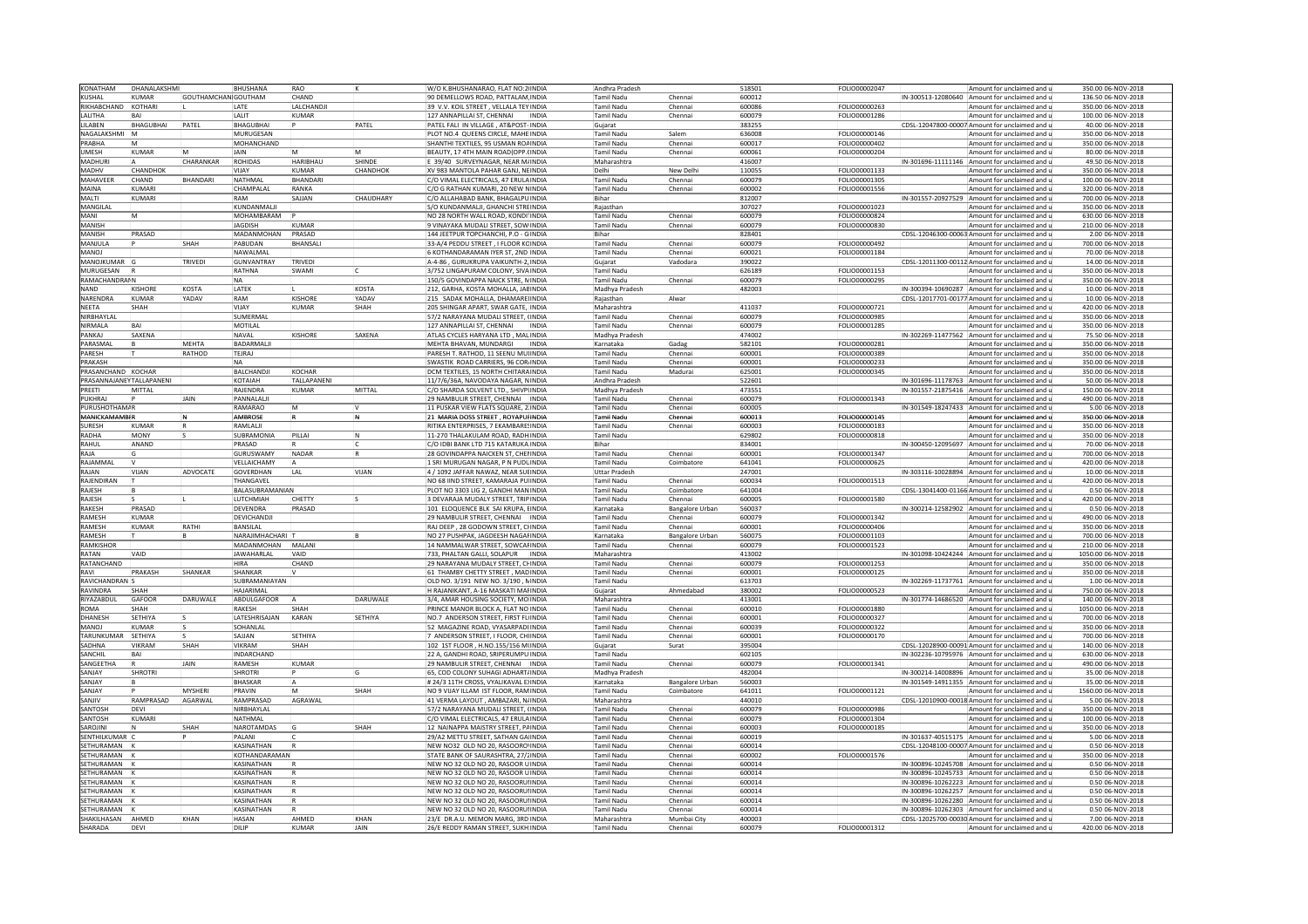| KONATHAM                 | DHANALAKSHMI   |                            | <b>BHUSHANA</b>             | RAO             |                     | W/O K.BHUSHANARAO, FLAT NO:2 INDIA                                        |              | Andhra Pradesh                   |                        | 518501           | FOLIO00002047 |                    | Amount for unclaimed and                                                   | 350.00 06-NOV-2018                     |
|--------------------------|----------------|----------------------------|-----------------------------|-----------------|---------------------|---------------------------------------------------------------------------|--------------|----------------------------------|------------------------|------------------|---------------|--------------------|----------------------------------------------------------------------------|----------------------------------------|
| <b>KUSHAL</b>            | KUMAR          | <b>GOUTHAMCHANIGOUTHAM</b> |                             | CHAND           |                     | 90 DEMELLOWS ROAD, PATTALAM INDIA                                         |              | Tamil Nadu                       | Chennai                | 600012           |               |                    | IN-300513-12080640 Amount for unclaimed and                                | 136.50 06-NOV-2018                     |
| RIKHABCHAND              | KOTHARI        |                            | LATE                        | ALCHANDJ        |                     | 39 V.V. KOIL STREET, VELLALA TEY INDIA                                    |              | Tamil Nadu                       | Chennai                | 600086           | FOLIO00000263 |                    | Amount for unclaimed and                                                   | 350.00 06-NOV-2018                     |
| <b>I AI ITHA</b>         |                |                            | <b>I AI IT</b>              | KUMAR           |                     | 127 ANNAPILLAI ST, CHENNAI   INDIA                                        |              | <b>Tamil Nadu</b>                | Chennai                | 600079           | FOLIO00001286 |                    | Amount for unclaimed and                                                   | 100.00 06-NOV-2018                     |
|                          |                |                            |                             |                 |                     |                                                                           |              |                                  |                        |                  |               |                    |                                                                            |                                        |
| LILABEN                  | BHAGUBHAI      | PATEL                      | <b>BHAGUBHAI</b>            |                 | PATEL               | PATEL FALI IN VILLAGE, AT&POST-INDIA                                      |              | Guiarat                          |                        | 383255           |               |                    | CDSL-12047800-00007 Amount for unclaimed and                               | 40.00 06-NOV-2018                      |
| NAGALAKSHMI              |                |                            | <b>MURUGESAN</b>            |                 |                     | PLOT NO.4 QUEENS CIRCLE, MAHE INDIA                                       |              | <b>Tamil Nadu</b>                | Salem                  | 636008           | FOLIO00000146 |                    | Amount for unclaimed and                                                   | 350.00 06-NOV-2018                     |
| PRARHA                   |                |                            | <b>MOHANCHAND</b>           |                 |                     | SHANTHI TEXTILES, 95 USMAN ROAINDIA                                       |              | Tamil Nadu                       | Chennai                | 600017           | FOLIO00000402 |                    | Amount for unclaimed and i                                                 | 350.0006-NOV-2018                      |
| UMESH                    | KUMAR          |                            | JAIN                        |                 |                     | EAUTY, 17 4TH MAIN ROAD(OPP. INDIA                                        |              | Tamil Nadu                       | Chennai                | 600061           | FOLIO00000204 |                    | Amount for unclaimed and                                                   | 80.00 06-NOV-2018                      |
| MADHUR                   |                | CHARANKAR                  | ROHIDAS                     | <b>HARIBHAU</b> | SHIND               | 39/40 SURVEYNAGAR, NEAR MAINDIA                                           |              | Maharashtra                      |                        | 416007           |               | IN-301696-11111146 | Amount for unclaimed and                                                   | 49.50 06-NOV-2018                      |
| MADHV                    | CHANDHOK       |                            | VIJAY                       | KUMAR           | CHANDHOK            | XV 983 MANTOLA PAHAR GANJ, NEINDIA                                        |              | Delhi                            | New Delhi              | 110055           | FOLIO00001133 |                    | Amount for unclaimed and                                                   | 350.00 06-NOV-2018                     |
| MAHAVEER                 | CHAND          | <b>BHANDARI</b>            | NATHMAL                     | BHANDARI        |                     | C/O VIMAL ELECTRICALS, 47 ERULAINDIA                                      |              | <b>Tamil Nadu</b>                | Chenna                 | 600079           | FOLIO00001305 |                    | Amount for unclaimed and                                                   | 100.00 06-NOV-2018                     |
| MAINA                    | KUMAR          |                            |                             | RANKA           |                     |                                                                           |              |                                  |                        | 600002           |               |                    |                                                                            |                                        |
|                          |                |                            | CHAMPALAL                   |                 |                     | C/O G RATHAN KUMARI, 20 NEW NINDIA                                        |              | Tamil Nadu                       | Chennai                |                  | FOLIO00001556 |                    | Amount for unclaimed and                                                   | 320.00 06-NOV-2018                     |
| MALTI                    | <b>UMARI</b>   |                            | RAM                         | SAJJAN          | <b>CHAUDHARY</b>    | C/O ALLAHABAD BANK, BHAGALPUINDIA                                         |              | Bihar                            |                        | 812007           |               |                    | IN-301557-20927529 Amount for unclaimed and                                | 700.00 06-NOV-2018                     |
| MANGILAL                 |                |                            | KUNDANMALJ                  |                 |                     | S/O KUNDANMALJI. GHANCHI STRÉINDIA                                        |              | Raiasthan                        |                        | 307027           | FOLIO00001023 |                    | Amount for unclaimed and                                                   | 350.00 06-NOV-2018                     |
| MANI                     |                |                            | MOHAMBARAM                  |                 |                     | NO 28 NORTH WALL ROAD, KONDI INDIA                                        |              | <b>Tamil Nadu</b>                | Chenna                 | 600079           | FOLIO00000824 |                    | Amount for unclaimed and                                                   | 630.00 06-NOV-2018                     |
| MANISH                   |                |                            | <b>JAGDISH</b>              | KUMAR           |                     | 9 VINAYAKA MUDALI STREET, SOW INDIA                                       |              | Tamil Nadu                       | Chennai                | 600079           | FOLIO00000830 |                    | Amount for unclaimed and                                                   | 210.00 06-NOV-2018                     |
| MANISH                   | PRASAD         |                            | MADANMOHAN                  | PRASAD          |                     | 144 JEETPUR TOPCHANCHI, P.O - GINDIA                                      |              | Bihar                            |                        | 828401           |               |                    | CDSL-12046300-00063 Amount for unclaimed and                               | 2.00 06-NOV-2018                       |
| <b>MANIULA</b>           |                | SHAH                       | PARUDAN                     | BHANSAL         |                     | 33-A/4 PEDDU STREET, I FLOOR KOINDIA                                      |              | <b>Tamil Nadu</b>                | Chennai                | 600079           | FOLIO00000492 |                    | Amount for unclaimed and                                                   | 700.00 06-NOV-2018                     |
| MANOJ                    |                |                            | NAWALMAI                    |                 |                     | KOTHANDARAMAN IYER ST. 2ND INDIA                                          |              | Tamil Nadu                       | Chenna                 | 600021           | FOLIO00001184 |                    | Amount for unclaimed and                                                   | 70.00 06-NOV-2018                      |
|                          |                | <b>TRIVEDI</b>             |                             |                 |                     |                                                                           |              |                                  |                        |                  |               |                    |                                                                            |                                        |
| MANOJKUMAR               |                |                            | GUNVANTRAY                  | TRIVEDI         |                     | A-4-86, GURUKRUPA VAIKUNTH-2, INDIA                                       |              | Gujarat                          | Vadodara               | 390022           |               |                    | CDSL-12011300-00112 Amount for unclaimed and                               | 14.00 06-NOV-2018                      |
| MURUGESAN                |                |                            | RATHNA                      | SWAMI           |                     | 3/752 LINGAPURAM COLONY, SIVAINDIA                                        |              | Tamil Nadu                       |                        | 626189           | FOLIO00001153 |                    | Amount for unclaimed and                                                   | 350.00 06-NOV-2018                     |
| RAMACHANDRAIN            |                |                            | <b>NA</b>                   |                 |                     | 150/5 GOVINDAPPA NAICK STRE, NINDIA                                       |              | <b>Tamil Nadu</b>                | Chennai                | 600079           | FOLIO00000295 |                    | Amount for unclaimed and                                                   | 350.00 06-NOV-2018                     |
| <b>NAND</b>              | KISHORI        | KOSTA                      | LATEK                       |                 | KOSTA               | 212, GARHA, KOSTA MOHALLA, JABINDIA                                       |              | Madhya Pradesh                   |                        | 482003           |               |                    | IN-300394-10690287 Amount for unclaimed and                                | 10.00 06-NOV-2018                      |
| NARENDRA                 | KUMAR          | YADAV                      | RAM                         | <b>KISHORE</b>  | YADAV               | 215 SADAK MOHALLA, DHAMARE INDIA                                          |              | Raiasthan                        | Alwar                  |                  |               |                    | CDSL-12017701-00177 Amount for unclaimed and                               | 10.00 06-NOV-2018                      |
| NEETA                    | <b>НАН</b>     |                            | VIJAY                       | <b>KUMAR</b>    | SHAH                | 205 SHINGAR APART, SWAR GATE, INDIA                                       |              | Maharashtra                      |                        | 411037           | OLIO00000721  |                    | Amount for unclaimed and                                                   | 420.00 06-NOV-2018                     |
| NIRBHAYLAI               |                |                            | SUMERMAL                    |                 |                     | 57/2 NARAYANA MUDALI STREET, (INDIA                                       |              | Tamil Nadu                       | Chennai                | 600079           | FOLIO00000985 |                    | Amount for unclaimed and                                                   | 350.00 06-NOV-2018                     |
| NIRMALA                  |                |                            | MOTILAL                     |                 |                     | 127 ANNAPILLAI ST, CHENNAI                                                | INDIA        | <b>Tamil Nadu</b>                | Chennai                | 600079           | FOLIO00001285 |                    | Amount for unclaimed and                                                   | 350.00 06-NOV-2018                     |
|                          |                |                            |                             |                 |                     |                                                                           |              |                                  |                        |                  |               |                    |                                                                            |                                        |
| PANKAJ                   | SAXENA         |                            | NAVAL                       | KISHORE         | SAXENA              | ATLAS CYCLES HARYANA LTD . MALINDIA                                       |              | Madhya Pradesh                   |                        | 474002           |               |                    | IN-302269-11477562 Amount for unclaimed and                                | 75.50 06-NOV-2018                      |
| PARASMAI                 |                | <b>MFHTA</b>               | <b>BADARMALIL</b>           |                 |                     | MEHTA BHAVAN, MUNDARGI                                                    | <b>INDIA</b> | Karnataka                        | Gadae                  | 582101           | FOLIO00000281 |                    | Amount for unclaimed and                                                   | 350.00 06-NOV-2018                     |
| PARESH                   |                | RATHOD                     | TEJRAJ                      |                 |                     | PARESH T. RATHOD, 11 SEENU MUIINDIA                                       |              | Tamil Nadu                       | Chenna                 | 600001           | FOLIO00000389 |                    | Amount for unclaimed and                                                   | 350.00 06-NOV-2018                     |
| PRAKASH                  |                |                            | <b>NA</b>                   |                 |                     | SWASTIK ROAD CARRIERS, 96 CORINDIA                                        |              | Tamil Nadu                       | Chenna                 | 600001           | FOLIO00000233 |                    | Amount for unclaimed and                                                   | 350.00 06-NOV-2018                     |
| PRASANCHAND KOCHAR       |                |                            | BALCHANDJ                   | KOCHAR          |                     | DCM TEXTILES, 15 NORTH CHITARAINDIA                                       |              | <b>Tamil Nadu</b>                | Madurai                | 625001           | FOLIO00000345 |                    | Amount for unclaimed and                                                   | 350.00 06-NOV-2018                     |
| PRASANNAJANEYTALLAPANENI |                |                            | KOTAIAH                     | TALLAPANEN      |                     | 11/7/6/36A, NAVODAYA NAGAR, NINDIA                                        |              | Andhra Pradesh                   |                        | 522601           |               |                    | IN-301696-11178763 Amount for unclaimed and                                | 50.00 06-NOV-2018                      |
|                          |                |                            |                             |                 |                     |                                                                           |              |                                  |                        |                  |               |                    |                                                                            |                                        |
| PREETI                   | MITTAL         |                            | RAJENDRA                    | <b>KUMAR</b>    | MITTAL              | C/O SHARDA SOLVENT LTD., SHIVPIINDIA                                      |              | Madhya Pradesh                   |                        | 473551           |               |                    | IN-301557-21875416 Amount for unclaimed and                                | 150.00 06-NOV-2018                     |
| <b>PUKHRA</b>            |                | JAIN                       | PANNALALI                   |                 |                     | 29 NAMBULIR STREET, CHENNAI INDIA                                         |              | <b>Tamil Nadu</b>                | Chennai                | 600079           | FOLIO00001343 |                    | Amount for unclaimed and                                                   | 490.00 06-NOV-2018                     |
| <b>PURUSHOTHAM</b>       |                |                            | RAMARAO                     |                 |                     | 11 PUSKAR VIEW FLATS SQUARE, 2 INDIA                                      |              | Tamil Nadu                       | Chennai                | 600005           |               |                    | IN-301549-18247433 Amount for unclaimed and                                | 5.00 06-NOV-2018                       |
| MANICKAMAMBI             |                |                            | <b>AMBROS</b>               |                 | İN.                 | 21 MARIA DOSS STREET , ROYAPULINDIA                                       |              | Tamil Nadu                       | Chenna                 | 600013           | FOLIO00000145 |                    | Amount for unclaimed and                                                   | 350.00 06-NOV-2018                     |
| SURESH                   | KUMAR          |                            | RAMLALI                     |                 |                     | RITIKA ENTERPRISES, 7 EKAMBARESINDIA                                      |              | <b>Tamil Nadu</b>                | Chennai                | 600003           | FOLIO00000183 |                    | Amount for unclaimed and                                                   | 350.00 06-NOV-2018                     |
| RADHA                    | MONY           |                            | SUBRAMONIA                  | PILLAI          | N,                  | 11-270 THALAKULAM ROAD, RADHINDIA                                         |              | Tamil Nadu                       |                        | 629802           | FOLIO00000818 |                    | Amount for unclaimed and a                                                 | 350.00 06-NOV-2018                     |
| RAHUL                    | ANAND          |                            | PRASAD                      |                 |                     | C/O IDBI BANK LTD 715 KATARUKA INDIA                                      |              | Bihar                            |                        | 834001           |               |                    | IN-300450-12095697 Amount for unclaimed and                                | 70.00 06-NOV-2018                      |
| RAIA                     |                |                            | GURUSWAMY                   | NADAR           |                     | 28 GOVINDAPPA NAICKEN ST. CHENINDIA                                       |              | <b>Tamil Nadu</b>                | Chennai                | 600001           | FOLIO00001347 |                    | Amount for unclaimed and                                                   | 700.00 06-NOV-2018                     |
| RAJAMMAI                 |                |                            | VELLAICHAMY                 |                 |                     | 1 SRI MURUGAN NAGAR, P N PUDUINDIA                                        |              | Tamil Nadu                       | Coimbatore             | 641041           | FOLIO00000625 |                    | Amount for unclaimed and                                                   | 420.00 06-NOV-2018                     |
| RAIAN                    | VIJAN          | ADVOCATE                   | <b>GOVERDHAN</b>            | LAL             | VIIAN               | 4 / 1092 JAFFAR NAWAZ, NEAR SULINDIA                                      |              | <b>Uttar Pradesi</b>             |                        | 247001           |               |                    | IN-303116-10028894 Amount for unclaimed and u                              | 10.00 06-NOV-2018                      |
| RAJENDIRAN               |                |                            | THANGAVEL                   |                 |                     | NO 68 IIND STREET, KAMARAJA PU INDIA                                      |              | <b>Tamil Nadu</b>                | Chennai                | 600034           | FOLIO00001513 |                    | Amount for unclaimed and                                                   | 420.00 06-NOV-2018                     |
| RAJESH                   |                |                            | BALASUBRAMANIAN             |                 |                     | PLOT NO 3303 LIG 2, GANDHI MANINDIA                                       |              | Tamil Nadu                       | Coimbatore             | 641004           |               |                    | CDSL-13041400-01166 Amount for unclaimed and                               | 0.50 06-NOV-2018                       |
| <b>RAIFSH</b>            |                |                            | <b>IUTCHMIAH</b>            | CHETTY          |                     | 3 DEVARAJA MUDALY STREET, TRIPINDIA                                       |              | Tamil Nadu                       | Chennai                | 600005           | FOLIO00001580 |                    | Amount for unclaimed and <b>i</b>                                          | 420.00 06-NOV-2018                     |
|                          |                |                            |                             |                 |                     |                                                                           |              |                                  |                        |                  |               |                    |                                                                            |                                        |
| RAKESH                   | <b>RASAD</b>   |                            | <b>DEVENDRA</b>             | PRASAD          |                     | 01 ELOQUENCE BLK SAI KRUPA, EINDIA                                        |              | Karnataka                        | <b>Bangalore Urban</b> | 560037           |               |                    | IN-300214-12582902 Amount for unclaimed and                                | 0.50 06-NOV-2018                       |
| RAMFSH                   | KUMAR          |                            | DEVICHANDJ                  |                 |                     | 29 NAMBULIR STREET, CHENNAI  INDIA                                        |              | Tamil Nadu                       | Chennai                | 600079           | FOLIO00001342 |                    | Amount for unclaimed and                                                   | 490.00 06-NOV-2018                     |
| RAMESH                   | KUMAR          | RATHI                      | <b>BANSILAI</b>             |                 |                     | RAJ DEEP. 28 GODOWN STREET. CHINDIA                                       |              | <b>Tamil Nadu</b>                | Chennai                | 600001           | FOLIO00000406 |                    | Amount for unclaimed and                                                   | 350.00 06-NOV-2018                     |
| RAMESH                   |                |                            | NARAJIMHACHARI <sup>T</sup> |                 |                     | NO 27 PUSHPAK, JAGDEESH NAGARINDIA                                        |              | Karnataka                        | <b>Bangalore Urban</b> | 560075           | FOLIO00001103 |                    | Amount for unclaimed and                                                   | 700.00 06-NOV-2018                     |
| RAMKISHOF                |                |                            | MADANMOHAN MALANI           |                 |                     | 14 NAMMALWAR STREET, SOWCARINDIA                                          |              | <b>Tamil Nadu</b>                | Chennai                | 600079           | FOLIO00001523 |                    | Amount for unclaimed and                                                   | 210.00 06-NOV-2018                     |
| RATAN                    | /AID           |                            | <b>JAWAHARLAL</b>           | VAID            |                     | 733. PHALTAN GALLI, SOLAPUR                                               | <b>INDIA</b> | Maharashtra                      |                        | 413002           |               |                    | IN-301098-10424244 Amount for unclaimed and                                | 1050.00 06-NOV-2018                    |
| RATANCHAND               |                |                            |                             | CHAND           |                     | 29 NARAYANA MUDALY STREET, CHINDIA                                        |              | Tamil Nadu                       | Chenna                 | 600079           | FOLIO00001253 |                    | Amount for unclaimed and                                                   | 350.00 06-NOV-2018                     |
| RAVI                     | PRAKASH        | SHANKAR                    | SHANKAR                     |                 |                     | 61 THAMBY CHETTY STREET MADINDIA                                          |              | Tamil Nadu                       | Chennai                | 600001           | FOLIO00000125 |                    | Amount for unclaimed and                                                   | 350.00 06-NOV-2018                     |
|                          |                |                            |                             |                 |                     |                                                                           |              |                                  |                        |                  |               |                    |                                                                            |                                        |
| RAVICHANDRAN             |                |                            | SUBRAMANIAYAN               |                 |                     | OLD NO. 3/191 NEW NO. 3/190, NINDIA                                       |              | Tamil Nadu                       |                        | 613703           |               |                    | IN-302269-11737761 Amount for unclaimed and                                | 1.00 06-NOV-2018                       |
| RAVINDRA                 | SHAH           |                            | HAJARIMAL                   |                 |                     | H RAJANIKANT, A-16 MASKATI MARINDIA                                       |              | Gujarat                          | Ahmedabad              | 380002           | FOLIO00000523 |                    | Amount for unclaimed and                                                   | 750.00 06-NOV-2018                     |
| RIYAZABDU                | GAFOOR         | DARUWALE                   | ABDULGAFOOR                 |                 | DARUWALE            | 3/4. AMAR HOUSING SOCIETY, MO INDIA                                       |              | Maharashtra                      |                        | 413001           |               |                    | IN-301774-14686520 Amount for unclaimed and                                | 140.00 06-NOV-2018                     |
| ROMA                     | HAH            |                            | RAKESH                      | SHAH            |                     | RINCE MANOR BLOCK A, FLAT NO INDIA                                        |              | Tamil Nadu                       | Chennai                | 600010           | FOLIO00001880 |                    | Amount for unclaimed and                                                   | 1050.00 06-NOV-2018                    |
| DHANESH                  | SETHIYA        |                            | LATESHRISAJAN               | KARAN           | SETHIYA             | NO.7 ANDERSON STREET, FIRST FLINDIA                                       |              | Tamil Nadu                       | Chenna                 | 600001           | FOLIO00000327 |                    | Amount for unclaimed and                                                   | 700.00 06-NOV-2018                     |
| MANOI                    | KUMAR          |                            | <b>SOHANI AI</b>            |                 |                     | 52 MAGAZINE ROAD, VYASARPADIINDIA                                         |              | Tamil Nadu                       | Chenna                 | 600039           | FOLIO00000322 |                    | Amount for unclaimed and                                                   | 350.00 06-NOV-2018                     |
| TARUNKUMAR               | <b>SETHIYA</b> |                            | SAJJAN                      | <b>SETHIYA</b>  |                     | 7 ANDERSON STREET, I FLOOR, CHINDIA                                       |              | <b>Tamil Nadu</b>                | Chennai                | 600001           | FOLIO00000170 |                    | Amount for unclaimed and                                                   | 700.00 06-NOV-2018                     |
| SADHNA                   | VIKRAM         | SHAH                       | VIKRAM                      | SHAH            |                     |                                                                           |              |                                  |                        | 395004           |               |                    |                                                                            | 140.00 06-NOV-2018                     |
|                          |                |                            |                             |                 |                     | 102 1ST FLOOR , H.NO.155/156 MINDIA                                       |              | Gujarat                          | Surat                  |                  |               |                    | CDSL-12028900-00091 Amount for unclaimed and u                             |                                        |
| SANCHIL                  | BAI            |                            | INDARCHAND                  |                 |                     | 22 A. GANDHI ROAD, SRIPERUMPU INDIA                                       |              | <b>Tamil Nadu</b>                |                        | 602105           |               | IN-302236-10795976 | Amount for unclaimed and                                                   | 630.00 06-NOV-2018                     |
| <b>SANGEETH</b>          |                | JAIN                       | RAMESH                      | <b>KUMAR</b>    |                     | 29 NAMBULIR STREET, CHENNAI INDIA                                         |              | Tamil Nadu                       | Chenna                 | 600079           | FOLIO00001341 |                    | Amount for unclaimed and                                                   | 490.00 06-NOV-2018                     |
| SANIAY                   | <b>SHROTRI</b> |                            | <b>SHROTRI</b>              |                 |                     | 65, COD COLONY SUHAGI ADHART/INDIA                                        |              | Madhya Pradesh                   |                        | 482004           |               |                    | IN-300214-14008896 Amount for unclaimed and                                | 35.00 06-NOV-2018                      |
| SANJAY                   |                |                            | <b>BHASKAR</b>              |                 |                     | # 24/3 11TH CROSS, VYALIKAVAL EXINDIA                                     |              | Karnataka                        | <b>Bangalore Urbar</b> | 560003           |               |                    | IN-301549-14911355 Amount for unclaimed and                                | 35.00 06-NOV-2018                      |
| SANJAY                   |                | <b>MYSHER</b>              | PRAVIN                      | M               | SHAH                | NO 9 VIJAY ILLAM IST FLOOR, RAM INDIA                                     |              | Tamil Nadu                       | Coimbatore             | 641011           | FOLIO00001121 |                    | Amount for unclaimed and                                                   | 1560.00 06-NOV-2018                    |
| SANIIV                   | RAMPRASAD      | AGARWAI                    | RAMPRASAD                   | AGRAWAL         |                     | 41 VERMA LAYOUT, AMBAZARI, NAINDIA                                        |              | Maharashtra                      |                        | 440010           |               |                    | CDSL-12010900-00018 Amount for unclaimed and                               | 5.00 06-NOV-2018                       |
| SANTOSH                  |                |                            | NIRBHAYLAI                  |                 |                     | 57/2 NARAYANA MUDALI STREET, (INDIA                                       |              | Tamil Nadu                       | Chennai                | 600079           | FOLIO00000986 |                    | Amount for unclaimed and                                                   | 350.00 06-NOV-2018                     |
| SANTOSH                  | KLIMARI        |                            | NATHMAL                     |                 |                     | C/O VIMAL ELECTRICALS, 47 ERULAINDIA                                      |              | Tamil Nadu                       | Chenna                 | 600079           | FOLIO00001304 |                    | Amount for unclaimed and                                                   | 100.00 06-NOV-2018                     |
|                          |                |                            | NAROTAMDAS                  |                 | SHAH                | 12 NAINAPPA MAISTRY STREET, PAINDIA                                       |              |                                  |                        |                  |               |                    |                                                                            | 350.00 06-NOV-2018                     |
| SAROJINI                 |                | SHAH                       |                             |                 |                     |                                                                           |              | <b>Tamil Nadu</b>                | Chenna                 | 600003           | FOLIO00000185 |                    | Amount for unclaimed and                                                   |                                        |
| SENTHILKUMAI             |                |                            | PALANI                      |                 |                     | 29/A2 METTU STREET, SATHAN GA INDIA                                       |              | <b>Tamil Nadu</b>                | Chennai                | 600019           |               |                    | IN-301637-40515175 Amount for unclaimed and                                | 5.00 06-NOV-2018                       |
| SFTHURAMAN               |                |                            | KASINATHAN                  |                 |                     | NEW NO32 OLD NO 20, RASOORO INDIA                                         |              | <b>Tamil Nadu</b>                | Chennai                | 600014           |               |                    | CDSL-12048100-00007 Amount for unclaimed and r                             | 0.50 06-NOV-2018                       |
| SETHURAMAN               |                |                            | KOTHANDARAMAN               |                 |                     | STATE BANK OF SAURASHTRA, 27/2INDIA                                       |              | Tamil Nadu                       | Chenna                 | 600002           | FOLIO00001576 |                    | Amount for unclaimed and                                                   | 350.00 06-NOV-2018                     |
| SETHURAMAN               |                |                            | KASINATHAN                  |                 |                     | NEW NO 32 OLD NO 20, RASOOR UINDIA                                        |              | Tamil Nadu                       | Chenna                 | 600014           |               |                    | IN-300896-10245708 Amount for unclaimed and                                | 0.50 06-NOV-2018                       |
| SFTHURAMAN               |                |                            | KASINATHAN                  |                 |                     | INEW NO 32 OLD NO 20. RASOOR UINDIA                                       |              | Tamil Nadu                       | Chenna                 | 600014           |               |                    | IN-300896-10245733 Amount for unclaimed and                                | 0.50 06-NOV-2018                       |
| SETHURAMAN               |                |                            | KASINATHAN                  |                 |                     | NEW NO 32 OLD NO 20, RASOORUINDIA                                         |              | <b>Tamil Nadu</b>                | Chennai                | 600014           |               |                    | IN-300896-10262223 Amount for unclaimed and                                | 0.50 06-NOV-2018                       |
| SETHURAMAN               |                |                            | KASINATHAN                  |                 |                     | NEW NO 32 OLD NO 20, RASOORU(INDIA                                        |              | Tamil Nadu                       | Chenna                 | 600014           |               |                    | IN-300896-10262257 Amount for unclaimed and                                | 0.50 06-NOV-2018                       |
|                          |                |                            |                             |                 |                     |                                                                           |              |                                  |                        |                  |               |                    |                                                                            |                                        |
|                          |                |                            |                             |                 |                     |                                                                           |              |                                  |                        |                  |               |                    |                                                                            |                                        |
| SETHURAMAN               |                |                            | KASINATHAN                  |                 |                     | NEW NO 32 OLD NO 20. RASOORUINDIA                                         |              | <b>Tamil Nadu</b>                | Chennai                | 600014           |               |                    | IN-300896-10262280 Amount for unclaimed and i                              | 0.50 06-NOV-2018                       |
| SETHURAMAN               |                |                            | KASINATHAN                  |                 |                     | NEW NO 32 OLD NO 20, RASOORUMNDIA                                         |              | Tamil Nadu                       | Chennai                | 600014           |               |                    | IN-300896-10262303 Amount for unclaimed and                                | 0.50 06-NOV-2018                       |
| SHAKILHASAN<br>SHARADA   | AHMED<br>DFVI  | KHAN                       | HASAN<br><b>DILIP</b>       | AHMF<br>KUMAR   | KHAN<br><b>JAIN</b> | 23/E DR.A.U. MEMON MARG, 3RD INDIA<br>26/E REDDY RAMAN STREET, SUKH INDIA |              | Maharashtra<br><b>Tamil Nadu</b> | Mumbai Cit<br>Chenna   | 400003<br>600079 | FOLIO00001312 |                    | CDSL-12025700-00030 Amount for unclaimed and<br>Amount for unclaimed and u | 7.00 06-NOV-2018<br>420.00 06-NOV-2018 |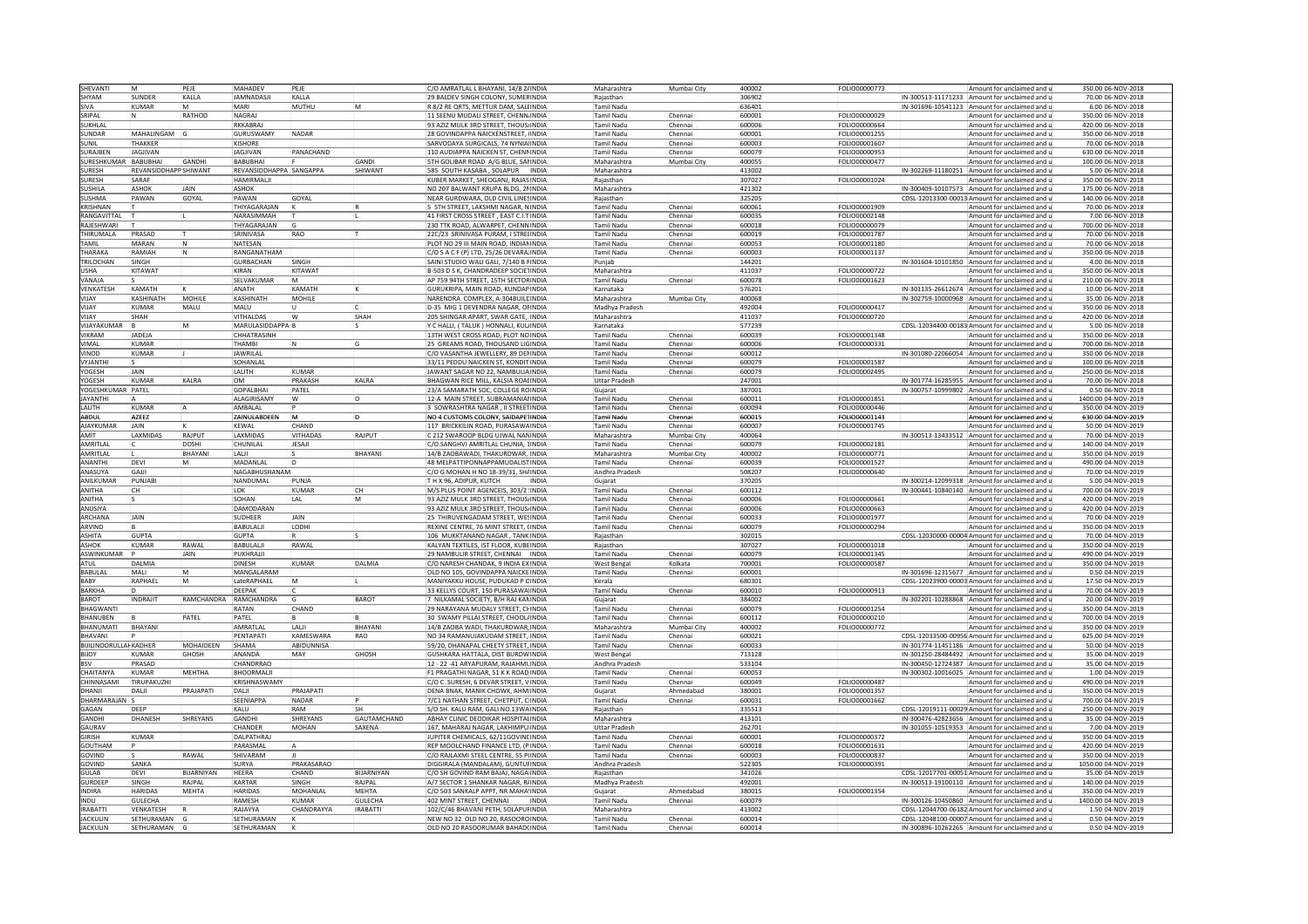| SHEVANTI                           |                            | PEJE          | MAHADEV                         | PEJE             |                    | C/O AMRATLAL L BHAYANI, 14/B ZAINDIA                                        |              | Maharashtra                        | Mumbai City       | 400002           | FOLIO00000773        |                                              | Amount for unclaimed and                                                                      | 350.00 06-NOV-2018                       |
|------------------------------------|----------------------------|---------------|---------------------------------|------------------|--------------------|-----------------------------------------------------------------------------|--------------|------------------------------------|-------------------|------------------|----------------------|----------------------------------------------|-----------------------------------------------------------------------------------------------|------------------------------------------|
| SHYAM                              | SUNDER                     | KALLA         | <b>JAMNADASJ</b>                | KALLA            |                    | 29 BALDEV SINGH COLONY, SUMERINDIA                                          |              | Raiasthan                          |                   | 306902           |                      |                                              | IN-300513-11171233 Amount for unclaimed and                                                   | 70.00 06-NOV-2018                        |
| <b>SIVA</b>                        | KUMAR                      |               | MARI                            | MUTHU            |                    | 8/2 RE ORTS, METTUR DAM, SALLINDIA                                          |              | Tamil Nadu                         |                   | 636401           |                      |                                              | IN-301696-10541123 Amount for unclaimed and                                                   | 6.00 06-NOV-2018                         |
| SRIPAI                             |                            | RATHOD        | NAGRAI                          |                  |                    |                                                                             |              |                                    | Chennai           | 600001           | FOLIO00000029        |                                              |                                                                                               | 350.00 06-NOV-2018                       |
|                                    |                            |               |                                 |                  |                    | 11 SEENU MUDALI STREET, CHENN INDIA                                         |              | <b>Tamil Nadu</b>                  |                   |                  |                      |                                              | Amount for unclaimed and                                                                      |                                          |
| SUKHLAI                            |                            |               | RKKABRAJ                        |                  |                    | 93 AZIZ MULK 3RD STREET, THOUS, INDIA                                       |              | <b>Tamil Nadu</b>                  | Chennai           | 600006           | FOLIO00000664        |                                              | Amount for unclaimed and                                                                      | 420.00 06-NOV-2018                       |
| SUNDAR                             | MAHALINGAM G               |               | GURUSWAMY                       | NADAR            |                    | 28 GOVINDAPPA NAICKENSTREET. (INDIA                                         |              | Tamil Nadu                         | Chennai           | 600001           | FOLIO00001255        |                                              | Amount for unclaimed and                                                                      | 350.00 06-NOV-2018                       |
| SUNIL                              | THAKKFR                    |               | <b>KISHORE</b>                  |                  |                    | SARVODAYA SURGICALS, 74 NYNIA INDIA                                         |              | Tamil Nadu                         | Chennai           | 600003           | <b>EOLIO00001607</b> |                                              | Amount for unclaimed and i                                                                    | 70.00 06-NOV-2018                        |
| SURAJBEN                           | <b>AGIIVAN</b>             |               | JAGJIVAN                        | PANACHAND        |                    | 110 AUDIAPPA NAICKEN ST, CHENNINDIA                                         |              | Tamil Nadu                         | Chennai           | 600079           | FOLIO00000953        |                                              | Amount for unclaimed and                                                                      | 630.00 06-NOV-2018                       |
| SURESHKUMAR                        | BABUBHAI                   | GANDH         | BABUBHAI                        |                  | GANDI              | 5TH GOLIBAR ROAD A/G BLUE, SAI INDIA                                        |              | Maharashtra                        | Mumbai City       | 400055           | FOLIO00000477        |                                              | Amount for unclaimed and                                                                      | 100.00 06-NOV-2018                       |
| <b>SURESH</b>                      | REVANSIDDHAPP SHIWANT      |               | REVANSIDDHAPPA SANGAPPA         |                  | SHIWANT            | 585 SOUTH KASABA . SOLAPUR INDIA                                            |              | Maharashtra                        |                   | 413002           |                      |                                              | IN-302269-11180251 Amount for unclaimed and                                                   | 5.00 06-NOV-2018                         |
| <b>SURESH</b>                      | SARAF                      |               | <b>HAMIRMALJI</b>               |                  |                    | KUBER MARKET, SHEOGANJ, RAJASINDIA                                          |              | Rajasthan                          |                   | 307027           | FOLIO00001024        |                                              | Amount for unclaimed and                                                                      | 350.00 06-NOV-2018                       |
|                                    |                            |               |                                 |                  |                    |                                                                             |              |                                    |                   |                  |                      |                                              |                                                                                               |                                          |
| SUSHILA                            | ASHOK                      | <b>JAIN</b>   | ASHOK                           |                  |                    | NO 207 BALWANT KRUPA BLDG, 2NINDIA                                          |              | Maharashtra                        |                   | 421302           |                      |                                              | IN-300409-10107573 Amount for unclaimed and                                                   | 175.00 06-NOV-2018                       |
| SUSHMA                             | PAWAN                      | GOYAL         | PAWAN                           | GOYAL            |                    | NEAR GURDWARA, OLD CIVIL LINESINDIA                                         |              | Raiasthan                          |                   | 325205           |                      |                                              | CDSL-12013300-00013 Amount for unclaimed and                                                  | 140.00 06-NOV-2018                       |
| KRISHNAN                           |                            |               | THIYAGARAJAN                    |                  |                    | 5TH STREET, LAKSHMI NAGAR, NINDIA                                           |              | Tamil Nadu                         | Chenna            | 600061           | FOLIO00001909        |                                              | Amount for unclaimed and                                                                      | 70.00 06-NOV-2018                        |
| RANGAVITTA                         |                            |               | NARASIMMAH                      |                  |                    | 41 FIRST CROSS STREET . EAST C.I.T.INDIA                                    |              | <b>Tamil Nadu</b>                  | Chenna            | 600035           | FOLIO00002148        |                                              | Amount for unclaimed and                                                                      | 7.00 06-NOV-2018                         |
| RAJESHWARI                         |                            |               | THYAGARAJAN                     |                  |                    | 230 TTK ROAD, ALWARPET, CHENNINDIA                                          |              | Tamil Nadu                         | Chenna            | 600018           | FOLIO00000079        |                                              | Amount for unclaimed and                                                                      | 700.00 06-NOV-2018                       |
| THIRUMALA                          | PRASAD                     |               | SRINIVASA                       | RAO              |                    | 22C/23 SRINIVASA PURAM, I STREEINDIA                                        |              | Tamil Nadu                         | Chenna            | 600019           | FOLIO00001787        |                                              | Amount for unclaimed and                                                                      | 70.00 06-NOV-2018                        |
|                                    |                            |               |                                 |                  |                    |                                                                             |              |                                    |                   |                  |                      |                                              |                                                                                               |                                          |
| TAMIL                              | MARAN                      | ΙN            | NATESAN                         |                  |                    | PLOT NO 29 III MAIN ROAD, INDIANINDIA                                       |              | <b>Tamil Nadu</b>                  | Chennai           | 600053           | FOLIO00001180        |                                              | Amount for unclaimed and                                                                      | 70.00 06-NOV-2018                        |
| <b>HARAKA</b>                      | <b>AMIAH</b>               |               | RANGANATHAM                     |                  |                    | C/O S A C F (P) LTD, 25/26 DEVARA INDIA                                     |              | Tamil Nadu                         | Chennai           | 600003           | FOLIO00001137        |                                              | Amount for unclaimed and                                                                      | 350.00 06-NOV-2018                       |
| TRILOCHAN                          | SINGH                      |               | <b>GURBACHAN</b>                | SINGH            |                    | SAINI STUDIO WALI GALI, 7/140 B FINDIA                                      |              | Punjab                             |                   | 144201           |                      |                                              | IN-301604-10101850 Amount for unclaimed and                                                   | 4.00 06-NOV-2018                         |
| LISHA                              | KITAWAT                    |               | KIRAN                           | KITAWAT          |                    | B-503 D S K. CHANDRADEEP SOCIETINDIA                                        |              | Maharashtra                        |                   | 411037           | <b>FOLIO00000722</b> |                                              | Amount for unclaimed and                                                                      | 350.00 06-NOV-2018                       |
| VANAJA                             |                            |               | SELVAKUMAR                      |                  |                    | AP 759 94TH STREET, 15TH SECTORINDIA                                        |              | <b>Tamil Nadu</b>                  | Chennai           | 600078           | FOLIO00001623        |                                              | Amount for unclaimed and                                                                      | 210.00 06-NOV-2018                       |
| VENKATESH                          | KAMATH                     |               | ANATH                           | KAMATH           |                    | GURUKRIPA, MAIN ROAD, KUNDAPINDIA                                           |              | Karnataka                          |                   | 576201           |                      |                                              | IN-301135-26612674 Amount for unclaimed and                                                   | 10.00 06-NOV-2018                        |
| VIJAY                              | KASHINATH                  | MOHILE        | KASHINATH                       | <b>MOHILE</b>    |                    | NARENDRA COMPLEX, A-304BUILDINDIA                                           |              | Maharashtra                        | Mumbai City       | 400068           |                      |                                              | IN-302759-10000968 Amount for unclaimed and                                                   | 35.00 06-NOV-2018                        |
|                                    |                            |               |                                 |                  |                    |                                                                             |              |                                    |                   |                  |                      |                                              |                                                                                               |                                          |
| VIJAY                              | <b>UMAR</b>                | MALU          | MALU                            |                  |                    | D-35 MIG 1 DEVENDRA NAGAR, OHNDIA                                           |              | Madhya Pradesh                     |                   | 492004           | FOLIO00000417        |                                              | Amount for unclaimed and                                                                      | 350.00 06-NOV-2018                       |
| VIIAY                              | SHAH                       |               | <b>VITHALDAS</b>                | W                | SHAH               | 205 SHINGAR APART, SWAR GATE, INDIA                                         |              | Maharashtra                        |                   | 411037           | FOLIO00000720        |                                              | Amount for unclaimed and                                                                      | 420.00 06-NOV-2018                       |
| VIJAYAKUMAR                        |                            | M             | MARULASIDDAPPA E                |                  |                    | Y C HALLI, (TALUK) HONNALI, KULINDIA                                        |              | Karnataka                          |                   | 577239           |                      |                                              | CDSL-12034400-00183 Amount for unclaimed and                                                  | 5.00 06-NOV-2018                         |
| <b>VIKRAM</b>                      | <b>JADEJA</b>              |               | CHHATRASINH                     |                  |                    | 13TH WEST CROSS ROAD, PLOT NOINDIA                                          |              | <b>Tamil Nadu</b>                  | Chenna            | 600039           | FOLIO00001348        |                                              | Amount for unclaimed and                                                                      | 350.00 06-NOV-2018                       |
| VIMAI                              | KUMAR                      |               | THAMRI                          |                  | lG                 | 25 GREAMS ROAD, THOUSAND LIGINDIA                                           |              | Tamil Nadu                         | Chennai           | 600006           | FOLIO00000331        |                                              | Amount for unclaimed and i                                                                    | 700.00 06-NOV-2018                       |
| VINOD                              | KUMAR                      |               | <b>JAWRILAL</b>                 |                  |                    | C/O VASANTHA JEWELLERY, 89 DENINDIA                                         |              | Tamil Nadu                         | Chenna            | 600012           |                      |                                              | IN-301080-22066054 Amount for unclaimed and                                                   | 350.00 06-NOV-2018                       |
|                                    |                            |               |                                 |                  |                    |                                                                             |              |                                    |                   |                  |                      |                                              |                                                                                               |                                          |
| VYJANTH                            | <b>JAIN</b>                |               | SOHANLAL<br>LALITH              | <b>KUMAR</b>     |                    | 33/11 PEDDU NAICKEN ST, KONDIT INDIA                                        |              | Tamil Nadu                         | Chenna            | 600079           | FOLIO00001587        |                                              | Amount for unclaimed and                                                                      | 100.00 06-NOV-2018<br>250.00 06-NOV-2018 |
| YOGESH                             |                            |               |                                 |                  |                    | JAWANT SAGAR NO 22, NAMBULIAINDIA                                           |              | <b>Tamil Nadu</b>                  | Chennai           | 600079           | FOLIO00002495        |                                              | Amount for unclaimed and                                                                      |                                          |
| YOGESH                             | KUMAR                      | KALRA         | OM                              | PRAKASH          | KALRA              | BHAGWAN RICE MILL, KALSIA ROALINDIA                                         |              | Uttar Pradesh                      |                   | 247001           |                      |                                              | IN-301774-16285955 Amount for unclaimed and                                                   | 70.00 06-NOV-2018                        |
| YOGESHKUMAR                        | PATEL                      |               | <b>GOPALBHAI</b>                | PATEL            |                    | 23/A SAMARATH SOC, COLLEGE ROINDIA                                          |              | Gujarat                            |                   | 387001           |                      |                                              | IN-300757-10999802 Amount for unclaimed and                                                   | 0.50 06-NOV-2018                         |
| <b>JAYANTHI</b>                    |                            |               | ALAGIRISAMY                     | W                | ۱o                 | 12-A MAIN STREET, SUBRAMANIA INDIA                                          |              | <b>Tamil Nadu</b>                  | Chennai           | 600011           | FOLIO00001851        |                                              | Amount for unclaimed and                                                                      | 1400.00 04-NOV-2019                      |
| LALITH                             | KUMAR                      |               | AMBALAL                         |                  |                    | SOWRASHTRA NAGAR . II STREETINDIA                                           |              | Tamil Nadu                         | Chennai           | 600094           | FOLIO00000446        |                                              | Amount for unclaimed and                                                                      | 350.00 04-NOV-2019                       |
| <b>ABDUL</b>                       | AZEEZ                      |               | ZAINULABDEEN                    |                  |                    | NO 4 CUSTOMS COLONY, SAIDAPETINDIA                                          |              | Tamil Nadu                         | Chenna            | 600015           | FOLIO00001143        |                                              | Amount for unclaimed and                                                                      | 630.00 04-NOV-2019                       |
|                                    | <b>JAIN</b>                |               |                                 | CHAND            |                    |                                                                             |              |                                    |                   |                  |                      |                                              |                                                                                               |                                          |
| <b>AJAYKUMAR</b>                   |                            |               | KEWAL                           |                  |                    | 117 BRICKKILIN ROAD, PURASAWAINDIA                                          |              | <b>Tamil Nadu</b>                  | Chennai           | 600007           | FOLIO00001745        |                                              | Amount for unclaimed and                                                                      | 50.00 04-NOV-2019                        |
| AMIT                               | LAXMIDAS                   | RAJPUT        | LAXMIDAS                        | VITHADAS         | RAJPUT             | C 212 SWAROOP BLDG UJWAL NANINDIA                                           |              | Maharashtra                        | Mumbai City       | 400064           |                      |                                              | IN-300513-13433512 Amount for unclaimed and                                                   | 70.00 04-NOV-2019                        |
| <b>AMRITI AI</b>                   |                            | <b>DOSHI</b>  | CHUNILAL                        | JESAJI           |                    | C/O.SANGHVI AMRITLAL CHUNIA, 1INDIA                                         |              | <b>Tamil Nadu</b>                  | Chenna            | 600079           | FOLIO00002181        |                                              | Amount for unclaimed and                                                                      | 140.00 04-NOV-2019                       |
| AMRITLAL                           |                            | BHAYANI       | LALJI                           |                  | BHAYANI            | 14/B ZAOBAWADI, THAKURDWAR, INDIA                                           |              | Maharashtra                        | Mumbai City       | 100002           | FOLIO00000771        |                                              | Amount for unclaimed and                                                                      | 350.00 04-NOV-2019                       |
| <b>ANANTHI</b>                     | DEVI                       |               | MADANLA                         |                  |                    | 48 MELPATTIPONNAPPAMUDALISTINDIA                                            |              | Tamil Nadu                         | Chenna            | 600039           | FOLIO00001527        |                                              | Amount for unclaimed and                                                                      | 490.00 04-NOV-2019                       |
| ANASUYA                            | GAIII                      |               | NAGARHUSHANAM                   |                  |                    | C/O G MOHAN H NO 18-39/31. SHAINDIA                                         |              | Andhra Pradesh                     |                   | 508207           | FOLIO00000640        |                                              | Amount for unclaimed and                                                                      | 70.00 04-NOV-2019                        |
| ANILKUMAR                          | PUNJABI                    |               | NANDUMAL                        | PUNJA            |                    | T H X 96, ADIPUR, KUTCH                                                     | INDIA        | Guiarat                            |                   | 370205           |                      |                                              | IN-300214-12099318 Amount for unclaimed and                                                   | 5.00 04-NOV-2019                         |
|                                    |                            |               |                                 |                  |                    |                                                                             |              |                                    |                   |                  |                      |                                              |                                                                                               |                                          |
| ANITHA                             | cн                         |               | LOK                             | KUMAR            | <b>CH</b>          | M/S PLUS POINT AGENCEIS, 303/2 INDIA                                        |              | Tamil Nadu                         | Chennai           | 600112           |                      |                                              | IN-300441-10840140 Amount for unclaimed and                                                   | 700.00 04-NOV-2019                       |
| ANITHA                             |                            |               | SOHAN                           | LAL              | <b>M</b>           | 93 AZIZ MULK 3RD STREET, THOUS INDIA                                        |              | Tamil Nadu                         | Chennai           | 600006           | FOLIO00000661        |                                              | Amount for unclaimed and                                                                      | 420.00 04-NOV-2019                       |
|                                    |                            |               | DAMODARAN                       |                  |                    | 3 AZIZ MULK 3RD STREET, THOUS INDIA                                         |              | Tamil Nadu                         | Chennai           | 600006           | FOLIO00000663        |                                              | Amount for unclaimed and                                                                      | 420.00 04-NOV-2019                       |
| ANUSIYA                            | <b>JAIN</b>                |               | <b>SUDHEEF</b>                  | <b>JAIN</b>      |                    | 25 THIRUVENGADAM STREET, WESINDIA                                           |              | Tamil Nadu                         | Chenna            | 600033           | FOLIO00001977        |                                              | Amount for unclaimed and                                                                      | 70.00 04-NOV-2019                        |
| ARCHANA                            |                            |               |                                 | LODHI            |                    | REXINE CENTRE, 76 MINT STREET, (INDIA                                       |              | <b>Tamil Nadu</b>                  | Chenna            |                  | FOLIO00000294        |                                              | Amount for unclaimed and                                                                      | 350.00 04-NOV-2019                       |
| ARVIND                             |                            |               | BABULALI                        |                  |                    |                                                                             |              |                                    |                   | 600079           |                      |                                              |                                                                                               | 70.00 04-NOV-2019                        |
|                                    |                            |               |                                 |                  |                    |                                                                             |              |                                    |                   |                  |                      |                                              | Amount for unclaimed and                                                                      |                                          |
| ASHITA                             | GUPT/                      |               | <b>GUPTA</b>                    |                  |                    | 106 MUKKTANAND NAGAR, TANK INDIA                                            |              | Rajasthan                          |                   | 302015           |                      | CDSL-12030000-00004 Amount for unclaimed and |                                                                                               |                                          |
| ASHOK                              | KUMAR                      | RAWAI         | BABULALI                        | RAWAL            |                    | KALYAN TEXTILES, IST FLOOR, KUBEINDIA                                       |              | Raiasthan                          |                   | 307027           | FOLIO00001018        |                                              |                                                                                               | 350.00 04-NOV-2019                       |
| ASWINKUMAR                         |                            | JAIN          | PUKHRAJJI                       |                  |                    | 29 NAMBULIR STREET, CHENNAI INDIA                                           |              | Tamil Nadu                         | Chenna            | 600079           | FOLIO00001345        |                                              | Amount for unclaimed and                                                                      | 490.00 04-NOV-2019                       |
| ATUL                               | <b>ALMIA</b>               |               | <b>DINESH</b>                   | KUMAR            | DALMIA             | C/O NARESH CHANDAK. 9 INDIA EXINDIA                                         |              | West Benga                         | Kolkata           | 700001           | FOLIO00000587        |                                              | Amount for unclaimed and                                                                      | 350.00 04-NOV-2019                       |
| <b>BABULAI</b>                     | MALI                       | M             | <b>MANGAI ARAM</b>              |                  |                    | OLD NO 105, GOVINDAPPA NAICKEINDIA                                          |              | Tamil Nadu                         | Chennai           | 600001           |                      |                                              | IN-301696-12315677 Amount for unclaimed and                                                   | 0.50 04-NOV-2019                         |
| <b>BABY</b>                        | RAPHAEL                    | M             | LateRAPHAEL                     | M                |                    | MANIYAKKU HOUSE, PUDUKAD P CINDIA                                           |              | Kerala                             |                   | 680301           |                      |                                              | CDSL-12023900-00003 Amount for unclaimed and                                                  | 17.50 04-NOV-2019                        |
| <b>BARKHA</b>                      |                            |               |                                 |                  |                    |                                                                             |              | Tamil Nadu                         | Chennai           | 600010           |                      |                                              | Amount for unclaimed and                                                                      |                                          |
| <b>BAROT</b>                       | INDRAJIT                   | RAMCHANDRA    | DEEPAK<br>RAMCHANDRA            |                  | <b>BAROT</b>       | 33 KELLYS COURT, 150 PURASAWA INDIA<br>7 NILKAMAL SOCIETY. B/H RAJ KANINDIA |              | Gujarat                            |                   | 384002           | FOLIO00000913        |                                              | IN-302201-10288868 Amount for unclaimed and (                                                 | 70.00 04-NOV-2019<br>20.00 04-NOV-2019   |
|                                    |                            |               |                                 |                  |                    |                                                                             |              |                                    |                   |                  |                      |                                              |                                                                                               |                                          |
| BHAGWANTI                          |                            |               | RATAN                           | CHAND            |                    | 9 NARAYANA MUDALY STREET, CHINDIA                                           |              | Tamil Nadu                         | Chennai           | 600079           | FOLIO00001254        |                                              | Amount for unclaimed and i                                                                    | 350.00 04-NOV-2019                       |
| BHANUBEN                           |                            | PATEI         | PATEL                           |                  |                    | 30 SWAMY PILLAI STREET, CHOOL INDIA                                         |              | Tamil Nadu                         | Chenna            | 600112           | FOLIO00000210        |                                              | Amount for unclaimed and                                                                      | 700.00 04-NOV-2019                       |
| <b>BHANUMATI</b>                   | BHAYANI                    |               | <b>AMRATI AI</b>                | il Al II         | <b>BHAYANI</b>     | 14/B ZAOBA WADI. THAKURDWAR INDIA                                           |              | Maharashtra                        | Mumbai Cit        | 400002           | FOLIO00000772        |                                              | Amount for unclaimed and                                                                      | 350.00 04-NOV-2019                       |
| BHAVANI                            |                            |               | PENTAPAT                        | <b>KAMESWARA</b> | RAO                | NO 34 RAMANUJAKUDAM STREET, INDIA                                           |              | <b>Tamil Nadu</b>                  | Chennai           | 600021           |                      |                                              | CDSL-12033500-00956 Amount for unclaimed and r                                                | 625.00 04-NOV-2019                       |
| <b>BIJILINOORULLAH KADHER</b>      |                            | MOHAIDEEN     | SHAMA                           | ABIDUNNISA       |                    | 59/20, DHANAPAL CHEETY STREET, INDIA                                        |              | <b>Tamil Nadu</b>                  | Chennai           | 600033           |                      |                                              | IN-301774-11451186 Amount for unclaimed and u                                                 | 50.00 04-NOV-2019                        |
| BIJOY                              | UMAR                       | GHOSH         | ANANDA                          | <b>MAY</b>       | GHOSH              | GUSHKARA HATTALA, DIST BURDWINDIA                                           |              | West Benga                         |                   | 13128            |                      |                                              | IN-301250-28484492 Amount for unclaimed and                                                   | 35.00 04-NOV-2019                        |
| <b>BSV</b>                         | PRASAD                     |               | CHANDRRAO                       |                  |                    |                                                                             |              | Andhra Pradesh                     |                   | 533104           |                      |                                              | IN-300450-12724387 Amount for unclaimed and                                                   |                                          |
|                                    |                            |               |                                 |                  |                    | 12 - 22 -41 ARYAPURAM, RAJAHMUINDIA                                         |              |                                    |                   |                  |                      |                                              |                                                                                               | 35.00 04-NOV-2019                        |
| CHAITANYA                          | KUMAR                      | <b>MEHTHA</b> | <b>BHOORMALI</b>                |                  |                    | F1 PRAGATHI NAGAR, 51 K K ROADINDIA                                         |              | <b>Tamil Nadu</b>                  | Chennai           | 600053           |                      |                                              | IN-300302-10016025 Amount for unclaimed and                                                   | 1.00 04-NOV-2019                         |
| CHINNASAMI                         | <b>IRUPAKUZHI</b>          |               | KRISHNASWAMY                    |                  |                    | C/O C. SURESH, 6 DEVAR STREET, VINDIA                                       |              | <b>Tamil Nadu</b>                  | Chennai           | 600049           | FOLIO00000487        |                                              | Amount for unclaimed and                                                                      | 490.00 04-NOV-2019                       |
| DHANJI                             | DALJI                      | PRAJAPATI     | DALI                            | PRAJAPATI        |                    | DENA BNAK, MANIK CHOWK, AHM INDIA                                           |              | Gujarat                            | Ahmedabad         | 380001           | FOLIO00001357        |                                              | Amount for unclaimed and                                                                      | 350.00 04-NOV-2019                       |
| DHARMARAIAN                        |                            |               | <b>SEENIAPPA</b>                | NADAR            |                    | 7/C1 NATHAN STREET. CHETPUT. CIINDIA                                        |              | Tamil Nadu                         | Chennai           | 600031           | FOLIO00001662        |                                              | Amount for unclaimed and <b>i</b>                                                             | 700.00 04-NOV-2019                       |
| GAGAN                              | DEEP                       |               | KALU                            | RAM              |                    | S/O SH. KALU RAM. GALI NO.13WAINDIA                                         |              | Raiasthan                          |                   | 335513           |                      |                                              | CDSL-12019111-00029 Amount for unclaimed and                                                  | 250.00 04-NOV-2019                       |
| GANDH                              | DHANESH                    | SHREYANS      | <b>GANDHI</b>                   | SHREYANS         | <b>GAUTAMCHAND</b> | <b>ABHAY CLINIC DEODIKAR HOSPITALINDIA</b>                                  |              |                                    |                   |                  |                      |                                              |                                                                                               |                                          |
| GAURAV                             |                            |               | CHANDER                         | <b>MOHAN</b>     | SAXENA             |                                                                             |              | Maharashtra<br><b>Uttar Prades</b> |                   | 413101<br>262701 |                      |                                              | IN-300476-42823656 Amount for unclaimed and<br>IN-301055-10519353 Amount for unclaimed and    | 35.00 04-NOV-2019<br>7.00 04-NOV-2019    |
|                                    |                            |               |                                 |                  |                    | 167, MAHARAJ NAGAR, LAKHIMPU INDIA                                          |              |                                    |                   |                  |                      |                                              |                                                                                               |                                          |
| GIRISH                             | KUMAR                      |               | DALPATHRAI                      |                  |                    | JUPITER CHEMICALS, 62/11GOVINDINDIA                                         |              | <b>Tamil Nadu</b>                  | Chennai           | 600001           | FOLIO00000372        |                                              | Amount for unclaimed and                                                                      | 350.00 04-NOV-2019                       |
| GOUTHAM                            |                            |               | PARASMAL                        |                  |                    | REP MOOLCHAND FINANCE LTD, (PINDIA                                          |              | <b>Tamil Nadu</b>                  | Chennai           | 600018           | FOLIO00001631        |                                              | Amount for unclaimed and a                                                                    | 420.00 04-NOV-2019                       |
| GOVIND                             |                            | RAWAL         | SHIVARAM                        |                  |                    | C/O RAJLAXMI STEEL CENTRE, 55 PUNDIA                                        |              | <b>Tamil Nadu</b>                  | Chennai           | 600003           | FOLIO00000837        |                                              | Amount for unclaimed and                                                                      | 350.00 04-NOV-2019                       |
| GOVIND                             | SANKA                      |               | SURYA                           | PRAKASARAO       |                    | IGGIRALA (MANDALAM). GUNTURINDIA                                            |              | Andhra Pradesh                     |                   | 522305           | FOLIO00000391        |                                              | Amount for unclaimed and                                                                      | 1050.00 04-NOV-2019                      |
| <b>GUI AB</b>                      | DFVI                       | BIJARNIYAN    | <b>HFFRA</b>                    | CHAND            | <b>BIJARNIYAN</b>  | C/O SH GOVIND RAM BAJAJ, NAGA INDIA                                         |              | Raiasthan                          |                   | 341026           |                      |                                              | CDSL-12017701-00051 Amount for unclaimed and                                                  | 35.00 04-NOV-2019                        |
| <b>GURDEEP</b>                     | SINGH                      | RAJPAL        | KARTAR                          | SINGH            | RAIPAI             | A/7 SECTOR 1 SHANKAR NAGAR, RAINDIA                                         |              | Madhya Pradesh                     |                   | 492001           |                      |                                              | IN-300513-19100110 Amount for unclaimed and                                                   | 140.00 04-NOV-2019                       |
|                                    |                            |               |                                 |                  |                    |                                                                             |              |                                    |                   |                  |                      |                                              |                                                                                               |                                          |
| INDIRA                             | HARIDAS                    | MEHTA         | <b>HARIDAS</b>                  | MOHANLA          | MEHTA              | C/O 503 SANKALP APPT, NR MAHA INDIA                                         |              | Gujarat                            | Ahmedabad         | 380015           | FOLIO00001354        |                                              | Amount for unclaimed and                                                                      | 350.00 04-NOV-2019                       |
| <b>INDU</b>                        | <b>GULECHA</b>             |               | RAMESH                          | <b>KUMAR</b>     | GULECHA            | 402 MINT STREET, CHENNAI                                                    | <b>INDIA</b> | Tamil Nadu                         | Chennai           | 600079           |                      |                                              | IN-300126-10450860 Amount for unclaimed and (                                                 | 1400.00 04-NOV-2019                      |
| <b>IRABATT</b>                     | VENKATESH                  |               | RAJAYYA                         | CHANDRAYYA       | <b>IRABATTI</b>    | 102/C/46 BHAVANI PETH, SOLAPUFINDIA                                         |              | Maharashtra                        |                   | 113002           |                      |                                              | CDSL-12044700-06182 Amount for unclaimed and                                                  | 1.50 04-NOV-2019                         |
| <b>JACKULIN</b><br><b>JACKULIN</b> | SETHURAMAN<br>SETHURAMAN G |               | <b>SETHURAMAN</b><br>SETHURAMAN |                  |                    | NEW NO 32 OLD NO 20, RASOOROINDIA<br>OLD NO 20 RASOORUMAR BAHAD(INDIA       |              | Tamil Nadu<br><b>Tamil Nadu</b>    | Chenna<br>Chennai | 600014<br>600014 |                      |                                              | CDSL-12048100-00007 Amount for unclaimed and<br>IN-300896-10262265 Amount for unclaimed and u | 0.50 04-NOV-2019<br>0.50 04-NOV-2019     |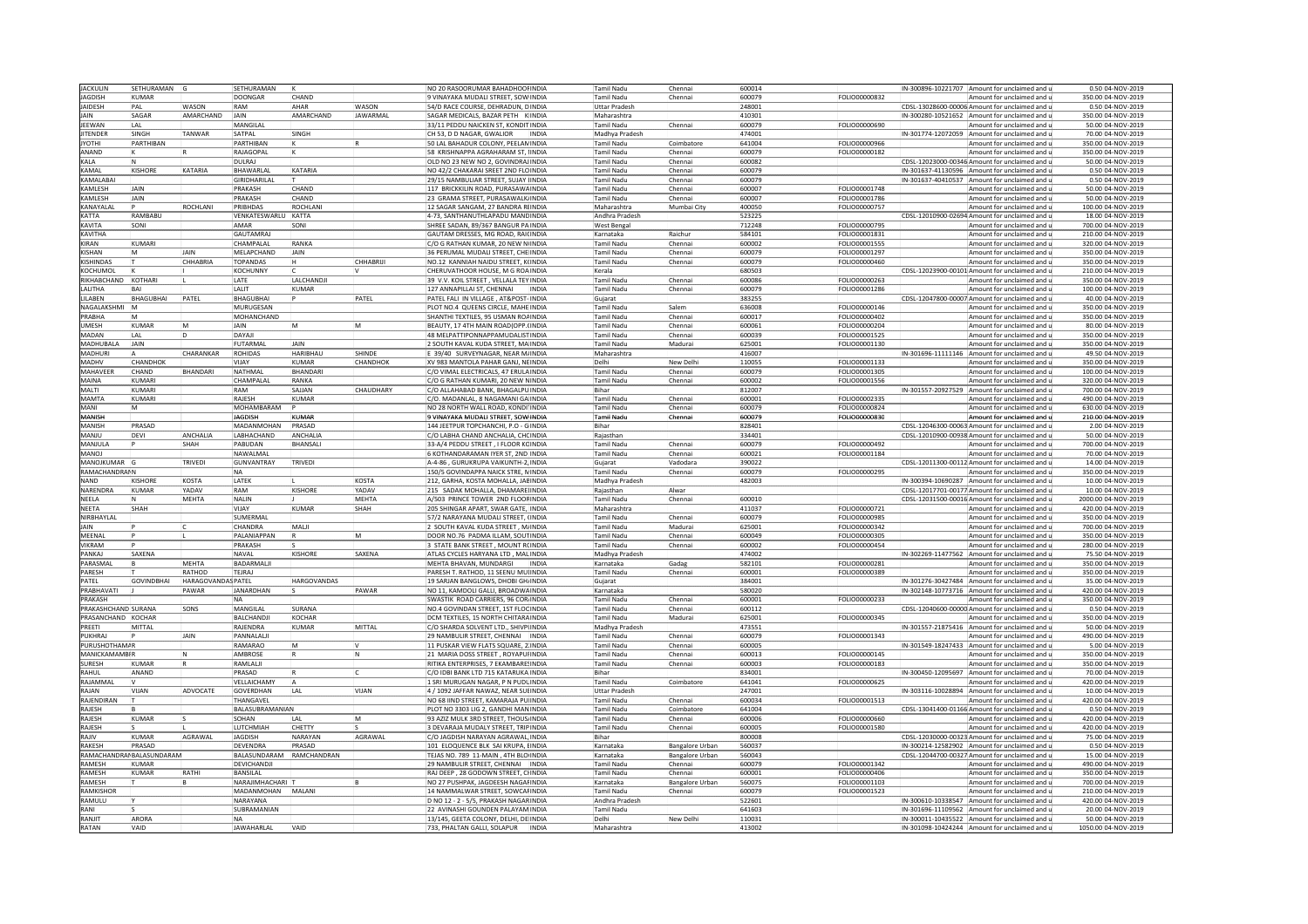| <b>IACKULIN</b>     | SETHURAMAN G             |                           | SFTHURAMAN               |                    |                 | NO 20 RASOORUMAR BAHADHOORINDIA            | Tamil Nadu           | Chennai                | 600014 |                      | IN-300896-10221707 Amount for unclaimed and u  | 0.50i04-NOV-2019    |
|---------------------|--------------------------|---------------------------|--------------------------|--------------------|-----------------|--------------------------------------------|----------------------|------------------------|--------|----------------------|------------------------------------------------|---------------------|
| <b>AGDISH</b>       | KUMAR                    |                           | DOONGAR                  | CHAND              |                 | VINAYAKA MUDALI STREET, SOWINDIA           | Tamil Nadu           | Chennai                | 500079 | FOLIO00000832        | Amount for unclaimed and                       | 350.00 04-NOV-2019  |
| <b>AIDESH</b>       | PΔI                      | <b>WASON</b>              | RAM                      | AHAR               | WASON           | 54/D RACE COURSE, DEHRADUN, DINDIA         | <b>Uttar Prades</b>  |                        | 248001 |                      | CDSL-13028600-00006 Amount for unclaimed and   | 0.50 04-NOV-2019    |
| AIN                 | SAGAR                    | AMARCHAND                 | JAIN                     | AMARCHAND          | <b>JAWARMAL</b> | SAGAR MEDICALS, BAZAR PETH KINDIA          | Maharashtra          |                        | 410301 |                      | IN-300280-10521652 Amount for unclaimed and    | 350.00 04-NOV-2019  |
| EEWAN               | LAL                      |                           | MANGILAL                 |                    |                 | 33/11 PEDDU NAICKEN ST, KONDITINDIA        | Tamil Nadu           | Chennai                | 500079 | FOLIO00000690        | Amount for unclaimed and                       | 50.00 04-NOV-2019   |
| TENDER              | SINGH                    | TANWAR                    | SATPAL                   |                    |                 |                                            |                      |                        | 174001 |                      |                                                | 70.00 04-NOV-2019   |
|                     | PARTHIBAN                |                           | PARTHIBAN                | SINGH              |                 | CH 53, D D NAGAR, GWALIOR<br>INDIA         | Madhya Pradesh       |                        |        |                      | IN-301774-12072059 Amount for unclaimed and    |                     |
| YOTHI               |                          |                           |                          |                    |                 | 50 LAL BAHADUR COLONY, PEELAMINDIA         | Tamil Nadu           | Coimbatore             | 541004 | FOLIO00000966        | Amount for unclaimed and                       | 350.00 04-NOV-2019  |
| ANAND               |                          |                           | RAJAGOPAI                |                    |                 | 58 KRISHNAPPA AGRAHARAM ST. IINDIA         | Tamil Nadu           | Chenna                 | 500079 | FOLIO00000182        | Amount for unclaimed and                       | 350.00 04-NOV-2019  |
| <b>KALA</b>         |                          |                           | <b>DUIRAL</b>            |                    |                 | OLD NO 23 NEW NO 2, GOVINDRAJINDIA         | Tamil Nadu           | Chenna                 | 500082 |                      | CDSL-12023000-00346 Amount for unclaimed and   | 50.00 04-NOV-2019   |
| KAMAL               | KISHORI                  | KATARIA                   | BHAWARLAL                | KATARIA            |                 | NO 42/2 CHAKARAI SREET 2ND FLOINDIA        | Tamil Nadu           | Chennai                | 600079 |                      | IN-301637-41130596 Amount for unclaimed and    | 0.50 04-NOV-2019    |
| <b>KAMALABAI</b>    |                          |                           | GIRIDHARILAI             |                    |                 | 29/15 NAMBULIAR STREET, SUJAY INDIA        | Tamil Nadu           | Chenna                 | 500079 |                      | IN-301637-40410537 Amount for unclaimed and    | 0.50 04-NOV-2019    |
| KAMI ESH            | <b>AIN</b>               |                           | PRAKASH                  | CHAND              |                 | 117 BRICKKILIN ROAD, PURASAWAINDIA         | Tamil Nadu           | Chenna                 | 500007 | FOLIO00001748        | Amount for unclaimed and                       | 50.00 04-NOV-2019   |
| AMLESH              | <b>JAIN</b>              |                           | PRAKASH                  | CHAND              |                 | 23 GRAMA STREET, PURASAWALK INDIA          | Tamil Nadu           | Chenna                 | 500007 | FOLIO00001786        | Amount for unclaimed and                       | 50.00 04-NOV-2019   |
| <b>ANAYALA</b>      |                          | ROCHLANI                  | <b>PRIBHDAS</b>          | ROCHLAN            |                 | 12 SAGAR SANGAM, 27 BANDRA RUNDIA          | Maharashtra          | Mumbai City            | 400050 | FOLIO00000757        | Amount for unclaimed and                       | 100.00 04-NOV-2019  |
| <b>ATTA</b>         | RAMBABU                  |                           | VENKATESWARLU KATTA      |                    |                 | 4-73. SANTHANUTHI APADU MANDINDIA          | Andhra Pradesi       |                        | 523225 |                      | CDSL-12010900-02694 Amount for unclaimed and   | 18.00 04-NOV-2019   |
| <b>KAVITA</b>       | SONI                     |                           | AMAR                     | SONI               |                 | SHREE SADAN, 89/367 BANGUR PAINDIA         | West Bengal          |                        | 712248 | FOLIO00000795        | Amount for unclaimed and                       | 700.00 04-NOV-2019  |
|                     |                          |                           |                          |                    |                 |                                            |                      |                        |        |                      |                                                |                     |
| <b>KAVITHA</b>      |                          |                           | <b>GAUTAMRAJ</b>         |                    |                 | GAUTAM DRESSES, MG ROAD, RAICINDIA         | Karnataka            | Raichur                | 584101 | FOLIO00001831        | Amount for unclaimed and                       | 210.00 04-NOV-2019  |
| <b>IRAN</b>         | KUMARI                   |                           | CHAMPALAI                | RANKA              |                 | C/O G RATHAN KUMAR, 20 NEW NUNDIA          | Tamil Nadu           | Chenna                 | 600002 | FOLIO00001555        | Amount for unclaimed and                       | 320.00 04-NOV-2019  |
| <b>ISHAN</b>        |                          |                           | MELAPCHAND               | JAIN               |                 | 36 PERUMAL MUDALI STREET, CHE INDIA        | Tamil Nadu           | Chenna                 | 600079 | FOLIO00001297        | Amount for unclaimed and                       | 350.00 04-NOV-2019  |
| <b>ISHINDAS</b>     |                          | CHHABRIA                  | <b>TOPANDAS</b>          |                    | CHHABRIII       | NO.12 KANNIAH NAIDU STREET, KUNDIA         | <b>Tamil Nadu</b>    | Chennai                | 600079 | FOLIO00000460        | Amount for unclaimed and                       | 350.00 04-NOV-2019  |
| KOCHUMOL            |                          |                           | <b>KOCHUNNY</b>          |                    |                 | CHERUVATHOOR HOUSE, M G ROAINDIA           | Kerala               |                        | 680503 |                      | CDSL-12023900-00101 Amount for unclaimed and   | 210.00 04-NOV-2019  |
| IKHABCHAND KOTHARI  |                          |                           | LATE                     | LALCHANDJI         |                 | 39 V.V. KOIL STREET, VELLALA TEY INDIA     | Tamil Nadu           | Chenna                 | 500086 | FOLIO00000263        | Amount for unclaimed and                       | 350.00 04-NOV-2019  |
| ALITHA              | <b>BAL</b>               |                           | I AI IT                  | KUMAR              |                 | 127 ANNAPILLAI ST. CHENNAI<br><b>INDIA</b> | <b>Tamil Nadu</b>    | Chenna                 | 600079 | FOLIO00001286        | Amount for unclaimed and u                     | 100.00 04-NOV-2019  |
| <b>ILABEN</b>       | BHAGUBHAI                | PATEL                     | BHAGUBHAI                |                    | PATEL           | ATEL FALI IN VILLAGE . AT&POST-INDIA       | Guiarat              |                        | 383255 |                      | CDSL-12047800-00007 Amount for unclaimed and   | 40.00 04-NOV-2019   |
| <b>NAGALAKSHMI</b>  |                          |                           | MURUGESAN                |                    |                 | PLOT NO.4 QUEENS CIRCLE, MAHE INDIA        | Tamil Nadu           |                        | 536008 | FOLIO00000146        | Amount for unclaimed and                       | 350.00 04-NOV-2019  |
| PRARHA              |                          |                           | <b>MOHANCHAND</b>        |                    |                 | SHANTHI TEXTILES, 95 USMAN ROAINDIA        | <b>Tamil Nadu</b>    | Chenna                 | 600017 | EQLIO00000402        | Amount for unclaimed and                       | 350.00 04-NOV-2019  |
|                     |                          |                           |                          |                    |                 |                                            |                      |                        |        |                      |                                                |                     |
| <b>IMESH</b>        | <b>KUMAR</b>             | M                         | <b>JAIN</b>              | M                  | IM.             | BEAUTY, 17 4TH MAIN ROAD(OPP. INDIA        | Tamil Nadu           | Chennai                | 500061 | FOLIO00000204        | Amount for unclaimed and                       | 80.00 04-NOV-2019   |
| <b>ADAN</b>         | LAL                      | ln.                       | DAYAJI                   |                    |                 | 48 MELPATTIPONNAPPAMUDALISTINDIA           | Tamil Nadu           | Chenna                 | 500039 | FOLIO00001525        | Amount for unclaimed and                       | 350.00 04-NOV-2019  |
| MADHUBALA           | JAIN                     |                           | <b>FUTARMAL</b>          | JAIN               |                 | SOUTH KAVAL KUDA STREET, MAINDIA           | Tamil Nadu           | Madurai                | 525001 | FOLIO00001130        | Amount for unclaimed and                       | 350.00 04-NOV-2019  |
| MADHURI             |                          | CHARANKAR                 | ROHIDAS                  | <b>HARIBHAU</b>    | HINDE           | 39/40 SURVEYNAGAR, NEAR MAINDIA            | Maharashtra          |                        | 116007 |                      | N-301696-11111146 Amount for unclaimed and     | 49.50 04-NOV-2019   |
| MADHV               | <b>CHANDHOP</b>          |                           | VIIAY                    | KUMAR              | CHANDHOK        | XV 983 MANTOLA PAHAR GANJ, NEINDIA         | Delhi                | New Delh               | 110055 | FOLIO00001133        | Amount for unclaimed and                       | 350.00 04-NOV-2019  |
| MAHAVEER            | CHAND                    | <b>BHANDARI</b>           | NATHMAL                  | BHANDARI           |                 | C/O VIMAL ELECTRICALS, 47 ERULAINDIA       | Tamil Nadu           | Chenna                 | 600079 | FOLIO00001305        | Amount for unclaimed and                       | 100.00 04-NOV-2019  |
| MAINA               | KUMARI                   |                           | CHAMPALAI                | RANKA              |                 | C/O G RATHAN KUMARI, 20 NEW NINDIA         | Tamil Nadu           | Chennai                | 600002 | FOLIO00001556        | Amount for unclaimed and                       | 320.00 04-NOV-2019  |
| MAITI               | KIIMARI                  |                           | RAM                      | SAJJAN             | CHAUDHARY       | C/O ALLAHABAD BANK, BHAGALPU INDIA         | <b>Bihar</b>         |                        | 812007 |                      | IN-301557-20927529 Amount for unclaimed and r  | 700.00 04-NOV-2019  |
| MAMTA               | KUMARI                   |                           | RAJESH                   | <b>KUMAR</b>       |                 | :/O. MADANLAL, 8 NAGAMANI GA INDIA         | Tamil Nadu           | Chenna                 | 600001 | FOLIO00002335        |                                                | 490.00 04-NOV-2019  |
|                     |                          |                           |                          |                    |                 |                                            |                      |                        |        |                      | Amount for unclaimed and                       |                     |
| MANI                |                          |                           | MOHAMBARAM               |                    |                 | NO 28 NORTH WALL ROAD, KONDI INDIA         | Tamil Nadu           | Chenna                 | 600079 | FOLIO00000824        | Amount for unclaimed and                       | 630.00 04-NOV-2019  |
| MANISH              |                          |                           | <b>JAGDISH</b>           | KUMAR              |                 | 9 VINAYAKA MUDALI STREET, SOW INDIA        | Tamil Nadı           | Chenna                 | 600079 | FOLIO00000830        | Amount for unclaimed and                       | 210.00 04-NOV-2019  |
| MANISH              | PRASAD                   |                           | MADANMOHAN               | PRASAD             |                 | 144 JEETPUR TOPCHANCHI, P.O - GINDIA       | Bihar                |                        | 828401 |                      | CDSL-12046300-00063 Amount for unclaimed and   | 2.00 04-NOV-2019    |
| ULIAN               | DEVI                     | ANCHALIA                  | LABHACHAND               | ANCHALIA           |                 | C/O LABHA CHAND ANCHALIA, CHOINDIA         | Rajasthan            |                        | 334401 |                      | CDSL-12010900-00938 Amount for unclaimed and u | 50.00 04-NOV-2019   |
| MANIUI A            |                          | <b>SHAH</b>               | PARUDAN                  | BHANSALI           |                 | 33-A/4 PEDDU STREET, I FLOOR KCINDIA       | Tamil Nadu           | Chennai                | 500079 | FOLIO00000492        | Amount for unclaimed and                       | 700.00 04-NOV-2019  |
| LOVAM               |                          |                           | NAWALMAI                 |                    |                 | KOTHANDARAMAN IYER ST. 2ND INDIA           | Tamil Nadu           | Chenna                 | 500021 | FOLIO00001184        | Amount for unclaimed and                       | 70.00 04-NOV-2019   |
| MANOJKUMAR          |                          | <b>TRIVED</b>             | GUNVANTRAY               | TRIVEDI            |                 | A-4-86, GURUKRUPA VAIKUNTH-2, INDIA        | Gujarat              | Vadodar                | 390022 |                      | CDSL-12011300-00112 Amount for unclaimed and   | 14.00 04-NOV-2019   |
| RAMACHANDRAIN       |                          |                           | <b>NA</b>                |                    |                 | 150/5 GOVINDAPPA NAICK STRE. NINDIA        | <b>Tamil Nadu</b>    | Chenna                 | 600079 | <b>FOLIO00000295</b> | Amount for unclaimed and                       | 350.00 04-NOV-2019  |
| NAND                | KISHORI                  |                           |                          |                    | KOSTA           |                                            |                      |                        |        |                      |                                                |                     |
|                     |                          | KOSTA                     | LATEK                    |                    |                 | 212, GARHA, KOSTA MOHALLA, JABINDIA        | Madhya Pradesh       |                        | 482003 |                      | IN-300394-10690287 Amount for unclaimed and    | 10.00 04-NOV-2019   |
| NARENDRA            | KUMAR                    | YADAV                     | RAM                      | <b>KISHORE</b>     | YADAV           | 215 SADAK MOHALLA, DHAMARE INDIA           | Rajasthan            | Alwar                  |        |                      | CDSL-12017701-00177 Amount for unclaimed and   | 10.00 04-NOV-2019   |
| NEELA               |                          | MEHTA                     | NALIN                    |                    | <b>MEHTA</b>    | A/503 PRINCE TOWER 2ND FLOORINDIA          | Tamil Nadu           | Chenna                 | 600010 |                      | CDSL-12031500-00016 Amount for unclaimed and   | 2000.00 04-NOV-2019 |
| NEETA               | SHAH                     |                           | VIJAY                    | <b>KUMAR</b>       | SHAH            | 05 SHINGAR APART, SWAR GATE, INDIA         | Maharashtra          |                        | 111037 | FOLIO00000721        | Amount for unclaimed and                       | 420.00 04-NOV-2019  |
| NIRBHAYLAI          |                          |                           | SUMFRMAL                 |                    |                 | 57/2 NARAYANA MUDALI STREET, (INDIA        | <b>Tamil Nadu</b>    | Chenna                 | 600079 | FOLIO00000985        | Amount for unclaimed and                       | 350.00 04-NOV-2019  |
| <b>AIN</b>          |                          |                           | <b>CHANDRA</b>           | MALI               |                 | 2 SOUTH KAVAL KUDA STREET, M/INDIA         | Tamil Nadu           | Madura                 | 625001 | FOLIO00000342        | Amount for unclaimed and                       | 700.00 04-NOV-2019  |
| MEENAI              |                          |                           | PALANIAPPAN              |                    | İМ              | DOOR NO.76 PADMA ILLAM, SOUTINDIA          | Tamil Nadu           | Chenna                 | 600049 | FOLIO00000305        | Amount for unclaimed and                       | 350.00 04-NOV-2019  |
| <b>JIKRAM</b>       |                          |                           | PRAKASH                  |                    |                 | 3 STATE BANK STREET, MOUNT RUNDIA          | Tamil Nadu           | Chennai                | 500002 | FOLIO00000454        | Amount for unclaimed and u                     | 280.00 04-NOV-2019  |
| <b>ANKAI</b>        | SAXFNA                   |                           | NAVAL                    | <b>KISHORE</b>     | SAXENA          | ATLAS CYCLES HARYANA LTD, MAL INDIA        | Madhya Pradesh       |                        | 174002 |                      | IN-302269-11477562 Amount for unclaimed and    | 75.50 04-NOV-2019   |
| <b>ARASMA</b>       |                          | <b>MFHTA</b>              | BADARMALJI               |                    |                 | MEHTA BHAVAN, MUNDARGI<br><b>INDIA</b>     | Karnataka            | Gadag                  | 582101 | FOLIO00000281        |                                                | 350.00 04-NOV-2019  |
| PARESH              |                          | RATHOD                    | TEJRAJ                   |                    |                 | PARESH T. RATHOD, 11 SEENU MUIINDIA        |                      | Chenna                 | 600001 | FOLIO00000389        |                                                | 350.00 04-NOV-2019  |
|                     |                          |                           |                          |                    |                 |                                            | Tamil Nadu           |                        |        |                      | Amount for unclaimed and                       |                     |
| PATEL               | <b>GOVINDBHAI</b>        | <b>HARAGOVANDAS PATEL</b> |                          | <b>HARGOVANDAS</b> |                 | 19 SARJAN BANGLOWS, DHOBI GH INDIA         | Gujarat              |                        | 384001 |                      | IN-301276-30427484 Amount for unclaimed and    | 35.00 04-NOV-2019   |
| PRABHAVATI          |                          | PAWAR                     | JANARDHAN                |                    | PAWAR           | NO 11, KAMDOLI GALLI, BROADWAINDIA         | Karnataka            |                        | 580020 |                      | IN-302148-10773716 Amount for unclaimed and    | 420.00 04-NOV-2019  |
| PRAKASH             |                          |                           | <b>NA</b>                |                    |                 | SWASTIK ROAD CARRIERS, 96 CORIINDIA        | Tamil Nadu           | Chennai                | 600001 | FOLIO00000233        | Amount for unclaimed and                       | 350.00 04-NOV-2019  |
| PRAKASHCHAND SURANA |                          | SONS                      | MANGILAL                 | SURANA             |                 | NO.4 GOVINDAN STREET, 1ST FLOCINDIA        | Tamil Nadu           | Chenna                 | 600112 |                      | CDSL-12040600-00000 Amount for unclaimed and   | 0.50 04-NOV-2019    |
| PRASANCHAND KOCHAR  |                          |                           | BALCHANDJ                | KOCHAR             |                 | DCM TEXTILES, 15 NORTH CHITARAINDIA        | Tamil Nadı           | Madura                 | 525001 | FOLIO00000345        | Amount for unclaimed and                       | 350.00 04-NOV-2019  |
| PRFFTI              | MITTAI                   |                           | RAIFNDRA                 | <b>KUMAR</b>       | MITTAL          | C/O SHARDA SOLVENT LTD., SHIVPUNDIA        | Madhya Pradesh       |                        | 173551 |                      | IN-301557-21875416 Amount for unclaimed and    | 50.00 04-NOV-2019   |
| PUKHRAJ             |                          | JAIN                      | PANNALALI                |                    |                 | 29 NAMBULIR STREET, CHENNAI   INDIA        | Tamil Nadu           | Chenna                 | 500079 | FOLIO00001343        | Amount for unclaimed and                       | 490.00 04-NOV-2019  |
| PURUSHOTHAMAF       |                          |                           | RAMARAO                  | İМ                 | IV.             | 11 PUSKAR VIEW FLATS SQUARE, 2 INDIA       | Tamil Nadu           | Chennai                | 500005 |                      | IN-301549-18247433 Amount for unclaimed and r  | 5.00 04-NOV-2019    |
| <b>ANICKAMAMB</b>   |                          |                           | AMBROSE                  |                    | İΝ              | 21 MARIA DOSS STREET . ROYAPULINDIA        | Tamil Nadu           | Chenna                 | 500013 | FOLIO00000145        | Amount for unclaimed and                       | 350.00 04-NOV-2019  |
| URESH               | KUMAR                    |                           | RAMLALI                  |                    |                 | RITIKA ENTERPRISES, 7 EKAMBARESINDIA       | Tamil Nadu           | Chenna                 | 600003 | FOLIO00000183        | Amount for unclaimed and                       | 350.00 04-NOV-2019  |
|                     |                          |                           |                          |                    |                 |                                            |                      |                        |        |                      |                                                |                     |
| RAHUI               | ANAND                    |                           | PRASAD                   |                    |                 | C/O IDBI BANK LTD 715 KATARUKA INDIA       | <b>Bihar</b>         |                        | 834001 |                      | IN-300450-12095697 Amount for unclaimed and    | 70.00 04-NOV-2019   |
| RAJAMMAL            |                          |                           | VELLAICHAMY              |                    |                 | 1 SRI MURUGAN NAGAR, P N PUDUINDIA         | Tamil Nadu           | Coimbatore             | 641041 | FOLIO00000625        | Amount for unclaimed and                       | 420.00 04-NOV-2019  |
| RAJAN               | VIJAN                    | ADVOCATE                  | GOVERDHAN                | LAL                | VIJAN           | 4 / 1092 JAFFAR NAWAZ, NEAR SULINDIA       | <b>Uttar Pradesh</b> |                        | 247001 |                      | IN-303116-10028894 Amount for unclaimed and    | 10.00 04-NOV-2019   |
| RAIFNDIRAN          |                          |                           | THANGAVFI                |                    |                 | NO 68 IIND STREET, KAMARAJA PUIINDIA       | Tamil Nadu           | Chennai                | 600034 | FOLIO00001513        | Amount for unclaimed and u                     | 420.0004-NOV-2019   |
| RAIFSH              |                          |                           | BALASUBRAMANIAN          |                    |                 | LOT NO 3303 LIG 2, GANDHI MANINDIA         | Tamil Nadu           | Coimbatore             | 541004 |                      | CDSL-13041400-01166 Amount for unclaimed and   | 0.50 04-NOV-2019    |
| RAJESH              | KIIMAR                   |                           | SOHAN                    | LAL                | <b>M</b>        | 93 AZIZ MULK 3RD STREET, THOUS INDIA       | Tamil Nadu           | Chenna                 | 600006 | FOLIO00000660        | Amount for unclaimed and                       | 420.00 04-NOV-2019  |
| RAJESH              |                          |                           | LUTCHMIAH                | CHETTY             |                 | 3 DEVARAJA MUDALY STREET, TRIPINDIA        | Tamil Nadu           | Chennai                | 600005 | FOLIO00001580        | Amount for unclaimed and                       | 420.00 04-NOV-2019  |
| VILA                | KUMAR                    | AGRAWAL                   | <b>JAGDISH</b>           | NARAYAN            | AGRAWAL         | C/O JAGDISH NARAYAN AGRAWAL INDIA          | Bihar                |                        | 300008 |                      | CDSL-12030000-00323 Amount for unclaimed and   | 75.00 04-NOV-2019   |
| RAKFSH              | PRASAD                   |                           | DEVENDRA                 | PRASAD             |                 | 101 ELOQUENCE BLK SAI KRUPA, EINDIA        | Karnataka            |                        | 560037 |                      |                                                | 0.50 04-NOV-2019    |
|                     |                          |                           |                          |                    |                 |                                            |                      | Bangalore Urban        |        |                      | IN-300214-12582902 Amount for unclaimed and u  |                     |
|                     | AMACHANDRAI BALASUNDARAM |                           | BALASUNDARAM RAMCHANDRAN |                    |                 | EJAS NO. 789 11-MAIN . 4TH BLOINDIA        | Karnataka            | <b>Bangalore Urbar</b> | 560043 |                      | CDSL-12044700-00327 Amount for unclaimed and   | 15.00 04-NOV-2019   |
| RAMESH              | <b>CLIMAF</b>            |                           | <b>DEVICHANDJ</b>        |                    |                 | 29 NAMBULIR STREET, CHENNAI                | <b>Tamil Nadu</b>    | Chennai                | 500079 | FOLIO00001342        | Amount for unclaimed and                       | 490.00 04-NOV-2019  |
| RAMFSH              | KUMAR                    | RATHI                     | <b>BANSILAL</b>          |                    |                 | IRAJ DEEP . 28 GODOWN STREET. CIINDIA      | Tamil Nadu           | Chennai                | 600001 | <b>EOLIO00000406</b> | Amount for unclaimed and                       | 350.00 04-NOV-2019  |
| RAMESH              |                          |                           | NARAJIMHACHARI T         |                    |                 | NO 27 PUSHPAK, JAGDEESH NAGAHINDIA         | Karnataka            | Bangalore Urban        | 560075 | FOLIO00001103        | Amount for unclaimed and                       | 700.00 04-NOV-2019  |
| RAMKISHOR           |                          |                           | MADANMOHAN MALANI        |                    |                 | 14 NAMMALWAR STREET, SOWCARINDIA           | Tamil Nadu           | Chenna                 | 500079 | FOLIO00001523        | Amount for unclaimed and                       | 210.00 04-NOV-2019  |
| RAMULU              |                          |                           | NARAYANA                 |                    |                 | D NO 12 - 2 - 5/5, PRAKASH NAGARINDIA      | Andhra Pradesh       |                        | 522601 |                      | N-300610-10338547 Amount for unclaimed and (   | 420.00 04-NOV-2019  |
| RANI                |                          |                           | SUBRAMANIAN              |                    |                 | 2 AVINASHI GOUNDEN PALAYAM INDIA           | Tamil Nadu           |                        | 541603 |                      | IN-301696-11109562 Amount for unclaimed and    | 20.00 04-NOV-2019   |
| RANJIT              | ARORA                    |                           | <b>NA</b>                |                    |                 | 13/145, GEETA COLONY, DELHI, DE INDIA      | Delhi                | New Delh               | 11003: |                      | IN-300011-10435522 Amount for unclaimed and    | 50.00 04-NOV-2019   |
| RATAN               | VAID                     |                           | <b>JAWAHARLAL</b>        | VAID               |                 | 733, PHALTAN GALLI, SOLAPUR<br>INDIA       | Maharashtra          |                        | 413002 |                      |                                                | 1050.00 04-NOV-2019 |
|                     |                          |                           |                          |                    |                 |                                            |                      |                        |        |                      | IN-301098-10424244 Amount for unclaimed and u  |                     |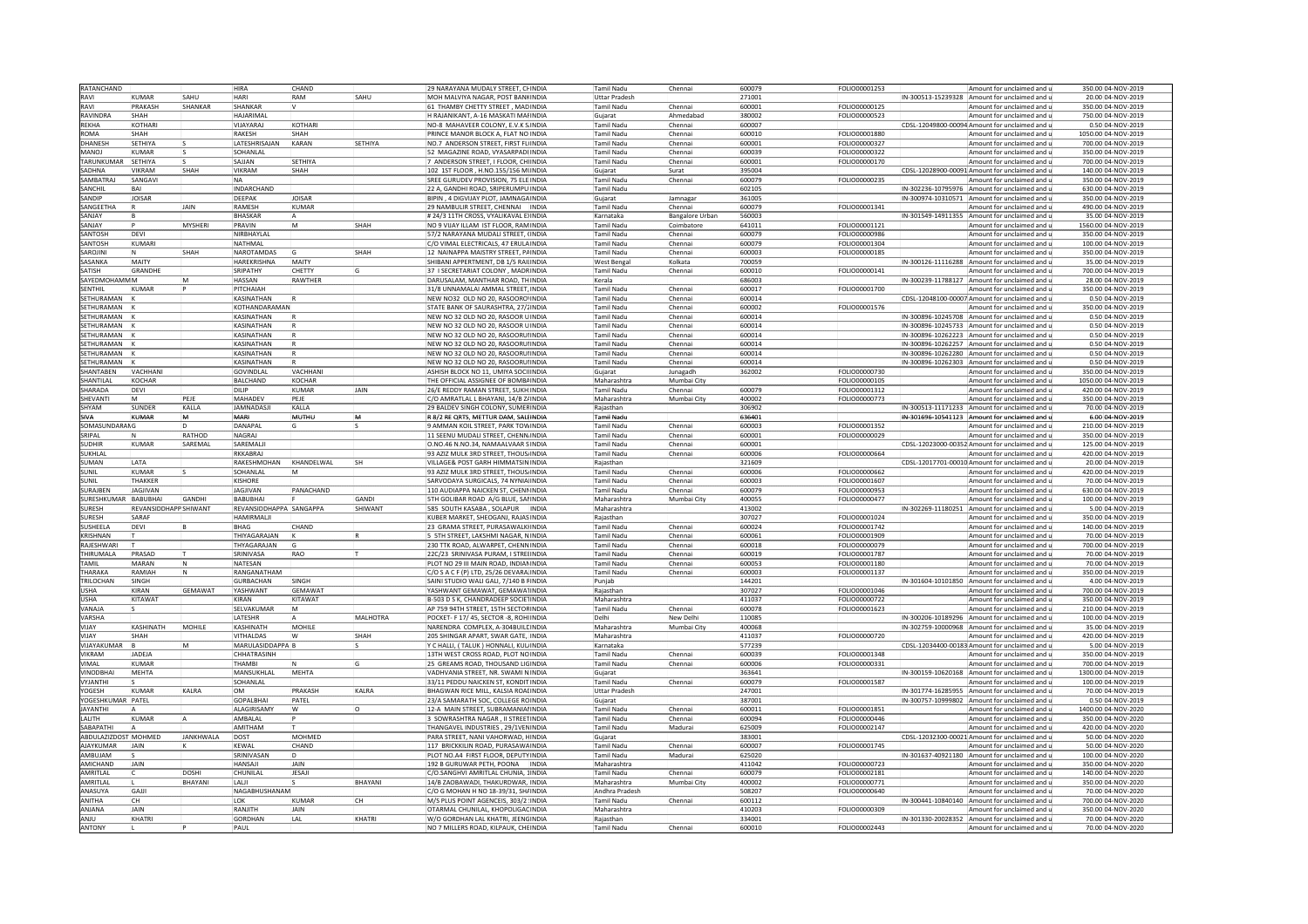| RATANCHAND           |                                |                  | <b>HIRA</b>             | CHAND         |                | 29 NARAYANA MUDALY STREET, CHINDIA           |              | Tamil Nadu           | Chennai                | 600079 | FOLIO00001253        |                    | Amount for unclaimed and                       | 350.00 04-NOV-2019  |
|----------------------|--------------------------------|------------------|-------------------------|---------------|----------------|----------------------------------------------|--------------|----------------------|------------------------|--------|----------------------|--------------------|------------------------------------------------|---------------------|
| RAVI                 | <b>UMAR</b>                    | SAHU             | HARI                    | RAM           | SAHU           | MOH MALVIYA NAGAR, POST BANKINDIA            |              | <b>Uttar Pradesi</b> |                        | 271001 |                      |                    | IN-300513-15239328 Amount for unclaimed and    | 20.00 04-NOV-2019   |
| RAVI                 | <b>RAKASH</b>                  | SHANKAR          | SHANKAR                 |               |                | 1 THAMBY CHETTY STREET, MADINDIA             |              | <b>Tamil Nadu</b>    | Chennai                | 600001 | FOLIO00000125        |                    | Amount for unclaimed and                       | 350.00 04-NOV-2019  |
| RAVINDRA             | SHAH                           |                  | <b>HAIARIMAI</b>        |               |                | H RAJANIKANT, A-16 MASKATI MALINDIA          |              | Gujarat              | Ahmedahad              | 380002 | FOLIO00000523        |                    | Amount for unclaimed and                       | 750.00 04-NOV-2019  |
| REKHA                | KOTHARI                        |                  | VIJAYARAJ               | KOTHARI       |                | NO-8 MAHAVEER COLONY, E.V.K SINDIA           |              | <b>Tamil Nadu</b>    | Chenna                 | 600007 |                      |                    | CDSL-12049800-00094 Amount for unclaimed and   | 0.50 04-NOV-2019    |
|                      |                                |                  |                         |               |                |                                              |              |                      |                        |        |                      |                    |                                                |                     |
| ROMA                 | SHAH                           |                  | <b>RAKESH</b>           | SHAH          |                | PRINCE MANOR BLOCK A. FLAT NO INDIA          |              | Tamil Nadu           | Chennai                | 600010 | FOLIO00001880        |                    | Amount for unclaimed and                       | 1050.00 04-NOV-2019 |
| <b>DHANESH</b>       | SFTHIYA                        |                  | <b>I ATFSHRISAIAN</b>   | KARAN         | SFTHIYA        | NO.7 ANDERSON STREET, FIRST FLUNDIA          |              | Tamil Nadu           | Chennai                | 600001 | FOLIO00000327        |                    | Amount for unclaimed and i                     | 700.0004-NOV-2019   |
| LOMAM                | <b>UMAR</b>                    |                  | SOHANLAL                |               |                | 2 MAGAZINE ROAD, VYASARPADI INDIA            |              | Tamil Nadu           | Chenna                 | 600039 | FOLIO00000322        |                    | Amount for unclaimed and                       | 350.00 04-NOV-2019  |
| TARUNKUMAR           | SETHIYA                        |                  | SAJJAN                  | SETHIYA       |                | 7 ANDERSON STREET, I FLOOR, CHUNDIA          |              | Tamil Nadu           | Chenna                 | 600001 | FOLIO00000170        |                    | Amount for unclaimed and                       | 700.00 04-NOV-2019  |
| SADHNA               | VIKRAM                         | SHAH             | VIKRAM                  | SHAH          |                | 102 1ST FLOOR . H.NO.155/156 MUNDIA          |              | Guiarat              | Surat                  | 395004 |                      |                    | CDSL-12028900-00091 Amount for unclaimed and   | 140.00 04-NOV-2019  |
| SAMBATRAJ            | SANGAVI                        |                  | <b>NA</b>               |               |                | SREE GURUDEV PROVISION, 75 ELE INDIA         |              | <b>Tamil Nadu</b>    | Chennai                | 600079 | FOLIO00000235        |                    | Amount for unclaimed and                       | 350.00 04-NOV-2019  |
| SANCHIL              | RΔI                            |                  | <b>INDARCHAND</b>       |               |                | 22 A, GANDHI ROAD, SRIPERUMPU INDIA          |              | Tamil Nadu           |                        | 602105 |                      |                    | IN-302236-10795976 Amount for unclaimed and    | 630.00 04-NOV-2019  |
| SANDIP               | <b>JOISAR</b>                  |                  | DEEPAK                  | JOISAR        |                | BIPIN, 4 DIGVIJAY PLOT, JAMNAGA INDIA        |              | Guiarat              | Jamnagar               | 361005 |                      |                    | IN-300974-10310571 Amount for unclaimed and    | 350.00 04-NOV-2019  |
| SANGEETHA            |                                | JAIN             | RAMESH                  | <b>KUMAR</b>  |                | 29 NAMBULIR STREET, CHENNAI INDIA            |              | <b>Tamil Nadu</b>    | Chennai                | 600079 | FOLIO00001341        |                    | Amount for unclaimed and                       | 490.00 04-NOV-2019  |
| SANIAY               |                                |                  | <b>BHASKAF</b>          |               |                | # 24/3 11TH CROSS, VYALIKAVAL EXINDIA        |              | Karnataka            | <b>Bangalore Urban</b> | 560003 |                      |                    | IN-301549-14911355 Amount for unclaimed and    | 35.00 04-NOV-2019   |
| SANJAY               |                                | MYSHERI          | PRAVIN                  | M             | SHAH           | NO 9 VIJAY ILLAM IST FLOOR, RAMINDIA         |              | <b>Tamil Nadu</b>    | Coimbator              | 641011 | FOLIO00001121        |                    | Amount for unclaimed and                       | 1560.00 04-NOV-2019 |
|                      |                                |                  |                         |               |                |                                              |              |                      |                        |        |                      |                    |                                                |                     |
| SANTOSH              | DEVI                           |                  | NIRBHAYLAI              |               |                | 57/2 NARAYANA MUDALI STREET, (INDIA          |              | Tamil Nadu           | Chenna                 | 600079 | FOLIO00000986        |                    | Amount for unclaimed and i                     | 350.00 04-NOV-2019  |
| SANTOSH              | KUMARI                         |                  | NATHMAL                 |               |                | C/O VIMAL ELECTRICALS, 47 ERULAINDIA         |              | <b>Tamil Nadu</b>    | Chennai                | 600079 | FOLIO00001304        |                    | Amount for unclaimed and                       | 100.00 04-NOV-2019  |
| <b>AROJINI</b>       |                                | SHAH             | NAROTAMDAS              |               | SHAH           | 12 NAINAPPA MAISTRY STREET, PAINDIA          |              | Tamil Nadu           | Chenna                 | 600003 | FOLIO00000185        |                    | Amount for unclaimed and                       | 350.00 04-NOV-2019  |
| SASANKA              | MAITY                          |                  | HAREKRISHNA             | MAITY         |                | SHIBANI APPERTMENT, DB 1/5 RAILINDIA         |              | <b>West Benga</b>    | Kolkata                | 700059 |                      |                    | IN-300126-11116288 Amount for unclaimed and    | 35.00 04-NOV-2019   |
| SATISH               | GRANDHE                        |                  | SRIPATHY                | CHETT         | lG             | 37   SECRETARIAT COLONY, MADRINDIA           |              | <b>Tamil Nadu</b>    | Chennai                | 600010 | FOLIO00000141        |                    | Amount for unclaimed and                       | 700.00 04-NOV-2019  |
| SAYEDMOHAMMM         |                                |                  | HASSAN                  | RAWTHER       |                | DARUSALAM, MANTHAR ROAD, THINDIA             |              | Kerala               |                        | 686003 |                      |                    | IN-300239-11788127 Amount for unclaimed and    | 28.00 04-NOV-2019   |
| SENTHIL              | KUMAR                          |                  | PITCHAIAH               |               |                | 31/8 UNNAMALAI AMMAL STREET, INDIA           |              | Tamil Nadu           | Chenna                 | 600017 | FOLIO00001700        |                    | Amount for unclaimed and                       | 350.00 04-NOV-2019  |
| SFTHURAMAN           |                                |                  | KASINATHAN              |               |                | NEW NO32 OLD NO 20, RASOORO INDIA            |              | Tamil Nadu           | Chennai                | 600014 |                      |                    | CDSL-12048100-00007 Amount for unclaimed and   | 0.50 04-NOV-2019    |
| SETHURAMAN           |                                |                  | KOTHANDARAMAN           |               |                | STATE BANK OF SAURASHTRA, 27/2INDIA          |              | Tamil Nadu           | Chennai                | 600002 | FOLIO00001576        |                    | Amount for unclaimed and                       | 350.00 04-NOV-2019  |
| SFTHURAMAN           |                                |                  | KASINATHAN              |               |                | NEW NO 32 OLD NO 20, RASOOR UINDIA           |              | Tamil Nadu           | Chenna                 | 600014 |                      |                    | IN-300896-10245708 Amount for unclaimed and    | 0.50 04-NOV-2019    |
| SETHURAMAN           |                                |                  | KASINATHAN              |               |                | NEW NO 32 OLD NO 20, RASOOR UINDIA           |              | <b>Tamil Nadu</b>    | Chenna                 | 600014 |                      |                    | IN-300896-10245733 Amount for unclaimed and    | 0.50 04-NOV-2019    |
| SETHURAMAN           |                                |                  | KASINATHAN              |               |                |                                              |              | <b>Tamil Nadu</b>    |                        | 600014 |                      |                    |                                                |                     |
|                      |                                |                  |                         |               |                | NEW NO 32 OLD NO 20, RASOORUINDIA            |              |                      | Chennai                |        |                      |                    | IN-300896-10262223 Amount for unclaimed and    | 0.50 04-NOV-2019    |
| SFTHURAMAN           |                                |                  | KASINATHAN              |               |                | NEW NO 32 OLD NO 20, RASOORU INDIA           |              | <b>Tamil Nadu</b>    | Chennai                | 600014 |                      |                    | IN-300896-10262257 Amount for unclaimed and r  | 0.50 04-NOV-2019    |
| SETHURAMAN           |                                |                  | KASINATHAN              |               |                | NEW NO 32 OLD NO 20, RASOORUINDIA            |              | Tamil Nadu           | Chenna                 | 600014 |                      |                    | IN-300896-10262280 Amount for unclaimed and    | 0.50 04-NOV-2019    |
| SETHURAMAN           |                                |                  | KASINATHAN              |               |                | NEW NO 32 OLD NO 20, RASOORUINDIA            |              | Tamil Nadu           | Chenna                 | 600014 |                      | IN-300896-10262303 | Amount for unclaimed and                       | 0.50 04-NOV-2019    |
| SHANTAREN            | VACHHANI                       |                  | <b>GOVINDI AI</b>       | VACHHANI      |                | <b>JASHISH BLOCK NO 11. UMIYA SOCIJINDIA</b> |              | Guiarat              | Junagadh               | 362002 | EQLIQ00000730        |                    | Amount for unclaimed and <b>i</b>              | 350.00 04-NOV-2019  |
| SHANTILAL            | KOCHAR                         |                  | BALCHAND                | KOCHAR        |                | THE OFFICIAL ASSIGNEE OF BOMBAINDIA          |              | Maharashtra          | Mumbai City            |        | FOLIO00000105        |                    | Amount for unclaimed and                       | 1050.00 04-NOV-2019 |
| SHARADA              | DEVI                           |                  | DILIP                   | <b>KUMAR</b>  | JAIN           | 26/E REDDY RAMAN STREET, SUKH INDIA          |              | Tamil Nadu           | Chenna                 | 600079 | FOLIO00001312        |                    | Amount for unclaimed and                       | 420.00 04-NOV-2019  |
| SHEVANTI             |                                | PEJE             | MAHADEV                 | PEJE          |                | C/O AMRATLAL L BHAYANI, 14/B ZAINDIA         |              | Maharashtra          | Mumbai City            | 400002 | FOLIO00000773        |                    | Amount for unclaimed and                       | 350.00 04-NOV-2019  |
| SHYAM                | SUNDER                         | KALLA            | <b>JAMNADASJI</b>       | KALLA         |                | 9 BALDEV SINGH COLONY, SUMERINDIA            |              | Rajasthan            |                        | 06902  |                      |                    | IN-300513-11171233 Amount for unclaimed and u  | 70.00 04-NOV-2019   |
| SIVA                 | KUMAR                          |                  | MARI                    | MUTHU         | İм             | R 8/2 RE QRTS, METTUR DAM, SALIINDIA         |              | Tamil Nadu           |                        | 636401 |                      |                    | IN-301696-10541123 Amount for unclaimed and    | 6.00 04-NOV-2019    |
| <b>SOMASUNDARANG</b> |                                | D                | DANAPAL                 |               |                | 9 AMMAN KOIL STREET, PARK TOWINDIA           |              | <b>Tamil Nadu</b>    | Chenna                 | 600003 | FOLIO00001352        |                    | Amount for unclaimed and                       | 210.00 04-NOV-2019  |
| SRIPAL               |                                | RATHOD           | NAGRAJ                  |               |                |                                              |              | <b>Tamil Nadu</b>    | Chenna                 | 600001 |                      |                    | Amount for unclaimed and                       |                     |
|                      |                                |                  |                         |               |                | 11 SEENU MUDALI STREET, CHENN INDIA          |              |                      |                        |        | FOLIO00000029        |                    |                                                | 350.00 04-NOV-2019  |
| <b>SUDHIR</b>        | KUMAR                          | SAREMAL          | SAREMALI                |               |                | O.NO.46 N.NO.34, NAMAALVAAR SINDIA           |              | <b>Tamil Nadu</b>    | Chenna                 | 600001 |                      |                    | CDSL-12023000-00352 Amount for unclaimed and r | 125.00 04-NOV-2019  |
|                      |                                |                  |                         |               |                |                                              |              |                      |                        |        |                      |                    |                                                |                     |
| SUKHI AI             |                                |                  | RKKABRAI                |               |                | 93 AZIZ MULK 3RD STREET. THOUS INDIA         |              | <b>Tamil Nadu</b>    | Chennai                | 600006 | <b>FOLIO00000664</b> |                    | Amount for unclaimed and                       | 420.0004-NOV-2019   |
| SUMAN                | LATA                           |                  | RAKESHMOHAN             | KHANDELWAI    | <b>SH</b>      | VILLAGE& POST GARH HIMMATSIN INDIA           |              | Raiasthan            |                        | 321609 |                      |                    | CDSL-12017701-00010 Amount for unclaimed and   | 20.00 04-NOV-2019   |
| SUNIL                | KIIMAR                         |                  | SOHANLAL                |               |                | 93 AZIZ MULK 3RD STREET, THOUS INDIA         |              | Tamil Nadu           | Chennai                | 600006 | FOLIO00000662        |                    | Amount for unclaimed and                       | 420.00 04-NOV-2019  |
| SUNIL                | THAKKER                        |                  | <b>KISHORE</b>          |               |                | SARVODAYA SURGICALS, 74 NYNIA INDIA          |              | <b>Tamil Nadu</b>    | Chennai                | 600003 | FOLIO00001607        |                    | Amount for unclaimed and                       | 70.00 04-NOV-2019   |
| SURAJBEN             | <b>JAGJIVAN</b>                |                  | <b>JAGJIVAN</b>         | PANACHAND     |                | 110 AUDIAPPA NAICKEN ST, CHENNINDIA          |              | Tamil Nadu           | Chenna                 | 600079 | FOLIO00000953        |                    | Amount for unclaimed and                       | 630.00 04-NOV-2019  |
| SURESHKUMAR          | RABURHAL                       | <b>GANDHI</b>    | <b>BABURHAL</b>         |               | GANDI          | 5TH GOLIBAR ROAD A/G BLUE, SAMINDIA          |              | Maharashtra          | Mumbai City            | 400055 | FOLIO00000477        |                    | Amount for unclaimed and                       | 100.00 04-NOV-2019  |
|                      |                                |                  |                         |               |                |                                              |              |                      |                        |        |                      |                    |                                                |                     |
| SURESH               | REVANSIDDHAPP SHIWANT<br>SARAF |                  | REVANSIDDHAPPA SANGAPPA |               | <b>SHIWANT</b> | 585 SOUTH KASABA . SOLAPUR INDIA             |              | Maharashtra          |                        | 413002 |                      |                    | N-302269-11180251 Amount for unclaimed and     | 5.00 04-NOV-2019    |
| SURESH               |                                |                  | HAMIRMALI               |               |                | KUBER MARKET, SHEOGANJ, RAJASINDIA           |              | Rajasthar            |                        | 307027 | FOLIO00001024        |                    | Amount for unclaimed and                       | 350.00 04-NOV-2019  |
| <b>SUSHEFLA</b>      | DFVI                           |                  | <b>BHAG</b>             | CHAND         |                | 23 GRAMA STREET, PURASAWALKUNDIA             |              | Tamil Nadu           | Chenna                 | 600024 | FOLIO00001742        |                    | Amount for unclaimed and <b>i</b>              | 140.00 04-NOV-2019  |
| KRISHNAN             |                                |                  | THIYAGARAJAN            |               |                | 5 5TH STREET, LAKSHMI NAGAR, NINDIA          |              | <b>Tamil Nadu</b>    | Chennai                | 600061 | FOLIO00001909        |                    | Amount for unclaimed and                       | 70.00 04-NOV-2019   |
| <b>RAJESHWAR</b>     |                                |                  | THYAGARAJAN             |               |                | 230 TTK ROAD, ALWARPET, CHENNINDIA           |              | <b>Tamil Nadu</b>    | Chennai                | 600018 | FOLIO00000079        |                    | Amount for unclaimed and                       | 700.00 04-NOV-2019  |
| THIRUMALA            | PRASAD                         |                  | SRINIVASA               | RAO           |                | 22C/23 SRINIVASA PURAM, I STRELINDIA         |              | <b>Tamil Nadu</b>    | Chennai                | 600019 | FOLIO00001787        |                    | Amount for unclaimed and                       | 70.00 04-NOV-2019   |
| TAMIL                | MARAN                          |                  | NATESAN                 |               |                | <b>PLOT NO 29 III MAIN ROAD. INDIANINDIA</b> |              | Tamil Nadu           | Chennai                | 600053 | FOLIO00001180        |                    | Amount for unclaimed and                       | 70.00 04-NOV-2019   |
| THARAKA              | RAMIAH                         |                  | RANGANATHAM             |               |                | C/O S A C F (P) LTD, 25/26 DEVARA INDIA      |              | <b>Tamil Nadu</b>    | Chenna                 | 600003 | FOLIO00001137        |                    | Amount for unclaimed and                       | 350.00 04-NOV-2019  |
| TRILOCHAN            | SINGH                          |                  | <b>GURBACHAN</b>        | SINGH         |                | SAINI STUDIO WALI GALI, 7/140 B FINDIA       |              | Puniab               |                        | 144201 |                      |                    | IN-301604-10101850 Amount for unclaimed and    | 4.00 04-NOV-2019    |
| <b>USHA</b>          | KIRAN                          | <b>GEMAWAT</b>   | YASHWANT                | GEMAWAT       |                | YASHWANT GEMAWAT, GEMAWATINDIA               |              | Rajasthan            |                        | 307027 | FOLIO00001046        |                    | Amount for unclaimed and                       | 700.00 04-NOV-2019  |
| LISHA                | KITAWAT                        |                  | KIRAN                   | KITAWAT       |                | B-503 D S K. CHANDRADEEP SOCIETINDIA         |              | Maharashtra          |                        | 411037 | FOLIO00000722        |                    | Amount for unclaimed and <b>i</b>              | 350.00 04-NOV-2019  |
| VANAJA               |                                |                  | SELVAKUMAR              |               |                | AP 759 94TH STREET, 15TH SECTORINDIA         |              | Tamil Nadu           | Chennai                | 600078 | FOLIO00001623        |                    | Amount for unclaimed and                       | 210.00 04-NOV-2019  |
| VARSHA               |                                |                  | LATESHF                 |               |                | POCKET- F 17/ 45, SECTOR -8, ROHIINDIA       |              | Delhi                | New Delh               | 110085 |                      | IN-300206-10189296 | Amount for unclaimed and                       | 100.00 04-NOV-2019  |
|                      | KASHINATH                      | MOHILE           | KASHINATH               | MOHILE        | MALHOTRA       |                                              |              |                      |                        | 400068 |                      |                    |                                                |                     |
| VIJAY                |                                |                  |                         |               |                | NARENDRA COMPLEX, A-304BUILDINDIA            |              | Maharashtra          | Mumbai City            |        |                      |                    | IN-302759-10000968 Amount for unclaimed and    | 35.00 04-NOV-2019   |
| VIJAY                | SHAH                           |                  | VITHALDAS               |               | SHAH           | 205 SHINGAR APART, SWAR GATE, INDIA          |              | Maharashtra          |                        | 411037 | FOLIO00000720        |                    | Amount for unclaimed and                       | 420.00 04-NOV-2019  |
| VIJAYAKUMAR          |                                | м                | MARULASIDDAPPA B        |               | ls.            | Y C HALLI, (TALUK) HONNALI, KULINDIA         |              | Karnataka            |                        | 577239 |                      |                    | CDSL-12034400-00183 Amount for unclaimed and   | 5.00 04-NOV-2019    |
| <b>VIKRAM</b>        | <b>IADEIA</b>                  |                  | CHHATRASINH             |               |                | 13TH WEST CROSS ROAD. PLOT NOINDIA           |              | <b>Tamil Nadu</b>    | Chennai                | 600039 | FOLIO00001348        |                    | Amount for unclaimed and                       | 350.00 04-NOV-2019  |
| VIMAL                | <b>UMAR</b>                    |                  | THAMB                   |               |                | 25 GREAMS ROAD, THOUSAND LICINDIA            |              | Tamil Nadu           | Chennai                | 600006 | FOLIO00000331        |                    | Amount for unclaimed and                       | 700.00 04-NOV-2019  |
| VINODBHAI            | MEHTA                          |                  | MANSUKHLAL              | MEHTA         |                | VADHVANIA STREET, NR. SWAMI NINDIA           |              | Gujarat              |                        | 363641 |                      |                    | IN-300159-10620168 Amount for unclaimed and    | 1300.00 04-NOV-2019 |
| <b>VYIANTHI</b>      |                                |                  | SOHANLAL                |               |                | 33/11 PEDDU NAICKEN ST. KONDITINDIA          |              | Tamil Nadu           | Chennai                | 600079 | <b>FOLIO00001587</b> |                    | Amount for unclaimed and                       | 100.00 04-NOV-2019  |
| YOGESH               | KUMAR                          | KALRA            | <b>OM</b>               | PRAKASH       | KALRA          | BHAGWAN RICE MILL, KALSIA ROAUNDIA           |              | <b>Uttar Pradesh</b> |                        | 247001 |                      |                    | IN-301774-16285955 Amount for unclaimed and    | 70.00 04-NOV-2019   |
| YOGESHKUMAR PATEL    |                                |                  | <b>GOPALBHAI</b>        | PATEL         |                | 23/A SAMARATH SOC, COLLEGE ROINDIA           |              | Gujarat              |                        | 387001 |                      |                    | IN-300757-10999802 Amount for unclaimed and    | 0.50 04-NOV-2019    |
| <b>JAYANTHI</b>      |                                |                  | <b>ALAGIRISAMY</b>      | lw            |                | 12-A MAIN STREET, SUBRAMANIANINDIA           |              | <b>Tamil Nadu</b>    | Chennai                | 600011 | FOLIO00001851        |                    | Amount for unclaimed and                       | 1400.00 04-NOV-2020 |
| LALITH               | KUMAR                          |                  | AMBALA                  |               |                | 3 SOWRASHTRA NAGAR, II STREET INDIA          |              | Tamil Nadu           | Chenna                 | 600094 | FOLIO00000446        |                    | Amount for unclaimed and                       | 350.00 04-NOV-2020  |
| SABAPATHI            |                                |                  | AMITHAM                 |               |                |                                              |              | <b>Tamil Nadu</b>    | Madurai                | 625009 |                      |                    | Amount for unclaimed and                       | 420.00 04-NOV-2020  |
|                      |                                | <b>JANKHWALA</b> | DOST                    | MOHMED        |                | THANGAVEL INDUSTRIES, 29/1VENINDIA           |              | Guiarat              |                        | 383001 | FOLIO00002147        |                    |                                                |                     |
| ABDULAZIZDOS         | MOHMED                         |                  |                         |               |                | PARA STREET, NANI VAHORWAD, HINDIA           |              |                      |                        |        |                      |                    | CDSL-12032300-00021 Amount for unclaimed and   | 50.00 04-NOV-2020   |
| <b>AJAYKUMAR</b>     | JAIN                           |                  | KEWAL                   | CHAND         |                | 117 BRICKKILIN ROAD, PURASAWAINDIA           |              | Tamil Nadu           | Chennai                | 600007 | FOLIO00001745        |                    | Amount for unclaimed and                       | 50.00 04-NOV-2020   |
| <b>AMBUJAM</b>       |                                |                  | SRINIVASAN              | ID.           |                | PLOT NO.A4 FIRST FLOOR, DEPUTYINDIA          |              | Tamil Nadu           | Madurai                | 625020 |                      |                    | IN-301637-40921180 Amount for unclaimed and (  | 100.00 04-NOV-2020  |
| AMICHAND             | JAIN                           |                  | <b>HANSAJ</b>           | <b>JAIN</b>   |                | 92 B GURUWAR PETH, POONA                     | <b>INDIA</b> | Maharashtra          |                        | 411042 | FOLIO00000723        |                    | Amount for unclaimed and                       | 350.00 04-NOV-2020  |
| AMRITLAL             |                                | <b>DOSHI</b>     | CHUNILAL                | <b>JESAJI</b> |                | C/O.SANGHVI AMRITLAL CHUNIA, 1INDIA          |              | Tamil Nadu           | Chenna                 | 600079 | FOLIO00002181        |                    | Amount for unclaimed and                       | 140.00 04-NOV-2020  |
| <b>AMRITLAL</b>      |                                | <b>BHAYANI</b>   | IAII                    |               | BHAYANI        | 14/B ZAOBAWADI. THAKURDWAR. INDIA            |              | Maharashtra          | Mumbai City            | 400002 | <b>FOLIO00000771</b> |                    | Amount for unclaimed and                       | 350.0004-NOV-2020   |
| ANASUYA              | GAJJI                          |                  | NAGABHUSHANAM           |               |                | C/O G MOHAN H NO 18-39/31, SHAINDIA          |              | Andhra Pradesh       |                        | 508207 | FOLIO00000640        |                    | Amount for unclaimed and                       | 70.00 04-NOV-2020   |
| ANITHA               | CН                             |                  | LOK                     | KUMAR         | <b>CH</b>      | M/S PLUS POINT AGENCEIS, 303/2 INDIA         |              | Tamil Nadu           | Chennai                | 600112 |                      |                    | IN-300441-10840140 Amount for unclaimed and    | 700.00 04-NOV-2020  |
| ANJANA               | JAIN                           |                  | RANIITH                 | JAIN          |                | OTARMAL CHUNILAL. KHOPOLIGAĆINDIA            |              | Maharashtra          |                        | 410203 | FOLIO00000309        |                    | Amount for unclaimed and                       | 350.00 04-NOV-2020  |
| ULIAA                | KHATRI                         |                  | GORDHAN                 | LAL           | KHATRI         | W/O GORDHAN LAL KHATRI, JEENGINDIA           |              | Raiasthan            |                        | 34001  |                      |                    | IN-301330-20028352 Amount for unclaimed and    | 70.00 04-NOV-2020   |
| <b>ANTONY</b>        |                                |                  | PAUL                    |               |                | NO 7 MILLERS ROAD, KILPAUK, CHEINDIA         |              | <b>Tamil Nadu</b>    | Chennai                | 600010 | FOLIO00002443        |                    | Amount for unclaimed and                       | 70.00 04-NOV-2020   |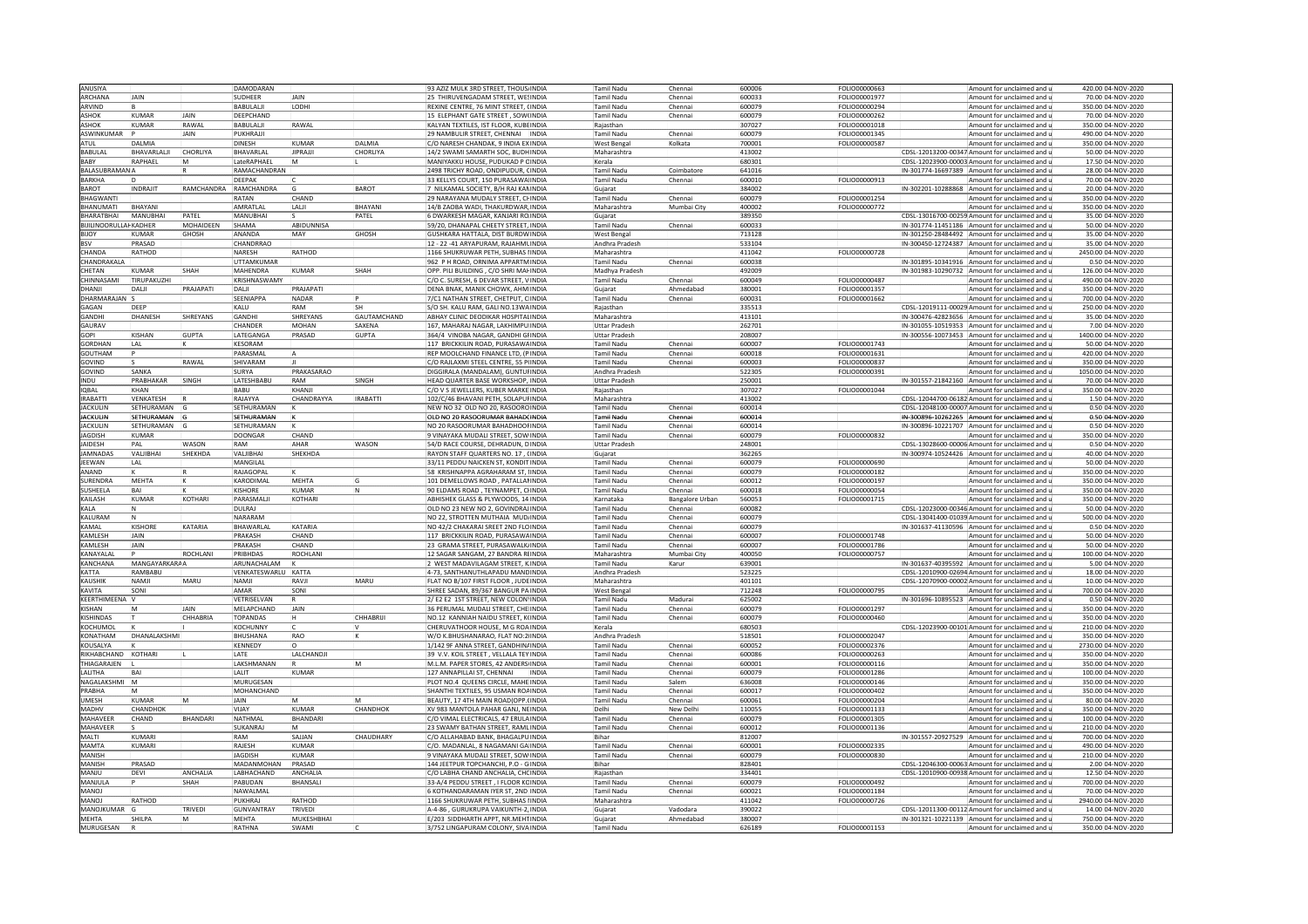| ANUSIYA                          |                   |                 | DAMODARAN           |                    |                    | 93 AZIZ MULK 3RD STREET, THOUS INDIA                                        |              | Tamil Nadu               | Chenna          | 600006          | FOLIO00000663 | Amount for unclaimed and                                                  | 420.00 04-NOV-2020                       |
|----------------------------------|-------------------|-----------------|---------------------|--------------------|--------------------|-----------------------------------------------------------------------------|--------------|--------------------------|-----------------|-----------------|---------------|---------------------------------------------------------------------------|------------------------------------------|
| ARCHANA                          | JAIN              |                 | SUDHEER             | JAIN               |                    | 25 THIRUVENGADAM STREET, WESINDIA                                           |              | <b>Tamil Nadu</b>        | Chennai         | 600033          | FOLIO00001977 | Amount for unclaimed and                                                  | 70.00 04-NOV-2020                        |
| ARVIND                           |                   |                 | BABULALI            | <b>LODH</b>        |                    | REXINE CENTRE, 76 MINT STREET, (INDIA                                       |              | Tamil Nadu               | Chennai         | 600079          | FOLIO00000294 | Amount for unclaimed and                                                  | 350.00 04-NOV-2020                       |
|                                  |                   |                 |                     |                    |                    |                                                                             |              |                          |                 |                 |               |                                                                           |                                          |
| <b>ASHOK</b>                     | KUMAR             | <b>IAIN</b>     | DEEPCHAND           |                    |                    | 15 ELEPHANT GATE STREET, SOW(INDIA                                          |              | <b>Tamil Nadu</b>        | Chennai         | 600079          | FOLIO00000262 | Amount for unclaimed and a                                                | 70.00 04-NOV-2020                        |
| <b>ASHOK</b>                     | KUMAR             | RAWAL           | BABULALI            | RAWAL              |                    | KALYAN TEXTILES, IST FLOOR, KUBEINDIA                                       |              | Raiasthan                |                 | 307027          | FOLIO00001018 | Amount for unclaimed and                                                  | 350.00 04-NOV-2020                       |
| ASWINKUMAR                       |                   | <b>JAIN</b>     | PUKHRAJJI           |                    |                    | 29 NAMBULIR STREET, CHENNAI  INDIA                                          |              | <b>Tamil Nadu</b>        | Chennai         | 600079          | FOLIO00001345 | Amount for unclaimed and                                                  | 490.00 04-NOV-2020                       |
| ATUL                             | DAI MIA           |                 | <b>DINESH</b>       | KUMAR              | <b>DAIMIA</b>      | C/O NARESH CHANDAK, 9 INDIA EXINDIA                                         |              | West Bengal              | Kolkata         | 700001          | FOLIO00000587 | Amount for unclaimed and i                                                | 350.0004-NOV-2020                        |
| BABULAL                          | BHAVARLALJI       | CHORLIYA        | BHAVARLAL           | <b>JIPRAJJI</b>    | CHORLIYA           | 14/2 SWAMI SAMARTH SOC, BUDHINDIA                                           |              | Maharashtra              |                 | 413002          |               | CDSL-12013200-00347 Amount for unclaimed and                              | 50.00 04-NOV-2020                        |
| BABY                             | RAPHAEL           |                 | LateRAPHAEI         |                    |                    | MANIYAKKU HOUSE, PUDUKAD P CINDIA                                           |              | Kerala                   |                 | 680301          |               | CDSL-12023900-00003 Amount for unclaimed and                              | 17.50 04-NOV-2020                        |
| <b>BALASUBRAMANA</b>             |                   |                 | RAMACHANDRAN        |                    |                    | 2498 TRICHY ROAD, ONDIPUDUR, CINDIA                                         |              | <b>Tamil Nadu</b>        | Coimbatore      | 641016          |               | IN-301774-16697389 Amount for unclaimed and                               | 28.00 04-NOV-2020                        |
|                                  |                   |                 |                     |                    |                    |                                                                             |              |                          |                 |                 |               |                                                                           |                                          |
| <b>BARKHA</b>                    |                   |                 | DEEPAK              |                    |                    | 33 KELLYS COURT, 150 PURASAWA INDIA                                         |              | Tamil Nadu               | Chennai         | 600010          | FOLIO00000913 | Amount for unclaimed and                                                  | 70.00 04-NOV-2020                        |
| <b>BAROT</b>                     | INDRAJIT          | RAMCHANDRA      | RAMCHANDRA          |                    | BAROT              | 7 NILKAMAL SOCIETY, B/H RAJ KANINDIA                                        |              | Gujarat                  |                 | 384002          |               | IN-302201-10288868 Amount for unclaimed and                               | 20.00 04-NOV-2020                        |
| BHAGWANTI                        |                   |                 | RATAN               | CHAND              |                    | 29 NARAYANA MUDALY STREET. CHINDIA                                          |              | <b>Tamil Nadu</b>        | Chennai         | 600079          | FOLIO00001254 | Amount for unclaimed and                                                  | 350.00 04-NOV-2020                       |
| <b>BHANUMATI</b>                 | BHAYANI           |                 | AMRATLAI            | LALI               | BHAYANI            | 4/B ZAOBA WADI, THAKURDWAR, INDIA                                           |              | Maharashtra              | Mumbai City     | 400002          | FOLIO00000772 | Amount for unclaimed and                                                  | 350.00 04-NOV-2020                       |
| <b>BHARATBHA</b>                 | MANURHAI          | PATFI           | MANURHA             |                    | PATEL              | 6 DWARKESH MAGAR, KANJARI ROINDIA                                           |              | Gujarat                  |                 | 389350          |               | CDSL-13016700-00259 Amount for unclaimed and                              | 35.00 04-NOV-2020                        |
| <b>BIJILINOORULLAH KADHER</b>    |                   | MOHAIDEEN       | SHAMA               | ABIDUNNISA         |                    | 59/20, DHANAPAL CHEETY STREET, INDIA                                        |              | <b>Tamil Nadu</b>        | Chennai         | 600033          |               | IN-301774-11451186 Amount for unclaimed and                               | 50.00 04-NOV-2020                        |
| BIJOY                            | KUMAR             | GHOSH           | ANANDA              | MAY                | GHOSH              | GUSHKARA HATTALA, DIST BURDWINDIA                                           |              | West Bengal              |                 | 713128          |               | IN-301250-28484492 Amount for unclaimed and u                             | 35.00 04-NOV-2020                        |
| <b>BSV</b>                       | PRASAD            |                 | CHANDRRAO           |                    |                    | 12 - 22 -41 ARYAPURAM, RAJAHMUINDIA                                         |              | Andhra Pradesh           |                 | 533104          |               | IN-300450-12724387 Amount for unclaimed and                               | 35.00 04-NOV-2020                        |
|                                  |                   |                 |                     |                    |                    |                                                                             |              |                          |                 |                 |               |                                                                           |                                          |
| CHANDA                           | <b>ATHOD</b>      |                 | NARESH              | RATHOD             |                    | 166 SHUKRUWAR PETH, SUBHAS INDIA                                            |              | Maharashtra              |                 | 111042          | FOLIO00000728 | Amount for unclaimed and                                                  | 2450.00 04-NOV-2020                      |
| CHANDRAKALA                      |                   |                 | <b>UTTAMKUMAR</b>   |                    |                    | 962 P H ROAD, ORNIMA APPARTM INDIA                                          |              | Tamil Nadu               | Chenna          | 600038          |               | IN-301895-10341916 Amount for unclaimed and                               | 0.50 04-NOV-2020                         |
| CHETAN                           | KUMAR             | SHAH            | MAHENDRA            | KUMAR              | SHAH               | OPP, PILI BUILDING , C/O SHRI MAHINDIA                                      |              | Madhya Pradesh           |                 | 492009          |               | IN-301983-10290732 Amount for unclaimed and                               | 126.00 04-NOV-2020                       |
| CHINNASAMI                       | <b>IRUPAKUZHI</b> |                 | KRISHNASWAMY        |                    |                    | C/O C. SURESH, 6 DEVAR STREET, VINDIA                                       |              | <b>Tamil Nadu</b>        | Chennai         | 600049          | FOLIO00000487 | Amount for unclaimed and                                                  | 490.00 04-NOV-2020                       |
| DHANII                           | DALJI             | PRAJAPATI       | DALI                | PRAJAPATI          |                    | DENA BNAK, MANIK CHOWK, AHM INDIA                                           |              | Gujarat                  | Ahmedabad       | 380001          | FOLIO00001357 | Amount for unclaimed and                                                  | 350.00 04-NOV-2020                       |
| DHARMARAIAN                      |                   |                 | SEENIAPPA           | <b>NADAR</b>       |                    | 7/C1 NATHAN STREET, CHETPUT, CINDIA                                         |              | Tamil Nadu               | Chennai         | 600031          | FOLIO00001662 | Amount for unclaimed and                                                  | 700.00.04-NOV-2020                       |
| GAGAN                            | DFFP              |                 | KALU                | RAM                |                    | S/O SH. KALU RAM, GALI NO.13WA INDIA                                        |              | Raiasthan                |                 | 335513          |               | CDSL-12019111-00029 Amount for unclaimed and                              | 250.00 04-NOV-2020                       |
| GANDHI                           | DHANESH           | <b>SHREYANS</b> | GANDHI              |                    | <b>GAUTAMCHAND</b> |                                                                             |              |                          |                 |                 |               |                                                                           |                                          |
|                                  |                   |                 |                     | SHREYANS           |                    | ABHAY CLINIC DEODIKAR HOSPITALINDIA                                         |              | Maharashtra              |                 | 413101          |               | IN-300476-42823656 Amount for unclaimed and                               | 35.00 04-NOV-2020                        |
| GAURAV                           |                   |                 | CHANDER             | <b>MOHAN</b>       | SAXENA             | 167, MAHARAJ NAGAR, LAKHIMPU INDIA                                          |              | <b>Uttar Prades</b>      |                 | 262701          |               | IN-301055-10519353 Amount for unclaimed and                               | 7.00 04-NOV-2020                         |
| GOPI                             | KISHAN            | <b>GUPTA</b>    | LATEGANGA           | PRASAD             | <b>GUPTA</b>       | 364/4 VINOBA NAGAR, GANDHI GHINDIA                                          |              | <b>Uttar Pradesh</b>     |                 | 208007          |               | IN-300556-10073453 Amount for unclaimed and                               | 1400.00 04-NOV-2020                      |
| GORDHAN                          | I AI              |                 | KESORAM             |                    |                    | 117 BRICKKILIN ROAD, PURASAWAINDIA                                          |              | <b>Tamil Nadu</b>        | Chennai         | 600007          | FOLIO00001743 | Amount for unclaimed and                                                  | 50.00 04-NOV-2020                        |
| GOUTHAM                          |                   |                 | PARASMAI            |                    |                    | REP MOOLCHAND FINANCE LTD, (PINDIA                                          |              | Tamil Nadu               | Chenna          | 600018          | FOLIO00001631 | Amount for unclaimed and                                                  | 420.00 04-NOV-2020                       |
| GOVIND                           |                   | RAWAI           | SHIVARAM            |                    |                    | C/O RAJLAXMI STEEL CENTRE, 55 P(INDIA                                       |              | Tamil Nadu               | Chennai         | 600003          | FOLIO00000837 | Amount for unclaimed and                                                  | 350.00 04-NOV-2020                       |
| <b>GOVIND</b>                    | SANKA             |                 | SURYA               | PRAKASARAO         |                    | DIGGIRALA (MANDALAM), GUNTURINDIA                                           |              | Andhra Pradesh           |                 | 522305          | FOLIO00000391 | Amount for unclaimed and i                                                | 1050.00 04-NOV-2020                      |
| INDU                             | PRABHAKAR         | SINGH           | LATESHBABU          | RAM                | SINGH              | HEAD QUARTER BASE WORKSHOP, INDIA                                           |              | <b>Uttar Pradesh</b>     |                 | 250001          |               | IN-301557-21842160 Amount for unclaimed and                               | 70.00 04-NOV-2020                        |
| <b>IOBAL</b>                     | KHAN              |                 |                     | KHANII             |                    |                                                                             |              |                          |                 |                 |               |                                                                           |                                          |
|                                  |                   |                 | BABU                |                    |                    | C/O V S JEWELLERS, KUBER MARKE INDIA                                        |              | Rajasthan                |                 | 307027          | FOLIO00001044 | Amount for unclaimed and a                                                | 350.00 04-NOV-2020                       |
| <b>IRABATT</b>                   | VENKATESH         |                 | RAJAYYA             | CHANDRAYYA         | <b>IRABATTI</b>    | 102/C/46 BHAVANI PETH, SOLAPURINDIA                                         |              | Maharashtra              |                 | 413002          |               | CDSL-12044700-06182 Amount for unclaimed and r                            | 1.50 04-NOV-2020                         |
| <b>JACKULIN</b>                  | SETHURAMAN G      |                 | SETHURAMAN          |                    |                    | NEW NO 32 OLD NO 20, RASOOROINDIA                                           |              | Tamil Nadu               | Chennai         | 600014          |               | CDSL-12048100-00007 Amount for unclaimed and u                            | 0.50 04-NOV-2020                         |
| <b>JACKULIN</b>                  | SETHURAMAN        |                 | SETHURAMAN          |                    |                    | OLD NO 20 RASOORUMAR BAHAD(INDIA                                            |              | Tamil Nadu               |                 | 600014          |               | IN-300896-10262265 Amount for unclaimed and                               | 0.50 04-NOV-2020                         |
| <b>JACKULIN</b>                  | SETHURAMAN G      |                 | SETHURAMAN          |                    |                    | NO 20 RASOORUMAR BAHADHOOFINDIA                                             |              | <b>Tamil Nadu</b>        | Chenna          | 600014          |               | IN-300896-10221707 Amount for unclaimed and                               | 0.50 04-NOV-2020                         |
| <b>JAGDISH</b>                   | KUMAR             |                 | <b>DOONGAR</b>      | CHAND              |                    | 9 VINAYAKA MUDALI STREET, SOW INDIA                                         |              | <b>Tamil Nadu</b>        | Chennai         | 600079          | FOLIO00000832 | Amount for unclaimed and u                                                | 350.00 04-NOV-2020                       |
| <b>IAIDESH</b>                   | PAI               | WASON           | RAM                 | AHAR               | WASON              | 54/D RACE COURSE, DEHRADUN, DINDIA                                          |              | Uttar Pradesh            |                 | 248001          |               | CDSL-13028600-00006 Amount for unclaimed and r                            | 0.50 04-NOV-2020                         |
| <b>IAMNADAS</b>                  | VAI IIBHAI        | SHEKHDA         | VAI IIRHAI          | SHEKHDA            |                    | RAYON STAFF OUARTERS NO. 17 CINDIA                                          |              | Guiarat                  |                 | 362265          |               | IN-300974-10524426 Amount for unclaimed and                               | 40.00 04-NOV-2020                        |
|                                  |                   |                 |                     |                    |                    |                                                                             |              |                          |                 |                 |               |                                                                           |                                          |
| JEEWAN                           | LAL               |                 | MANGILAL            |                    |                    | 33/11 PEDDU NAICKEN ST. KONDITINDIA                                         |              | <b>Tamil Nadu</b>        | Chennai         | 600079          | FOLIO00000690 | Amount for unclaimed and                                                  | 50.00 04-NOV-2020                        |
|                                  |                   |                 |                     |                    |                    |                                                                             |              |                          |                 |                 |               |                                                                           |                                          |
| ANAND                            |                   |                 | RAJAGOPAL           |                    |                    | 58 KRISHNAPPA AGRAHARAM ST. UNDIA                                           |              | Tamil Nadu               | Chennai         | 600079          | FOLIO00000182 | Amount for unclaimed and                                                  | 350.00 04-NOV-2020                       |
| SURENDRA                         | MEHTA             |                 | KARODIMAL           | MEHTA              |                    | 101 DEMELLOWS ROAD . PATALLANINDIA                                          |              | <b>Tamil Nadu</b>        | Chennai         | 600012          | FOLIO00000197 | Amount for unclaimed and                                                  | 350.00 04-NOV-2020                       |
| SUSHEELA                         | BA                |                 | <b>KISHORE</b>      | <b>KUMAR</b>       | ١N                 | 90 ELDAMS ROAD, TEYNAMPET, CHNDIA                                           |              | Tamil Nadu               | Chennai         | 600018          | FOLIO00000054 | Amount for unclaimed and                                                  | 350.00 04-NOV-2020                       |
| KAILASH                          | KUMAR             | <b>KOTHARI</b>  | PARASMALII          | <b>KOTHARI</b>     |                    | ABHISHEK GLASS & PLYWOODS, 14 INDIA                                         |              | Karnataka                | Bangalore Urban | 560053          | FOLIO00001715 | Amount for unclaimed and (                                                | 350.00 04-NOV-2020                       |
| KALA                             |                   |                 | DULRAJ              |                    |                    | OLD NO 23 NEW NO 2, GOVINDRAJINDIA                                          |              | <b>Tamil Nadu</b>        | Chennai         | 600082          |               | CDSL-12023000-00346 Amount for unclaimed and                              | 50.00 04-NOV-2020                        |
| KALURAM                          |                   |                 | NARARAM             |                    |                    | NO 22, STROTTEN MUTHAIA MUDINDIA                                            |              | Tamil Nadu               | Chenna          | 600079          |               | CDSL-13041400-01039 Amount for unclaimed and                              | 500.00 04-NOV-2020                       |
| KAMAI                            | KISHORE           | KATARIA         | <b>BHAWARIA</b>     | KATARIA            |                    | NO 42/2 CHAKARAI SREET 2ND FLOINDIA                                         |              | <b>Tamil Nadu</b>        | Chenna          | 600079          |               | IN-301637-41130596 Amount for unclaimed and u                             | $0.50 04-NOV-2020$                       |
| KAMLESH                          | <b>AIN</b>        |                 | PRAKASH             | CHAND              |                    | 117 BRICKKILIN ROAD, PURASAWAINDIA                                          |              | <b>Tamil Nadu</b>        | Chennai         | 600007          | FOLIO00001748 | Amount for unclaimed and                                                  | 50.00 04-NOV-2020                        |
| KAMLESH                          | <b>JAIN</b>       |                 | PRAKASH             | CHAND              |                    | 23 GRAMA STREET, PURASAWALK INDIA                                           |              | <b>Tamil Nadu</b>        | Chennai         | 600007          | FOLIO00001786 | Amount for unclaimed and                                                  | 50.00 04-NOV-2020                        |
| KANAYALAI                        |                   | ROCHLANI        | PRIBHDAS            | ROCHLANI           |                    | 12 SAGAR SANGAM, 27 BANDRA RUNDIA                                           |              | Maharashtra              | Mumbai City     | 400050          | FOLIO00000757 | Amount for unclaimed and                                                  | 100.00 04-NOV-2020                       |
| KANCHANA                         | MANGAYARKARAA     |                 | ARUNACHALAM         |                    |                    | WEST MADAVILAGAM STREET, KINDIA                                             |              |                          |                 | 39001           |               |                                                                           | 5.00 04-NOV-2020                         |
| KATTA                            | RAMBARU           |                 | VENKATESWARLU KATTA |                    |                    | 4-73. SANTHANUTHLAPADU MANDINDIA                                            |              | Tamil Nadu               | Karur           | 523225          |               | IN-301637-40395592 Amount for unclaimed and                               | 18.00 04-NOV-2020                        |
|                                  | NAMI              |                 |                     | RAVII              |                    |                                                                             |              | Andhra Pradesh           |                 |                 |               | CDSL-12010900-02694 Amount for unclaimed and                              |                                          |
| <b>KAUSHIK</b>                   |                   | MARU            | NAMJI               |                    | MARU               | FLAT NO B/107 FIRST FLOOR, JUDEINDIA                                        |              | Maharashtra              |                 | 401101          |               | CDSL-12070900-00002 Amount for unclaimed and                              | 10.00 04-NOV-2020                        |
| KAVITA                           | SONI              |                 | AMAR                | SONI               |                    | SHREE SADAN, 89/367 BANGUR PAINDIA                                          |              | West Bengal              |                 | 712248          | FOLIO00000795 | Amount for unclaimed and                                                  | 700.00 04-NOV-2020                       |
| KEERTHIMEENA                     |                   |                 | VETRISELVAN         |                    |                    | 2/ E2 E2 1ST STREET. NEW COLON INDIA                                        |              | Tamil Nadu               | Madurai         | 625002          |               | IN-301696-10895523 Amount for unclaimed and (                             | 0.50i04-NOV-2020                         |
| KISHAN                           |                   | IAIN            | MELAPCHAND          | JAIN               |                    | 36 PERUMAL MUDALI STREET, CHE INDIA                                         |              | Tamil Nadu               | Chennai         | 600079          | FOLIO00001297 | Amount for unclaimed and                                                  | 350.00 04-NOV-2020                       |
| <b>KISHINDAS</b>                 |                   | CHHABRIA        | <b>TOPANDAS</b>     |                    | CHHABRIJI          | NO.12 KANNIAH NAIDU STREET, KUNDIA                                          |              | Tamil Nadu               | Chenna          | 600079          | FOLIO00000460 | Amount for unclaimed and                                                  | 350.00 04-NOV-2020                       |
| KOCHUMO                          |                   |                 | <b>KOCHUNNY</b>     |                    |                    | CHERUVATHOOR HOUSE, M G ROAINDIA                                            |              | Kerala                   |                 | 680503          |               | CDSL-12023900-00101 Amount for unclaimed and                              | 210.00 04-NOV-2020                       |
| KONATHAM                         | DHANALAKSHMI      |                 | BHUSHANA            | RAO                |                    | W/O K.BHUSHANARAO, FLAT NO:2 INDIA                                          |              | Andhra Pradesh           |                 | 518501          | FOLIO00002047 | Amount for unclaimed and                                                  | 350.00 04-NOV-2020                       |
| KOUSALYA                         |                   |                 | KENNEDY             |                    |                    | 1/142 9F ANNA STREET, GANDHINAINDIA                                         |              | Tamil Nadu               | Chenna          | 600052          | FOLIO00002376 | Amount for unclaimed and a                                                | 2730.00 04-NOV-2020                      |
| RIKHARCHAND                      | KOTHARI           |                 | LATE                | LALCHANDJI         |                    | 39 V.V. KOIL STREET, VELLALA TEYINDIA                                       |              | <b>Tamil Nadu</b>        | Chennai         | 600086          | FOLIO00000263 | Amount for unclaimed and                                                  | 350.00 04-NOV-2020                       |
| THIAGARAJEN                      |                   |                 |                     |                    | M                  |                                                                             |              | Tamil Nadu               | Chennai         | 600001          |               | Amount for unclaimed and                                                  |                                          |
| LALITHA                          |                   |                 | LAKSHMANAN<br>LALIT | KUMAR              |                    | M.L.M. PAPER STORES, 42 ANDERS INDIA                                        | <b>INDIA</b> |                          | Chenna          | 600079          | FOLIO00000116 |                                                                           | 350.00 04-NOV-2020<br>100.00 04-NOV-2020 |
| NAGAI AKSHMI                     |                   |                 | MURUGESAN           |                    |                    | 127 ANNAPILLAI ST, CHENNAI<br>PLOT NO.4 OUFFNS CIRCLE, MAHEINDIA            |              | Tamil Nadu<br>Tamil Nadu | Salem           | 636008          | FOLIO00001286 | Amount for unclaimed and<br>Amount for unclaimed and                      | 350.00 04-NOV-2020                       |
|                                  |                   |                 |                     |                    |                    |                                                                             |              |                          |                 |                 | FOLIO00000146 |                                                                           |                                          |
| PRABHA                           |                   |                 | MOHANCHAND          |                    |                    | SHANTHI TEXTILES, 95 USMAN ROAINDIA                                         |              | <b>Tamil Nadu</b>        | Chennai         | 600017          | FOLIO00000402 | Amount for unclaimed and                                                  | 350.00 04-NOV-2020                       |
| UMESH                            | KUMAR             | M               | <b>AIAL</b>         |                    |                    | BEAUTY, 17 4TH MAIN ROAD(OPP. INDIA                                         |              | <b>Tamil Nadu</b>        | Chennai         | 600061          | FOLIO00000204 | Amount for unclaimed and                                                  | 80.00 04-NOV-2020                        |
| MADHV                            | <b>HANDHOK</b>    |                 | VIJAY               | KUMAR              | CHANDHOK           | XV 983 MANTOLA PAHAR GANJ, NEINDIA                                          |              | Delhi                    | New Delhi       | 110055          | FOLIO00001133 | Amount for unclaimed and                                                  | 350.00 04-NOV-2020                       |
| MAHAVEER                         | CHAND             | BHANDARI        | NATHMAL             | BHANDARI           |                    | C/O VIMAL ELECTRICALS, 47 ERULAINDIA                                        |              | Tamil Nadu               | Chenna          | 600079          | FOLIO00001305 | Amount for unclaimed and                                                  | 100.00 04-NOV-2020                       |
| MAHAVEER                         |                   |                 | SUKANRAJ            | <b>IM</b>          |                    | 23 SWAMY BATHAN STREET, RAMLINDIA                                           |              | <b>Tamil Nadu</b>        | Chennai         | 600012          | FOLIO00001136 | Amount for unclaimed and                                                  | 210.00 04-NOV-2020                       |
| MALTI                            | KUMARI            |                 | RAM                 | SAJJAN             | CHAUDHARY          | C/O ALLAHABAD BANK, BHAGALPUINDIA                                           |              | <b>Bihar</b>             |                 | 812007          |               | IN-301557-20927529 Amount for unclaimed and                               | 700.00 04-NOV-2020                       |
| <b>MAMTA</b>                     | KUMARI            |                 | RAJESH              | <b>KUMAR</b>       |                    | C/O. MADANLAL, 8 NAGAMANI GA INDIA                                          |              | Tamil Nadu               | Chennai         | 600001          | FOLIO00002335 | Amount for unclaimed and                                                  | 490.00 04-NOV-2020                       |
| MANISH                           |                   |                 | <b>IAGDISH</b>      | KUMAR              |                    | 9 VINAYAKA MUDALI STREET, SOWINDIA                                          |              | Tamil Nadu               | Chennai         | 600079          | FOLIO00000830 | Amount for unclaimed and a                                                | 210.00 04-NOV-2020                       |
| MANISH                           | PRASAD            |                 | MADANMOHAN          | PRASAD             |                    | 144 JEETPUR TOPCHANCHI, P.O - GINDIA                                        |              | Bihar                    |                 | 828401          |               | CDSL-12046300-00063 Amount for unclaimed and                              | 2.00 04-NOV-2020                         |
| MANJU                            | DEVI              | ANCHALIA        | LABHACHAND          | ANCHALIA           |                    |                                                                             |              | Raiasthar                |                 | 334401          |               | CDSL-12010900-00938 Amount for unclaimed and                              |                                          |
| <b>MANIULA</b>                   |                   | SHAH            | PABUDAN             | <b>BHANSALI</b>    |                    | C/O LABHA CHAND ANCHALIA, CHOINDIA<br>33-A/4 PEDDU STREET . I ELOOR KOINDIA |              | Tamil Nadu               | Chennai         | 600079          | FOLIO00000492 | Amount for unclaimed and                                                  | 12.50 04-NOV-2020<br>700.0004-NOV-2020   |
|                                  |                   |                 |                     |                    |                    |                                                                             |              |                          |                 |                 |               |                                                                           |                                          |
| <b>MANOJ</b>                     |                   |                 | NAWALMAL            |                    |                    | 6 KOTHANDARAMAN IYER ST, 2ND INDIA                                          |              | Tamil Nadu               | Chennai         | 600021          | FOLIO00001184 | Amount for unclaimed and                                                  | 70.00 04-NOV-2020                        |
| <b>MANOJ</b>                     | RATHOD            |                 | PUKHRAJ             | RATHOD             |                    | 1166 SHUKRUWAR PETH, SUBHAS (INDIA                                          |              | Maharashtra              |                 | 411042          | FOLIO00000726 | Amount for unclaimed and                                                  | 2940.00 04-NOV-2020                      |
| MANOJKUMAR                       |                   | TRIVEDI         | <b>GUNVANTRAY</b>   | TRIVED             |                    | 4-4-86 . GURUKRUPA VAIKUNTH-2JINDIA                                         |              | Guiarat                  | Vadodara        | 390022          |               | CDSL-12011300-00112 Amount for unclaimed and                              | 14.00 04-NOV-2020                        |
| <b>MEHTA</b><br><b>MURUGESAN</b> | <b>HILPA</b>      |                 | MEHTA<br>RATHNA     | MUKESHBHAI<br>SWAM |                    | :/203 SIDDHARTH APPT, NR.MEHTINDIA<br>3/752 LINGAPURAM COLONY, SIVAINDIA    |              | Gujarat<br>Tamil Nadu    | Ahmedabac       | 80007<br>626189 | FOLIO00001153 | IN-301321-10221139 Amount for unclaimed and (<br>Amount for unclaimed and | 750.00 04-NOV-2020<br>350.00 04-NOV-2020 |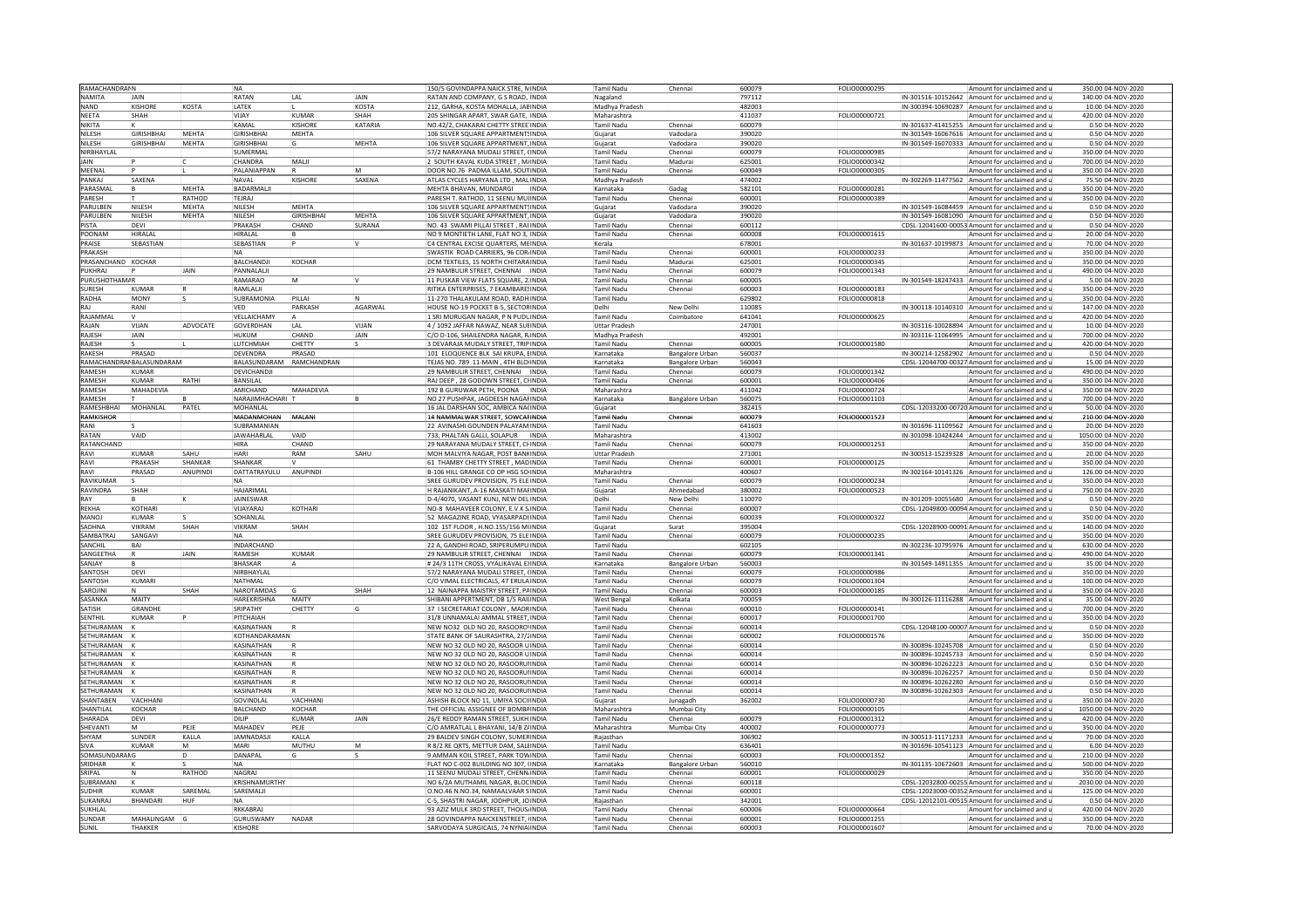| RAMACHANDRAIN      |                           |             | <b>NA</b>           |                |              | 150/5 GOVINDAPPA NAICK STRE, MINDIA        | Tamil Nadu           | Chennai                | 600079 | FOLIO00000295        |                    | Amount for unclaimed and u                    | 350.00 04-NOV-2020  |
|--------------------|---------------------------|-------------|---------------------|----------------|--------------|--------------------------------------------|----------------------|------------------------|--------|----------------------|--------------------|-----------------------------------------------|---------------------|
| NAMITA             | JAIN                      |             | RATAN               | LAL            | JAIN         | RATAN AND COMPANY, G S ROAD, INDIA         | Nagaland             |                        | 797112 |                      |                    | IN-301516-10152642 Amount for unclaimed and   | 140.00 04-NOV-2020  |
| NAND               | KISHORE                   | KOSTA       | LATEK               |                | <b>KOSTA</b> | 212, GARHA, KOSTA MOHALLA, JAEINDIA        | Madhya Pradesh       |                        | 482003 |                      |                    | N-300394-10690287 Amount for unclaimed and    | 10.00 04-NOV-2020   |
|                    | SHAH                      |             | VIIAY               | KUMAR          | SHAH         |                                            | Maharashtra          |                        | 411037 | FOLIO00000721        |                    |                                               | 420.00 04-NOV-2020  |
| NEETA              |                           |             |                     |                |              | 205 SHINGAR APART, SWAR GATE, INDIA        |                      |                        |        |                      |                    | Amount for unclaimed and                      |                     |
| NIKITA             |                           |             | KAMAL               | <b>KISHORE</b> | KATARIA      | NO.42/2, CHAKARAI CHETTY STREE INDIA       | Tamil Nadu           | Chenna                 | 600079 |                      |                    | IN-301637-41415255 Amount for unclaimed and   | 0.50 04-NOV-2020    |
| NILESH             | <b>GIRISHBHAI</b>         | MEHTA       | <b>GIRISHBHAI</b>   | MEHTA          |              | 106 SILVER SQUARE APPARTMENTSINDIA         | Gujarat              | Vadodara               | 390020 |                      |                    | IN-301549-16067616 Amount for unclaimed and   | 0.50 04-NOV-2020    |
| NII FSH            | GIRISHRHAI                | MFHTA       | <b>GIRISHBHAI</b>   | İG             | MFHTA        | 106 SILVER SOUARE APPARTMENT INDIA         | Guiarat              | Vadodara               | 390020 |                      |                    | IN-301549-16070333 Amount for unclaimed and u | 0.50 04-NOV-2020    |
| VIRBHAYLAL         |                           |             | SUMERMAL            |                |              | 7/2 NARAYANA MUDALI STREET, (INDIA         | Tamil Nadu           | Chenna                 | 500079 | FOLIO00000985        |                    | Amount for unclaimed and                      | 350.00 04-NOV-2020  |
| <b>AIN</b>         |                           |             | <b>CHANDRA</b>      | MALI           |              | SOUTH KAVAL KUDA STREET, MAINDIA           | Tamil Nadu           | Madura                 | 525001 | FOLIO00000342        |                    | Amount for unclaimed and                      | 700.00 04-NOV-2020  |
| MEENAI             |                           |             | PALANIAPPAN         |                | İМ           | DOOR NO.76 PADMA ILLAM. SOUTINDIA          | <b>Tamil Nadu</b>    | Chennai                | 600049 | FOLIO00000305        |                    | Amount for unclaimed and                      | 350.00 04-NOV-2020  |
|                    |                           |             |                     |                |              |                                            |                      |                        |        |                      |                    |                                               |                     |
| PANKAJ             | SAXENA                    |             | NAVAL               | <b>KISHORE</b> | SAXENA       | ATLAS CYCLES HARYANA LTD, MALINDIA         | Madhya Pradesh       |                        | 474002 |                      |                    | IN-302269-11477562 Amount for unclaimed and   | 75.50 04-NOV-2020   |
| PARASMAI           |                           | MEHTA       | BADARMALI           |                |              | MEHTA BHAVAN, MUNDARGI<br>INDIA            | Karnataka            | Gadag                  | 582101 | FOLIO00000281        |                    | Amount for unclaimed and                      | 350.00 04-NOV-2020  |
| <b>ARESH</b>       |                           | RATHOD      | TEJRAJ              |                |              | ARESH T. RATHOD. 11 SEENU MUIINDIA         | Tamil Nadu           | Chenna                 | 600001 | FOLIO00000389        |                    | Amount for unclaimed and                      | 350.00 04-NOV-2020  |
| PARULBEN           | NILESH                    | MEHTA       | NILESH              | MEHTA          |              | 06 SILVER SQUARE APPARTMENTSINDIA          | Gujarat              | Vadodara               | 390020 |                      | IN-301549-16084459 | Amount for unclaimed and                      | 0.50 04-NOV-2020    |
| PARULBEN           | <b>NILESH</b>             | MEHTA       | NILESH              | GIRISHBHA      | MFHTA        | 106 SILVER SQUARE APPARTMENT. INDIA        | Gujarat              | Vadodar                | 390020 |                      |                    | IN-301549-16081090 Amount for unclaimed and   | 0.50 04-NOV-2020    |
| <b>ISTA</b>        | DEVI                      |             | PRAKASH             | CHAND          | SURANA       | NO. 43 SWAMI PILLAI STREET, RAI INDIA      | Tamil Nadu           | Chenna                 | 600112 |                      |                    | CDSL-12041600-00053 Amount for unclaimed and  | 0.50 04-NOV-2020    |
|                    |                           |             |                     |                |              |                                            |                      |                        |        |                      |                    |                                               |                     |
| POONAM             | HIRALAL                   |             | HIRALAL             |                |              | NO 9 MONTIETH LANE, FLAT NO 3, INDIA       | Tamil Nadu           | Chenna                 | 600008 | FOLIO00001615        |                    | Amount for unclaimed and                      | 20.00 04-NOV-2020   |
| PRAISE             | SEBASTIAN                 |             | SEBASTIAN           |                |              | C4 CENTRAL EXCISE QUARTERS. MEINDIA        | Kerala               |                        | 578001 |                      |                    | IN-301637-10199873 Amount for unclaimed and   | 70.00 04-NOV-2020   |
| <b>RAKASH</b>      |                           |             | <b>NA</b>           |                |              | WASTIK ROAD CARRIERS, 96 COR INDIA         | Tamil Nadu           | Chenna                 | 600001 | FOLIO00000233        |                    | Amount for unclaimed and                      | 350.00 04-NOV-2020  |
| PRASANCHAND KOCHAR |                           |             | BALCHANDJI          | KOCHAR         |              | DCM TEXTILES, 15 NORTH CHITARAINDIA        | Tamil Nadu           | Madura                 | 625001 | FOLIO00000345        |                    | Amount for unclaimed and                      | 350.00 04-NOV-2020  |
| PUKHRAI            |                           | <b>JAIN</b> | PANNAI ALII         |                |              | 29 NAMBULIR STREET, CHENNAI INDIA          | <b>Tamil Nadu</b>    | Chennai                | 600079 | FOLIO00001343        |                    | Amount for unclaimed and                      | 490.00 04-NOV-2020  |
| PURUSHOTHAMAR      |                           |             | RAMARAO             | İМ             |              | 11 PUSKAR VIEW FLATS SQUARE, 2 INDIA       | Tamil Nadu           | Chennai                | 500005 |                      |                    | IN-301549-18247433 Amount for unclaimed and   | 5.00 04-NOV-2020    |
| SURESH             | KUMAR                     |             | RAMLALI             |                |              |                                            |                      | Chennai                | 500003 |                      |                    |                                               |                     |
|                    |                           |             |                     |                |              | RITIKA ENTERPRISES, 7 EKAMBARESINDIA       | Tamil Nadu           |                        |        | FOLIO00000183        |                    | Amount for unclaimed and                      | 350.00 04-NOV-2020  |
| RADHA              | MONY                      |             | <b>SUBRAMONIA</b>   | PILLAI         |              | 11-270 THALAKULAM ROAD, RADHINDIA          | Tamil Nadu           |                        | 529802 | FOLIO00000818        |                    | Amount for unclaimed and                      | 350.00 04-NOV-2020  |
| LA                 | RANI                      |             | VED                 | PARKASH        | AGARWAI      | <b>IOUSE NO-19 POCKET B-5, SECTORINDIA</b> | Delhi                | New Delh               | 110085 |                      |                    | N-300118-10140310 Amount for unclaimed and    | 147.00 04-NOV-2020  |
| RAIAMMA            |                           |             | VELLAICHAMY         | İΑ             |              | 1 SRI MURUGAN NAGAR. P N PUDUINDIA         | <b>Tamil Nadu</b>    | Coimbatore             | 641041 | FOLIO00000625        |                    | Amount for unclaimed and                      | 420.00 04-NOV-2020  |
| RAJAN              | VIJAN                     | ADVOCATE    | <b>GOVERDHAN</b>    | LAL            | VIJAN        | 4 / 1092 JAFFAR NAWAZ, NEAR SU(INDIA       | <b>Uttar Pradesh</b> |                        | 247001 |                      |                    | IN-303116-10028894 Amount for unclaimed and   | 10.00 04-NOV-2020   |
| RAJESH             | <b>JAIN</b>               |             | HUKUM               | CHAND          | JAIN         | C/O D-106, SHAILENDRA NAGAR, RINDIA        | Madhya Pradesh       |                        | 492001 |                      |                    | IN-303116-11064995 Amount for unclaimed and   | 700.00 04-NOV-2020  |
| RAIFSH             |                           |             | <b>IUTCHMIAH</b>    | CHETTY         | Is.          | <b>DEVARAJA MUDALY STREET, TRIPINDIA</b>   | Tamil Nadu           | Chennai                | 600005 | FOLIO00001580        |                    | Amount for unclaimed and u                    | 420.00 04-NOV-2020  |
|                    |                           |             |                     |                |              |                                            |                      |                        |        |                      |                    |                                               |                     |
| <b>AKESH</b>       | PRASAD                    |             | DEVENDRA            | PRASAD         |              | 01 ELOQUENCE BLK SAI KRUPA, EINDIA         | Karnataka            | <b>Bangalore Urban</b> | 560037 |                      |                    | IN-300214-12582902 Amount for unclaimed and   | 0.50 04-NOV-2020    |
|                    | RAMACHANDRAI BALASUNDARAM |             | BALASUNDARAM        | RAMCHANDRAN    |              | TEJAS NO. 789 11-MAIN, 4TH BLO INDIA       | Karnataka            | <b>Bangalore Urban</b> | 560043 |                      |                    | CDSL-12044700-00327 Amount for unclaimed and  | 15.00 04-NOV-2020   |
| RAMESH             | KUMAR                     |             | DEVICHANDJI         |                |              | 29 NAMBULIR STREET, CHENNAI INDIA          | <b>Tamil Nadu</b>    | Chennai                | 600079 | FOLIO00001342        |                    | Amount for unclaimed and                      | 490.00 04-NOV-2020  |
| RAMESH             | KUMAR                     | RATHI       | BANSILAL            |                |              | RAJ DEEP, 28 GODOWN STREET, CHINDIA        | Tamil Nadu           | Chennai                | 600001 | FOLIO00000406        |                    | Amount for unclaimed and                      | 350.00 04-NOV-2020  |
| RAMESH             | MAHADEVIA                 |             | AMICHAND            | MAHADEVIA      |              | 192 B GURUWAR PETH, POONA   INDIA          | Maharashtra          |                        | 111042 | FOLIO00000724        |                    | Amount for unclaimed and                      | 350.00 04-NOV-2020  |
| RAMESH             |                           |             | NARAJIMHACHARI T    |                |              | NO 27 PUSHPAK, JAGDEESH NAGARINDIA         |                      |                        | 560075 | FOLIO00001103        |                    |                                               | 700.00 04-NOV-2020  |
|                    |                           |             |                     |                |              |                                            | Karnataka            | <b>Bangalore Urban</b> |        |                      |                    | Amount for unclaimed and                      |                     |
| RAMESHBHAI         | MOHANLAL                  | PATEL       | MOHANLAL            |                |              | 6 JAL DARSHAN SOC, AMBICA NACINDIA         | Gujarat              |                        | 382415 |                      |                    | CDSL-12033200-00720 Amount for unclaimed and  | 50.00 04-NOV-2020   |
| RAMKISHOR          |                           |             | MADANMOHAN          | MALANI         |              | 14 NAMMALWAR STREET, SOWCAFINDIA           | Tamil Nadu           | Chenna                 | 600079 | FOLIO00001523        |                    | Amount for unclaimed and                      | 210.00 04-NOV-2020  |
| RANI               |                           |             | SUBRAMANIAN         |                |              | 22 AVINASHI GOUNDEN PALAYAM INDIA          | <b>Tamil Nadu</b>    |                        | 641603 |                      |                    | IN-301696-11109562 Amount for unclaimed and   | 20.00 04-NOV-2020   |
| RATAN              | VAID                      |             | JAWAHARLAL          | VAID           |              | 733, PHALTAN GALLI, SOLAPUR  INDIA         | Maharashtra          |                        | 413002 |                      |                    | IN-301098-10424244 Amount for unclaimed and   | 1050.00 04-NOV-2020 |
| RATANCHAND         |                           |             | <b>HIRA</b>         | CHAND          |              | 29 NARAYANA MUDALY STREET, CHINDIA         | Tamil Nadu           | Chennai                | 600079 | FOLIO00001253        |                    | Amount for unclaimed and                      | 350.00 04-NOV-2020  |
|                    |                           |             |                     |                |              |                                            |                      |                        |        |                      |                    |                                               |                     |
| RAVI               | <b>CUMAR</b>              | SAHU        | HARI                | RAM            | SAHU         | VIOH MALVIYA NAGAR. POST BANKINDIA         | <b>Uttar Prades</b>  |                        | 271001 |                      | IN-300513-15239328 | Amount for unclaimed and                      | 20.00 04-NOV-2020   |
| RAVI               | PRAKASH                   | SHANKAF     | SHANKAF             |                |              | 61 THAMBY CHETTY STREET, MADINDIA          | Tamil Nadu           | Chenna                 | 600001 | FOLIO00000125        |                    | Amount for unclaimed and                      | 350.00 04-NOV-2020  |
| RAVI               | PRASAD                    | ANUPINDI    | <b>DATTATRAYULU</b> | ANUPIND        |              | B-106 HILL GRANGE CO OP HSG SO INDIA       | Maharashtra          |                        | 400607 |                      |                    | IN-302164-10141326 Amount for unclaimed and   | 126.00 04-NOV-2020  |
| RAVIKUMAR          |                           |             | <b>NA</b>           |                |              | SREE GURUDEV PROVISION, 75 ELE INDIA       | Tamil Nadu           | Chennai                | 600079 | FOLIO00000234        |                    | Amount for unclaimed and                      | 350.00 04-NOV-2020  |
| RAVINDRA           | <b>SHAH</b>               |             | <b>HAIARIMAI</b>    |                |              | H RAJANIKANT, A-16 MASKATI MALINDIA        | Gujarat              | Ahmedabad              | 380002 | FOLIO00000523        |                    | Amount for unclaimed and                      | 750.00 04-NOV-2020  |
| RAY                |                           |             | <b>IAINESWAR</b>    |                |              | D-4/4070, VASANT KUNI, NEW DELINDIA        | Delhi                | New Delhi              | 110070 |                      |                    | IN-301209-10055680 Amount for unclaimed and   | 0.50 04-NOV-2020    |
|                    |                           |             |                     |                |              |                                            |                      |                        |        |                      |                    |                                               |                     |
| REKHA              | KOTHARI                   |             | VIJAYARAJ           | KOTHARI        |              | NO-8 MAHAVEER COLONY, E.V.K SINDIA         | Tamil Nadu           | Chennai                | 500007 |                      |                    | CDSL-12049800-00094 Amount for unclaimed and  | 0.50 04-NOV-2020    |
| MANOJ              | KUMAR                     |             | SOHANLAL            |                |              | 52 MAGAZINE ROAD, VYASARPADI INDIA         | Tamil Nadu           | Chennai                | 500039 | FOLIO00000322        |                    | Amount for unclaimed and                      | 350.00 04-NOV-2020  |
| SADHNA             | <b>VIKRAM</b>             | SHAH        | <b>VIKRAM</b>       | SHAH           |              | 102 1ST FLOOR, H.NO.155/156 M INDIA        | Guiarat              | Surat                  | 395004 |                      |                    | CDSL-12028900-00091 Amount for unclaimed and  | 140.00 04-NOV-2020  |
| AMBATRAJ           | SANGAVI                   |             | <b>NA</b>           |                |              | SREE GURUDEV PROVISION, 75 ELE INDIA       | Tamil Nadu           | Chenna                 | 500079 | FOLIO00000235        |                    | Amount for unclaimed and                      | 350.00 04-NOV-2020  |
| SANCHIL            | BAI                       |             | <b>INDARCHAND</b>   |                |              | 22 A, GANDHI ROAD, SRIPERUMPU INDIA        | Tamil Nadu           |                        | 502105 |                      |                    | IN-302236-10795976 Amount for unclaimed and   | 630.00 04-NOV-2020  |
| ANGEETHA           |                           |             | RAMESH              | <b>KUMAR</b>   |              | 29 NAMBULIR STREET. CHENNAI INDIA          | Tamil Nadu           |                        | 500079 | FOLIO00001341        |                    | Amount for unclaimed and                      | 490.00 04-NOV-2020  |
|                    |                           | IAIN        |                     |                |              |                                            |                      | Chenna                 |        |                      |                    |                                               |                     |
| ANJAY              |                           |             | <b>BHASKAF</b>      |                |              | # 24/3 11TH CROSS. VYALIKAVAL EXINDIA      | Karnataka            | <b>Bangalore Urban</b> | 560003 |                      | IN-301549-14911355 | Amount for unclaimed and                      | 35.00 04-NOV-2020   |
| SANTOSH            | <b>IDFVI</b>              |             | NIRRHAYI AI         |                |              | 57/2 NARAYANA MUDALI STREET, (INDIA        | Tamil Nadu           | Chennai                | 600079 | <b>FOLIO00000986</b> |                    | Amount for unclaimed and                      | 350.00 04-NOV-2020  |
| SANTOSH            | KUMARI                    |             | NATHMAI             |                |              | C/O VIMAL ELECTRICALS, 47 ERULAINDIA       | Tamil Nadu           | Chennai                | 600079 | FOLIO00001304        |                    | Amount for unclaimed and                      | 100.00 04-NOV-2020  |
| SAROJINI           |                           | SHAH        | NAROTAMDAS          |                | SHAH         | 12 NAINAPPA MAISTRY STREET, PAINDIA        | Tamil Nadu           | Chenna                 | 500003 | FOLIO00000185        |                    | Amount for unclaimed and                      | 350.00 04-NOV-2020  |
| SASANKA            | MAITY                     |             | HAREKRISHNA         | MAITY          |              | SHIBANI APPERTMENT. DB 1/5 RAILINDIA       | West Benga           | Kolkata                | 700059 |                      |                    | IN-300126-11116288 Amount for unclaimed and   | 35.00 04-NOV-2020   |
| SATISH             | GRANDHE                   |             | SRIPATHY            | CHETTY         |              | 7 I SECRETARIAT COLONY, MADRINDIA          | Tamil Nadu           | Chenna                 | 600010 | FOLIO00000141        |                    | Amount for unclaimed and                      | 700.00 04-NOV-2020  |
| SENTHIL            | KUMAR                     |             | PITCHAIAH           |                |              |                                            |                      |                        |        |                      |                    |                                               |                     |
|                    |                           |             |                     |                |              | 31/8 UNNAMALAI AMMAL STREET, INDIA         | Tamil Nadu           | Chenna                 | 500017 | FOLIO00001700        |                    | Amount for unclaimed and                      | 350.00 04-NOV-2020  |
| SETHURAMAN         |                           |             | KASINATHAN          |                |              | NEW NO32 OLD NO 20. RASOORO INDIA          | Tamil Nadu           | Chenna                 | 600014 |                      |                    | CDSL-12048100-00007 Amount for unclaimed and  | 0.50 04-NOV-2020    |
| SETHURAMAN         |                           |             | KOTHANDARAMAN       |                |              | STATE BANK OF SAURASHTRA, 27/2INDIA        | Tamil Nadu           | Chenna                 | 600002 | FOLIO00001576        |                    | Amount for unclaimed and                      | 350.00 04-NOV-2020  |
| SETHURAMAN         |                           |             | KASINATHAN          |                |              | NEW NO 32 OLD NO 20, RASOOR UINDIA         | Tamil Nadu           | Chennai                | 500014 |                      |                    | IN-300896-10245708 Amount for unclaimed and   | 0.50 04-NOV-2020    |
| SETHURAMAN         |                           |             | KASINATHAN          |                |              | NEW NO 32 OLD NO 20, RASOOR UINDIA         | Tamil Nadu           | Chenna                 | 600014 |                      |                    | IN-300896-10245733 Amount for unclaimed and   | 0.50 04-NOV-2020    |
| SETHURAMAN         |                           |             | KASINATHAN          |                |              | NEW NO 32 OLD NO 20, RASOORU(INDIA         | Tamil Nadu           | Chenna                 | 600014 |                      | IN-300896-10262223 | Amount for unclaimed and                      | 0.50 04-NOV-2020    |
| SETHURAMAN         |                           |             | KASINATHAN          |                |              | NEW NO 32 OLD NO 20. RASOORUHNDIA          | <b>Tamil Nadu</b>    | Chenna                 | 600014 |                      |                    | IN-300896-10262257 Amount for unclaimed and   | 0.50 04-NOV-2020    |
|                    |                           |             |                     |                |              |                                            |                      |                        |        |                      |                    |                                               |                     |
| SETHURAMAN         |                           |             | KASINATHAN          |                |              | NEW NO 32 OLD NO 20, RASOORU(INDIA         | Tamil Nadu           | Chenna                 | 600014 |                      |                    | IN-300896-10262280 Amount for unclaimed and   | 0.50 04-NOV-2020    |
| SETHURAMAN         |                           |             | KASINATHAN          |                |              | NEW NO 32 OLD NO 20, RASOORU INDIA         | Tamil Nadu           | Chenna                 | 600014 |                      |                    | IN-300896-10262303 Amount for unclaimed and   | 0.50 04-NOV-2020    |
| SHANTAREN          | VACHHANI                  |             | <b>GOVINDI AI</b>   | VACHHANI       |              | ASHISH BLOCK NO 11. UMIYA SOCIIINDIA       | Guiarat              | Junagadh               | 362002 | FOLIO00000730        |                    | Amount for unclaimed and i                    | 350.0004-NOV-2020   |
| HANTILAL           | KOCHAR                    |             | BALCHAND            | KOCHAR         |              | HE OFFICIAL ASSIGNEE OF BOMBAINDIA         | Maharashtra          | Mumbai City            |        | FOLIO00000105        |                    | Amount for unclaimed and                      | 1050.00 04-NOV-2020 |
| SHARADA            | DEVI                      |             | DILIP               | KUMAR          | <b>JAIN</b>  | 26/E REDDY RAMAN STREET, SUKH INDIA        | Tamil Nadu           | Chenna                 | 600079 | FOLIO00001312        |                    | Amount for unclaimed and                      | 420.00 04-NOV-2020  |
| SHEVANT            |                           | PEJE        | MAHADEV             | PEJE           |              | C/O AMRATLAL L BHAYANI, 14/B ZAINDIA       |                      |                        | 400002 |                      |                    |                                               | 350.00 04-NOV-2020  |
|                    |                           |             |                     |                |              |                                            | Maharashtra          | Mumbai City            |        | FOLIO00000773        |                    | Amount for unclaimed and                      |                     |
| SHYAM              | SUNDER                    | KALLA       | <b>JAMNADASJI</b>   | KALLA          |              | 29 BALDEV SINGH COLONY, SUMERINDIA         | Rajasthan            |                        | 306902 |                      |                    | IN-300513-11171233 Amount for unclaimed and   | 70.00 04-NOV-2020   |
| SIVA               | KUMAR                     | м           | MARI                | MUTHU          | M            | R 8/2 RE QRTS, METTUR DAM, SALI INDIA      | Tamil Nadu           |                        | 536401 |                      |                    | IN-301696-10541123 Amount for unclaimed and   | 6.00 04-NOV-2020    |
| SOMASUNDARANO      |                           |             | DANAPAL             |                |              | AMMAN KOIL STREET, PARK TOWINDIA           | Tamil Nadu           | Chenna                 | 600003 | FOLIO00001352        |                    | Amount for unclaimed and                      | 210.00 04-NOV-2020  |
| RIDHAP             |                           |             |                     |                |              | AT NO C-002 BUILDING NO 307, INDIA         | Karnataka            | <b>Bangalore Urban</b> | 560010 |                      | IN-301135-10672603 | Amount for unclaimed and                      | 500.00 04-NOV-2020  |
| SRIPAI             |                           | RATHOD      | NAGRAI              |                |              | 11 SEENU MUDALI STREET. CHENN INDIA        | Tamil Nadu           | Chennai                | 600001 | FOLIO00000029        |                    | Amount for unclaimed and                      | 350.00 04-NOV-2020  |
|                    |                           |             |                     |                |              |                                            |                      |                        |        |                      |                    |                                               |                     |
| SUBRAMANI          |                           |             | KRISHNAMURTHY       |                |              | NO 6/2A MUTHAMIL NAGAR, BLOCINDIA          | Tamil Nadu           | Chennai                | 600118 |                      |                    | CDSL-12032800-00255 Amount for unclaimed and  | 2030.00 04-NOV-2020 |
| SUDHIR             | KUMAR                     | SAREMAL     | SAREMALJI           |                |              | O.NO.46 N.NO.34, NAMAALVAAR SINDIA         | Tamil Nadu           | Chenna                 | 500001 |                      |                    | CDSL-12023000-00352 Amount for unclaimed and  | 125.00 04-NOV-2020  |
| SUKANRAJ           | <b>BHANDARI</b>           | <b>HUF</b>  | <b>NA</b>           |                |              | -5. SHASTRI NAGAR. JODHPUR. JOINDIA        | Raiasthan            |                        | 342001 |                      |                    | CDSL-12012101-00515 Amount for unclaimed and  | 0.50 04-NOV-2020    |
| UKHLAL             |                           |             | RKKABRA             |                |              | 3 AZIZ MULK 3RD STREET, THOUS INDIA        | Tamil Nadu           | Chenna                 | 600006 | FOLIO00000664        |                    | Amount for unclaimed and                      | 420.00 04-NOV-2020  |
| SUNDAR             | MAHALINGAM                |             | GURUSWAMY           | NADAR          |              | 28 GOVINDAPPA NAICKENSTREET, INDIA         | Tamil Nadu           | Chenna                 | 500001 | FOLIO00001255        |                    | Amount for unclaimed and                      | 350.00 04-NOV-2020  |
|                    |                           |             |                     |                |              |                                            |                      | Chenna                 | 500003 | FOLIO00001607        |                    | Amount for unclaimed and                      | 70.00 04-NOV-2020   |
| SUNIL              | <b>THAKKFR</b>            |             | <b>KISHORE</b>      |                |              | SARVODAYA SURGICALS, 74 NYNIA INDIA        | <b>Tamil Nadu</b>    |                        |        |                      |                    |                                               |                     |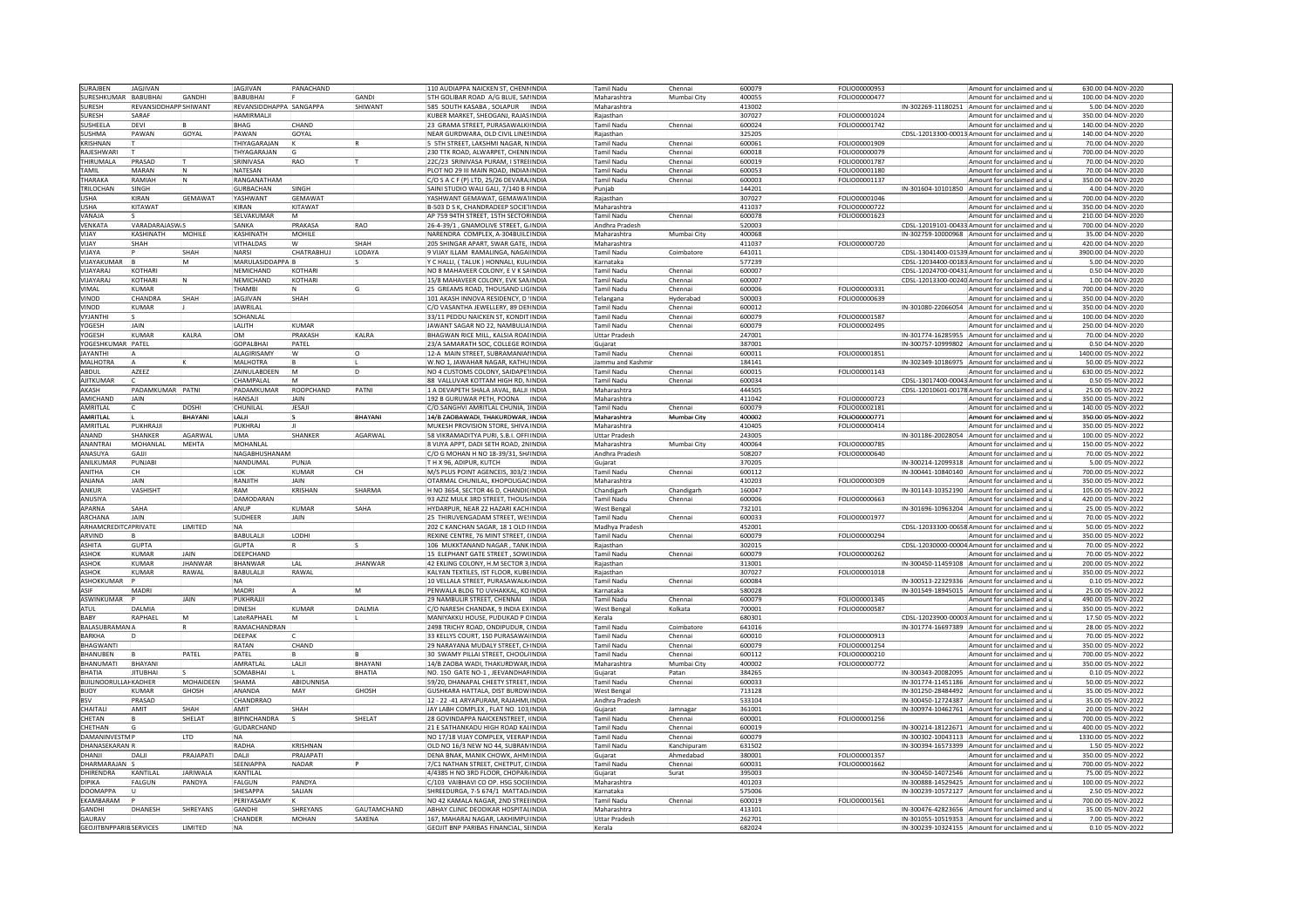| SURAJBEN                                 | JAGJIVAN                     |                 | <b>JAGJIVAN</b>         | PANACHAND       |                | 110 AUDIAPPA NAICKEN ST, CHENNINDIA                                        |       | <b>Tamil Nadu</b>              | Chennai     | 600079           | FOLIO00000953        |                    | Amount for unclaimed and                                                                     | 630.00 04-NOV-2020                   |
|------------------------------------------|------------------------------|-----------------|-------------------------|-----------------|----------------|----------------------------------------------------------------------------|-------|--------------------------------|-------------|------------------|----------------------|--------------------|----------------------------------------------------------------------------------------------|--------------------------------------|
| SURESHKUMAR                              | BABUBHAI                     | <b>GANDHI</b>   | <b>BABUBHAI</b>         |                 | GANDI          | TH GOLIBAR ROAD A/G BLUE, SANINDIA                                         |       | Maharashtra                    | Mumbai City | 400055           | FOLIO00000477        |                    | Amount for unclaimed and                                                                     | 100.00 04-NOV-2020                   |
| SURESH                                   | <b>REVANSIDDHAPP SHIWANT</b> |                 | REVANSIDDHAPPA SANGAPPA |                 | <b>SHIWANT</b> | 585 SOUTH KASABA , SOLAPUR                                                 | INDIA | Maharashtra                    |             | 413002           |                      | N-302269-11180251  | Amount for unclaimed and                                                                     | 5.00 04-NOV-2020                     |
| <b>SURFSH</b>                            | SARAF                        |                 | <b>HAMIRMALII</b>       |                 |                |                                                                            |       | Raiasthan                      |             |                  | FOLIO00001024        |                    |                                                                                              | 350.00 04-NOV-2020                   |
|                                          |                              |                 |                         |                 |                | KUBER MARKET, SHEOGANJ, RAJASINDIA                                         |       |                                |             | 307027           |                      |                    | Amount for unclaimed and u                                                                   |                                      |
| SUSHEELA                                 | DEVI                         |                 | <b>BHAG</b>             | CHAND           |                | 23 GRAMA STREET, PURASAWALKIINDIA                                          |       | <b>Tamil Nadu</b>              | Chennai     | 600024           | FOLIO00001742        |                    | Amount for unclaimed and                                                                     | 140.00 04-NOV-2020                   |
| SUSHMA                                   | PAWAN                        | GOYAL           | PAWAN                   | GOYAL           |                | NEAR GURDWARA, OLD CIVIL LINESINDIA                                        |       | Raiasthan                      |             | 325205           |                      |                    | CDSL-12013300-00013 Amount for unclaimed and u                                               | 140.00 04-NOV-2020                   |
| KRISHNAN                                 |                              |                 | THIYAGARAIAN            | İΚ              |                | 5 STH STREET. LAKSHMI NAGAR. NUNDIA                                        |       | <b>Tamil Nadu</b>              | Chennai     | 600061           | <b>FOLIO00001909</b> |                    | Amount for unclaimed and u                                                                   | 70.0004-NOV-2020                     |
| <b>RAIFSHWAR</b>                         |                              |                 | THYAGARAIAN             | lG              |                | 30 TTK ROAD, ALWARPET, CHENNINDIA                                          |       | Tamil Nadu                     | Chenna      | 600018           | <b>FOLIO00000079</b> |                    | Amount for unclaimed and                                                                     | 700.00 04-NOV-2020                   |
| <b>THIRUMALA</b>                         | PRASAD                       |                 | SRINIVASA               | RAO             |                | 22C/23 SRINIVASA PURAM, I STREIINDIA                                       |       | Tamil Nadu                     | Chenna      | 600019           | FOLIO00001787        |                    | Amount for unclaimed and                                                                     | 70.00 04-NOV-2020                    |
| TAMIL                                    | MARAN                        |                 | NATESAN                 |                 |                | PLOT NO 29 III MAIN ROAD. INDIANINDIA                                      |       | <b>Tamil Nadu</b>              | Chenna      | 600053           | FOLIO00001180        |                    | Amount for unclaimed and a                                                                   | 70.00 04-NOV-2020                    |
| THARAKA                                  | RAMIAH                       | N               | RANGANATHAM             |                 |                | C/O S A C F (P) LTD, 25/26 DEVARA INDIA                                    |       | <b>Tamil Nadu</b>              | Chennai     | 600003           | FOLIO00001137        |                    | Amount for unclaimed and                                                                     | 350.00 04-NOV-2020                   |
| <b>TRILOCHAN</b>                         | SINGH                        |                 | <b>GURBACHAN</b>        |                 |                |                                                                            |       |                                |             | 144201           |                      |                    |                                                                                              | 4.00 04-NOV-2020                     |
|                                          |                              |                 |                         | SINGH           |                | SAINI STUDIO WALI GALI, 7/140 B FINDIA                                     |       | Punjab                         |             |                  |                      |                    | IN-301604-10101850 Amount for unclaimed and                                                  |                                      |
| <b>JSHA</b>                              | KIRAN                        | <b>GEMAWAT</b>  | YASHWANT                | GEMAWAT         |                | ASHWANT GEMAWAT, GEMAWATINDIA                                              |       | Raiasthan                      |             | 307027           | FOLIO00001046        |                    | Amount for unclaimed and                                                                     | 700.00 04-NOV-2020                   |
| <b>USHA</b>                              | KITAWAT                      |                 | KIRAN                   | KITAWAT         |                | 3-503 D S K. CHANDRADEEP SOCIETINDIA                                       |       | Maharashtra                    |             | 411037           | FOLIO00000722        |                    | Amount for unclaimed and                                                                     | 350.00 04-NOV-2020                   |
| VANAIA                                   |                              |                 | <b>SFI VAKUMAR</b>      | <b>IM</b>       |                | AP 759 94TH STREET. 15TH SECTORINDIA                                       |       | <b>Tamil Nadu</b>              | Chennai     | 600078           | FOLIO00001623        |                    | Amount for unclaimed and                                                                     | 210.00 04-NOV-2020                   |
| VENKATA                                  | VARADARAJASW <sub>S</sub>    |                 | SANKA                   | PRAKASA         | <b>RAO</b>     | 26-4-39/1, GNAMOLIVE STREET, GINDIA                                        |       | Andhra Pradesh                 |             | 520003           |                      |                    | CDSL-12019101-00433 Amount for unclaimed and u                                               | 700.00 04-NOV-2020                   |
| YAUV                                     | KASHINATH                    | MOHILE          | KASHINATH               | MOHILE          |                | NARENDRA COMPLEX, A-304BUILDINDIA                                          |       | Maharashtra                    | Mumbai City | 400068           |                      |                    | IN-302759-10000968 Amount for unclaimed and u                                                | 35.00 04-NOV-2020                    |
| VIIAY                                    | SHAH                         |                 | <b>VITHAI DAS</b>       | w               | SHAH           | 205 SHINGAR APART, SWAR GATE, INDIA                                        |       | Maharashtra                    |             | 411037           | FOLIO00000720        |                    | Amount for unclaimed and                                                                     | 420.00 04-NOV-2020                   |
| VIJAYA                                   |                              | SHAH            | NARSI                   | CHATRABHUJ      | LODAYA         | VIJAY ILLAM RAMALINGA, NAGA INDIA                                          |       | <b>Tamil Nadu</b>              | Coimbatore  | 641011           |                      |                    | CDSL-13041400-01539 Amount for unclaimed and                                                 | 3900.00 04-NOV-2020                  |
| VIJAYAKUMAR                              |                              | M               |                         |                 |                |                                                                            |       |                                |             |                  |                      |                    |                                                                                              |                                      |
|                                          |                              |                 | MARULASIDDAPPA B        |                 |                | CHALLI, (TALUK) HONNALI, KULINDIA                                          |       | Karnataka                      |             | 577239           |                      |                    | CDSL-12034400-00183 Amount for unclaimed and                                                 | 5.00 04-NOV-2020                     |
| VIIAYARAI                                | KOTHARI                      |                 | NEMICHAND               | KOTHARI         |                | NO 8 MAHAVEER COLONY. E V K SAINDIA                                        |       | Tamil Nadu                     | Chennai     | 600007           |                      |                    | CDSL-12024700-00431 Amount for unclaimed and                                                 | 0.50 04-NOV-2020                     |
| <b>JUAYARAJ</b>                          | KOTHARI                      |                 | NEMICHAND               | KOTHARI         |                | 15/8 MAHAVEER COLONY, EVK SANINDIA                                         |       | <b>Tamil Nadu</b>              | Chennai     | 600007           |                      |                    | CDSL-12013300-00240 Amount for unclaimed and                                                 | 1.00 04-NOV-2020                     |
| /IMAI                                    | KUMAR                        |                 | THAMRI                  | IN.             |                | 25 GREAMS ROAD, THOUSAND LIGINDIA                                          |       | <b>Tamil Nadu</b>              | Chennai     | 600006           | FOLIO00000331        |                    | Amount for unclaimed and                                                                     | 700.00 04-NOV-2020                   |
| VINOD                                    | CHANDRA                      | SHAH            | <b>JAGJIVAN</b>         | SHAH            |                | 101 AKASH INNOVA RESIDENCY. D INDIA                                        |       | Telangana                      | Hyderabad   | 500003           | FOLIO00000639        |                    | Amount for unclaimed and                                                                     | 350.00 04-NOV-2020                   |
| <b>INOD</b>                              | KUMAR                        |                 | <b>JAWRILAI</b>         |                 |                | /O VASANTHA JEWELLERY, 89 DENINDIA                                         |       | Tamil Nadu                     | Chennai     | 600012           |                      |                    | N-301080-22066054 Amount for unclaimed and                                                   | 350.00 04-NOV-2020                   |
| <b>VYJANTH</b>                           |                              |                 | SOHANLAL                |                 |                | 33/11 PEDDU NAICKEN ST, KONDITINDIA                                        |       | Tamil Nadu                     | Chennai     | 600079           | FOLIO00001587        |                    | Amount for unclaimed and                                                                     | 100.00 04-NOV-2020                   |
| YOGESH                                   | <b>JAIN</b>                  |                 | LALITH                  | KUMAR           |                | JAWANT SAGAR NO 22, NAMBULIA INDIA                                         |       | <b>Tamil Nadu</b>              | Chennai     | 600079           | FOLIO00002495        |                    | Amount for unclaimed and                                                                     | 250.00 04-NOV-2020                   |
|                                          |                              |                 |                         |                 |                |                                                                            |       |                                |             |                  |                      |                    |                                                                                              |                                      |
| YOGESH                                   | KUMAR                        | KALRA           | <b>OM</b>               | PRAKASH         | KALRA          | BHAGWAN RICE MILL, KALSIA ROAUNDIA                                         |       | <b>Uttar Pradesh</b>           |             | 247001           |                      |                    | IN-301774-16285955 Amount for unclaimed and u                                                | 70.00 04-NOV-2020                    |
| OGESHKUMAR PATEL                         |                              |                 | <b>GOPAL BHAL</b>       | PATFI           |                | 23/A SAMARATH SOC. COLLEGE ROINDIA                                         |       | Guiarat                        |             | 387001           |                      |                    | IN-300757-10999802 Amount for unclaimed and u                                                | 0.50 04-NOV-2020                     |
| AYANTHI                                  |                              |                 | <b>ALAGIRISAMY</b>      | W               |                | 2-A MAIN STREET, SUBRAMANIALINDIA                                          |       | <b>Tamil Nadu</b>              | Chennai     | 600011           | FOLIO00001851        |                    | Amount for unclaimed and                                                                     | 1400.00 05-NOV-2022                  |
| MALHOTRA                                 |                              |                 | MALHOTRA                |                 |                | W.NO 1, JAWAHAR NAGAR, KATHUINDIA                                          |       | Jammu and Kashmi               |             | 184141           |                      |                    | IN-302349-10186975 Amount for unclaimed and                                                  | 50.00 05-NOV-2022                    |
| ABDUL                                    | AZEEZ                        |                 | ZAINULABDEEN            | $\overline{M}$  | İn             | INO 4 CUSTOMS COLONY, SAIDAPETINDIA                                        |       | <b>Tamil Nadu</b>              | Chennai     | 600015           | FOLIO00001143        |                    | Amount for unclaimed and                                                                     | 630.00 05-NOV-2022                   |
| <b>AJITKUMAR</b>                         |                              |                 | CHAMPALAL               | IM.             |                | 88 VALLUVAR KOTTAM HIGH RD. NINDIA                                         |       | <b>Tamil Nadu</b>              | Chennai     | 600034           |                      |                    | CDSL-13017400-00043 Amount for unclaimed and                                                 | 0.50 05-NOV-2022                     |
| AKASH                                    | PADAMKUMAR PATNI             |                 | PADAMKUMAR              | ROOPCHAND       | PATNI          | 1 A DEVAPETH SHALA JAVAL, BALJI INDIA                                      |       | Maharashtra                    |             | 444505           |                      |                    | CDSL-12010601-00178 Amount for unclaimed and u                                               | 25.00 05-NOV-2022                    |
| AMICHAND                                 | <b>JAIN</b>                  |                 | HANSAJI                 | JAIN            |                | 192 B GURUWAR PETH, POONA INDIA                                            |       | Maharashtra                    |             | 411042           | FOLIO00000723        |                    | Amount for unclaimed and                                                                     | 350.00 05-NOV-2022                   |
|                                          |                              |                 |                         |                 |                |                                                                            |       |                                |             |                  |                      |                    |                                                                                              |                                      |
| AMRITLAL                                 |                              | <b>DOSHI</b>    | CHUNILAL                | <b>JESAJ</b>    |                | :/O.SANGHVI AMRITLAL CHUNIA. JINDIA                                        |       | <b>Tamil Nadu</b>              | Chennai     | 600079           | FOLIO00002181        |                    | Amount for unclaimed and                                                                     | 140.00 05-NOV-2022                   |
| AMRITLAL                                 |                              | BHAYAN          | i Ai II                 |                 | RHAYANI        | 14/B ZAOBAWADI, THAKURDWAR, INDIA                                          |       | Maharashtra                    | Mumbai City | 400002           | FOLIO00000771        |                    | Amount for unclaimed and                                                                     | 350.00 05-NOV-2022                   |
| AMRITLAL                                 | PUKHRAIL                     |                 | PUKHRAJ                 |                 |                | MUKESH PROVISION STORE, SHIVA INDIA                                        |       | Maharashtra                    |             | 410405           | FOLIO00000414        |                    | Amount for unclaimed and                                                                     | 350.00 05-NOV-2022                   |
| ANAND                                    | SHANKER                      | AGARWAL         | <b>UMA</b>              | SHANKER         | AGARWAL        | 58 VIKRAMADITYA PURI, S.B.I. OFFIINDIA                                     |       | <b>Uttar Pradesh</b>           |             | 243005           |                      |                    | IN-301186-20028054 Amount for unclaimed and u                                                | 100.00 05-NOV-2022                   |
| ANANTRAI                                 | MOHANLAL                     | <b>MEHTA</b>    | MOHANLAL                |                 |                | 8 VIJYA APPT, DADI SETH ROAD, 2NINDIA                                      |       | Maharashtra                    | Mumbai City | 400064           | FOLIO00000785        |                    | Amount for unclaimed and                                                                     | 150.00 05-NOV-2022                   |
| ANASUYA                                  | GAJJI                        |                 | NAGABHUSHANAM           |                 |                | C/O G MOHAN H NO 18-39/31. SHAINDIA                                        |       | Andhra Pradesh                 |             | 508207           | FOLIO00000640        |                    | Amount for unclaimed and                                                                     | 70.00 05-NOV-2022                    |
| ANILKUMAR                                | PUNJABI                      |                 | NANDUMAL                | PUNJA           |                | TH X 96, ADIPUR, KUTCH                                                     | INDIA | Gujarat                        |             | 370205           |                      |                    | IN-300214-12099318 Amount for unclaimed and                                                  | 5.00 05-NOV-2022                     |
| ANITHA                                   | CН                           |                 | <b>IOK</b>              | KUMAR           | CН             |                                                                            |       | <b>Tamil Nadu</b>              | Chennai     | 600112           |                      |                    | IN-300441-10840140 Amount for unclaimed and u                                                | 700.00 05-NOV-2022                   |
|                                          | <b>JAIN</b>                  |                 |                         |                 |                | M/S PLUS POINT AGENCEIS, 303/2 INDIA                                       |       |                                |             |                  |                      |                    |                                                                                              |                                      |
|                                          |                              |                 |                         |                 |                |                                                                            |       |                                |             |                  |                      |                    |                                                                                              |                                      |
| ANJANA                                   |                              |                 | RANJITH                 | <b>JAIN</b>     |                | OTARMAL CHUNILAL, KHOPOLIGACINDIA                                          |       | Maharashtra                    |             | 410203           | FOLIO00000309        |                    | Amount for unclaimed and                                                                     | 350.00 05-NOV-2022                   |
| ANKUR                                    | VASHISHT                     |                 | RAM                     | <b>KRISHAN</b>  | SHARMA         | H NO 3654, SECTOR 46 D, CHANDIQINDIA                                       |       | Chandigarh                     | Chandigarh  | 160047           |                      |                    | IN-301143-10352190 Amount for unclaimed and u                                                | 105.00 05-NOV-2022                   |
| ANUSIYA                                  |                              |                 | <b>DAMODARAN</b>        |                 |                | 33 AZIZ MULK 3RD STREET. THOUS INDIA                                       |       | Tamil Nadu                     | Chennai     | 600006           | <b>FOLIO00000663</b> |                    | Amount for unclaimed and                                                                     | 420.00 05-NOV-2022                   |
| APARNA                                   |                              |                 | ANUP                    | KUMAR           | SAHA           |                                                                            |       | West Bengal                    |             |                  |                      |                    |                                                                                              |                                      |
| ARCHANA                                  | SAHA<br><b>JAIN</b>          |                 | <b>SUDHEER</b>          | JAIN            |                | IYDARPUR, NEAR 22 HAZARI KACHINDIA                                         |       |                                | Chennai     | 732101           |                      |                    | IN-301696-10963204 Amount for unclaimed and<br>Amount for unclaimed and                      | 25.00 05-NOV-2022                    |
|                                          |                              |                 |                         |                 |                | 25 THIRUVENGADAM STREET, WESINDIA                                          |       | <b>Tamil Nadu</b>              |             | 600033           | FOLIO00001977        |                    |                                                                                              | 70.00 05-NOV-2022                    |
| ARHAMCREDITCAPRIVATE                     |                              | LIMITED         | <b>NA</b>               |                 |                | 202 C KANCHAN SAGAR, 18 1 OLD INDIA                                        |       | Madhva Pradesh                 |             | 452001           |                      |                    | CDSL-12033300-00658 Amount for unclaimed and u                                               | 50.00 05-NOV-2022                    |
| ARVIND                                   |                              |                 | BABULALI                | LODHI           |                | REXINE CENTRE, 76 MINT STREET, CINDIA                                      |       | <b>Tamil Nadu</b>              | Chenna      | 600079           | FOLIO00000294        |                    | Amount for unclaimed and                                                                     | 350.00 05-NOV-2022                   |
| <b>ASHITA</b>                            | GUPTA                        |                 | <b>GUPTA</b>            | IR.             |                | 106 MUKKTANAND NAGAR , TANK INDIA                                          |       | Raiasthan                      |             | 302015           |                      |                    | CDSL-12030000-00004 Amount for unclaimed and u                                               | 70.00 05-NOV-2022                    |
| <b>ASHOK</b>                             | KUMAR                        | <b>JAIN</b>     | DEEPCHAND               |                 |                | 5 ELEPHANT GATE STREET, SOW(INDIA                                          |       | <b>Tamil Nadu</b>              | Chennai     | 600079           | FOLIO00000262        |                    | Amount for unclaimed and                                                                     | 70.00 05-NOV-2022                    |
| ASHOK                                    | <b>KUMAR</b>                 | <b>IHANWAR</b>  | BHANWAR                 | LAL             | <b>IHANWAR</b> | 42 EKLING COLONY, H.M SECTOR 3 INDIA                                       |       | Raiasthan                      |             | 313001           |                      | IN-300450-11459108 | Amount for unclaimed and                                                                     | 200.00 05-NOV-2022                   |
| ASHOK                                    | KUMAR                        | RAWAI           | <b>BABULALII</b>        | RAWAI           |                | KAI YAN TEXTILES. IST ELOOR. KURRINDIA                                     |       | Raiasthan                      |             | 307027           | <b>FOLIO00001018</b> |                    | Amount for unclaimed and                                                                     | 350.00 05-NOV-2022                   |
| ASHOKKUMAR                               |                              |                 | NA                      |                 |                | 10 VELLALA STREET, PURASAWALK INDIA                                        |       | <b>Tamil Nadu</b>              | Chennai     | 600084           |                      |                    | IN-300513-22329336 Amount for unclaimed and u                                                | 0.10 05-NOV-2022                     |
| ASIF                                     | MADRI                        |                 | MADRI                   |                 | M              |                                                                            |       |                                |             | 580028           |                      |                    |                                                                                              |                                      |
|                                          |                              |                 |                         |                 |                | PENWALA BLDG TO UVHAKKAL, KOINDIA                                          |       | Karnataka                      |             |                  |                      |                    | IN-301549-18945015 Amount for unclaimed and                                                  | 25.00 05-NOV-2022                    |
| <b>ASWINKUMAR</b>                        |                              | JAIN            | PUKHRAJJI               |                 |                | 29 NAMBULIR STREET, CHENNAI INDIA                                          |       | <b>Tamil Nadu</b>              | Chennai     | 600079           | FOLIO00001345        |                    | Amount for unclaimed and                                                                     | 490.00 05-NOV-2022                   |
| ATUL                                     | DALMIA                       |                 | <b>DINESH</b>           | KUMAR           | DALMIA         | :/O NARESH CHANDAK, 9 INDIA EXINDIA                                        |       | <b>West Bengal</b>             | Kolkata     | 700001           | FOLIO00000587        |                    | Amount for unclaimed and                                                                     | 350.00 05-NOV-2022                   |
| BABY                                     | RAPHAEL                      | M               | LateRAPHAEI             |                 |                | MANIYAKKU HOUSE, PUDUKAD P CINDIA                                          |       | Kerala                         |             | 680301           |                      |                    | CDSL-12023900-00003 Amount for unclaimed and                                                 | 17.50 05-NOV-2022                    |
| <b>BALASUBRAMANA</b>                     |                              |                 | RAMACHANDRAN            |                 |                | 2498 TRICHY ROAD, ONDIPUDUR, CINDIA                                        |       | Tamil Nadu                     | Coimbatore  | 641016           |                      |                    | IN-301774-16697389 Amount for unclaimed and                                                  | 28.00 05-NOV-2022                    |
| <b>BARKHA</b>                            |                              |                 | DEEPAK                  |                 |                | 33 KELLYS COURT. 150 PURASAWA INDIA                                        |       | <b>Tamil Nadu</b>              | Chennai     | 600010           | FOLIO00000913        |                    | Amount for unclaimed and                                                                     | 70.00 05-NOV-2022                    |
| <b>BHAGWANTI</b>                         |                              |                 | RATAN                   | CHAND           |                | 29 NARAYANA MUDALY STREET, CHINDIA                                         |       | <b>Tamil Nadu</b>              | Chennai     | 600079           | FOLIO00001254        |                    | Amount for unclaimed and u                                                                   | 350.00 05-NOV-2022                   |
| <b>BHANUBEN</b>                          |                              | PATEL           | PATEL                   |                 |                | 0 SWAMY PILLAI STREET, CHOOLAINDIA                                         |       | <b>Tamil Nadu</b>              | Chenna      | 600112           | FOLIO00000210        |                    | Amount for unclaimed and                                                                     | 700.00 05-NOV-2022                   |
| BHANUMATI                                | BHAYANI                      |                 | AMRATLAL                | LALI            | BHAYANI        | 14/B ZAOBA WADI, THAKURDWAR, INDIA                                         |       | Maharashtra                    | Mumbai City | 400002           | FOLIO00000772        |                    | Amount for unclaimed and                                                                     | 350.00 05-NOV-2022                   |
| <b>BHATIA</b>                            | <b>JITUBHAI</b>              |                 | SOMARHA                 |                 | <b>BHATIA</b>  |                                                                            |       |                                | Patan       | 384265           |                      |                    | IN-300343-20082095 Amount for unclaimed and                                                  | 0.10 05-NOV-2022                     |
|                                          |                              |                 |                         |                 |                | NO. 150 GATE NO-1, JEEVANDHAFINDIA                                         |       | Gujarat                        |             |                  |                      |                    |                                                                                              |                                      |
| <b>BIJILINOORULLAHKADHER</b>             |                              | MOHAIDEEN       | SHAMA                   | ABIDUNNISA      |                | 59/20, DHANAPAL CHEETY STREET, INDIA                                       |       | <b>Tamil Nadu</b>              | Chennai     | 600033           |                      |                    | IN-301774-11451186 Amount for unclaimed and                                                  | 50.00 05-NOV-2022                    |
| BIJOY                                    | KUMAR                        | GHOSH           | ANANDA                  | MAY             | GHOSH          | GUSHKARA HATTALA, DIST BURDWINDIA                                          |       | <b>West Bengal</b>             |             | 713128           |                      |                    | IN-301250-28484492 Amount for unclaimed and u                                                | 35.00 05-NOV-2022                    |
| <b>BSV</b>                               | PRASAD                       |                 | CHANDRRAO               |                 |                | 12 - 22 -41 ARYAPURAM, RAJAHMUNDIA                                         |       | Andhra Pradesh                 |             | 533104           |                      |                    | IN-300450-12724387 Amount for unclaimed and                                                  | 35.00 05-NOV-2022                    |
| CHAITALI                                 | AMIT                         | SHAH            | AMIT                    | SHAH            |                | AY LABH COMPLEX, FLAT NO. 103 INDIA                                        |       | Guiarat                        | Jamnaga     | 361001           |                      |                    | IN-300974-10462761 Amount for unclaimed and                                                  | 20.00 05-NOV-2022                    |
| CHETAN                                   |                              | SHELAT          | BIPINCHANDRA            |                 | <b>SHELAT</b>  | 28 GOVINDAPPA NAICKENSTREET, INDIA                                         |       | <b>Tamil Nadu</b>              | Chennai     | 600001           | FOLIO00001256        |                    | Amount for unclaimed and                                                                     | 700.00 05-NOV-2022                   |
| CHETHAN                                  |                              |                 | <b>GUDARCHAND</b>       |                 |                | 21 E SATHANKADU HIGH ROAD KALINDIA                                         |       | <b>Tamil Nadu</b>              | Chennai     | 600019           |                      |                    | IN-300214-18122671 Amount for unclaimed and                                                  | 400.00 05-NOV-2022                   |
|                                          |                              |                 |                         |                 |                |                                                                            |       |                                |             |                  |                      |                    |                                                                                              |                                      |
| DAMANINVESTMI                            |                              | <b>LTD</b>      | <b>NA</b>               |                 |                | NO 17/18 VIJAY COMPLEX, VEERAPINDIA                                        |       | <b>Tamil Nadu</b>              | Chennai     | 600079           |                      |                    | IN-300302-10043113 Amount for unclaimed and u                                                | 1330.00 05-NOV-2022                  |
| DHANASEKARANIF                           |                              |                 | RADHA                   | <b>KRISHNAN</b> |                | OLD NO 16/3 NEW NO 44, SUBRAMINDIA                                         |       | <b>Tamil Nadu</b>              | Kanchipuram | 631502           |                      |                    | IN-300394-16573399 Amount for unclaimed and                                                  | 1.50 05-NOV-2022                     |
| <b>ILIAND</b>                            | DALJI                        | PRAJAPATI       | DALI                    | PRAJAPATI       |                | DENA BNAK. MANIK CHOWK. AHM <sup>i</sup> INDIA                             |       | Guiarat                        | Ahmedabad   | 380001           | FOLIO00001357        |                    | Amount for unclaimed and                                                                     | 350.00 05-NOV-2022                   |
| DHARMARAJAN                              |                              |                 | SEENIAPPA               | NADAR           |                | /C1 NATHAN STREET. CHETPUT. CINDIA                                         |       | <b>Tamil Nadu</b>              | Chenna      | 600031           | FOLIO00001662        |                    | Amount for unclaimed and                                                                     | 700.00 05-NOV-2022                   |
| <b>DHIRENDRA</b>                         | KANTII AI                    | <b>JARIWALA</b> | KANTII AI               |                 |                | 4/4385 H NO 3RD FLOOR, CHOPAR INDIA                                        |       | Guiarat                        | Surat       | 395003           |                      |                    | IN-300450-14072546 Amount for unclaimed and                                                  | 75.00 05-NOV-2022                    |
| DIPIKA                                   | FALGUN                       | PANDYA          | FALGUN                  | PANDYA          |                | C/103 VAIBHAVI CO OP. HSG SOCILINDIA                                       |       | Maharashtra                    |             | 401203           |                      |                    | IN-300888-14529425 Amount for unclaimed and u                                                | 100.00 05-NOV-2022                   |
| <b>DOOMAPPA</b>                          |                              |                 | SHESAPPA                | SALIAN          |                | SHREEDURGA, 7-5 674/1 MATTAD INDIA                                         |       | Karnataka                      |             | 575006           |                      |                    | IN-300239-10572127 Amount for unclaimed and                                                  | 2.50 05-NOV-2022                     |
| EKAMBARAM                                |                              |                 | PERIYASAMY              |                 |                | NO 42 KAMALA NAGAR. 2ND STRELINDIA                                         |       | <b>Tamil Nadu</b>              | Chennai     | 600019           | FOLIO00001561        |                    | Amount for unclaimed and                                                                     | 700.00 05-NOV-2022                   |
|                                          |                              |                 |                         |                 |                |                                                                            |       |                                |             |                  |                      |                    |                                                                                              |                                      |
| GANDHI                                   | DHANESH                      | SHREYANS        | GANDHI                  | SHREYANS        | GAUTAMCHAND    | ABHAY CLINIC DEODIKAR HOSPITALINDIA                                        |       | Maharashtra                    |             | 413101           |                      |                    | IN-300476-42823656 Amount for unclaimed and u                                                | 35.00 05-NOV-2022                    |
| GAURAV<br><b>GEOJITBNPPARIB SERVICES</b> |                              | LIMITED         | CHANDER<br><b>NA</b>    | MOHAN           | SAXENA         | 167, MAHARAJ NAGAR, LAKHIMPU INDIA<br>GEOJIT BNP PARIBAS FINANCIAL, SUNDIA |       | <b>Uttar Pradesh</b><br>Kerala |             | 262701<br>682024 |                      |                    | IN-301055-10519353 Amount for unclaimed and<br>IN-300239-10324155 Amount for unclaimed and u | 7.00 05-NOV-2022<br>0.10 05-NOV-2022 |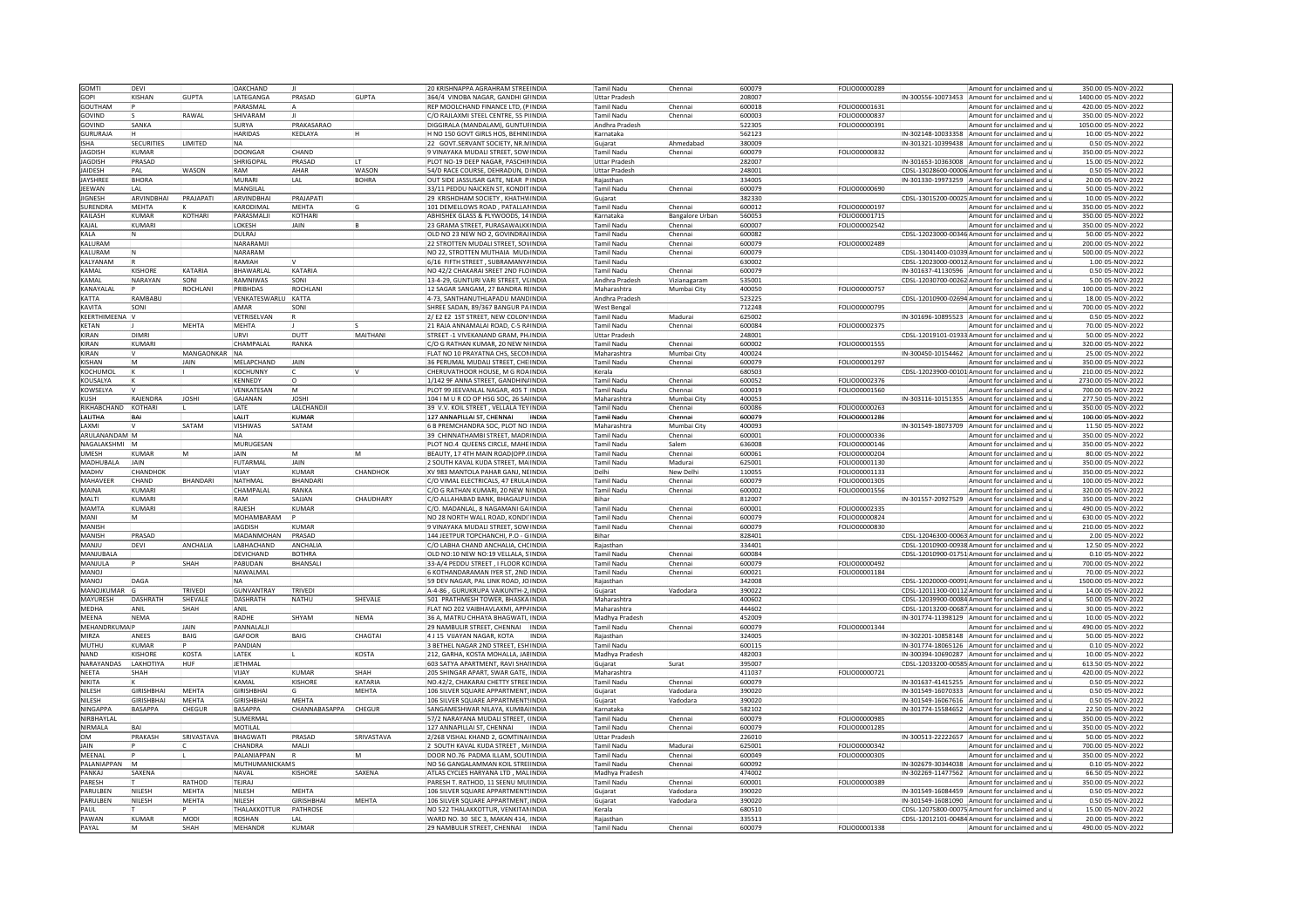| GOMTI               | DEVI              |                 | OAKCHAND            |                  |                 | <b>20 KRISHNAPPA AGRAHRAM STREEINDIA</b>                                  |       | Tamil Nadu              | Chennai                | 600079           | FOLIO00000289 | Amount for unclaimed and                                                   | 350.00 05-NOV-2022                       |
|---------------------|-------------------|-----------------|---------------------|------------------|-----------------|---------------------------------------------------------------------------|-------|-------------------------|------------------------|------------------|---------------|----------------------------------------------------------------------------|------------------------------------------|
| <b>GOPI</b>         | KISHAN            | <b>GUPTA</b>    | LATEGANGA           | PRASAD           | GUPTA           | 364/4 VINOBA NAGAR, GANDHI GIINDIA                                        |       | <b>Uttar Pradesi</b>    |                        | 208007           |               | IN-300556-10073453 Amount for unclaimed and                                | 1400.00 05-NOV-2022                      |
| <b>GOUTHAM</b>      |                   |                 | PARASMAI            |                  |                 | REP MOOLCHAND FINANCE LTD, (PINDIA                                        |       | <b>Tamil Nadu</b>       | Chennai                | 600018           | FOLIO00001631 | Amount for unclaimed and                                                   | 420.00 05-NOV-2022                       |
|                     |                   | RAWAI           |                     |                  |                 |                                                                           |       |                         |                        |                  |               |                                                                            |                                          |
| <b>GOVIND</b>       |                   |                 | SHIVARAM            |                  |                 | C/O RAJLAXMI STEEL CENTRE, 55 P(INDIA                                     |       | <b>Tamil Nadu</b>       | Chennai                | 600003           | FOLIO00000837 | Amount for unclaimed and                                                   | 350.00 05-NOV-2022                       |
| GOVIND              | SANKA             |                 | <b>SURYA</b>        | PRAKASARAO       |                 | DIGGIRALA (MANDALAM), GUNTURINDIA                                         |       | Andhra Pradesh          |                        | 522305           | FOLIO00000391 | Amount for unclaimed and                                                   | 1050.00 05-NOV-2022                      |
| <b>GURURAJA</b>     |                   |                 | <b>HARIDAS</b>      | KEDLAYA          |                 | H NO 150 GOVT GIRLS HOS, BEHINUINDIA                                      |       | Karnataka               |                        | 562123           |               | IN-302148-10033358 Amount for unclaimed and                                | 10.00 05-NOV-2022                        |
| <b>ISHA</b>         | <b>SECURITIES</b> | <b>I IMITED</b> | NA                  |                  |                 | 22 GOVT SERVANT SOCIETY. NR MINDIA                                        |       | Guiarat                 | Ahmedahad              | 380009           |               | IN-301321-10399438 Amount for unclaimed and u                              | 0.50 05-NOV-2022                         |
| JAGDISH             | KUMAR             |                 | DOONGAR             | CHAND            |                 | VINAYAKA MUDALI STREET, SOW INDIA                                         |       | Tamil Nadu              | Chennai                | 600079           | FOLIO00000832 | Amount for unclaimed and                                                   | 350.00 05-NOV-2022                       |
| JAGDISH             | PRASAD            |                 | SHRIGOPA            | PRASAD           |                 | PLOT NO-19 DEEP NAGAR, PASCHIMNDIA                                        |       | Uttar Pradesl           |                        | 282007           |               | IN-301653-10363008 Amount for unclaimed and                                | 15.00 05-NOV-2022                        |
| <b>JAIDESH</b>      | PAL               | WASON           | RAM                 | AHAR             | <b>WASON</b>    | 54/D RACE COURSE, DEHRADUN, DINDIA                                        |       | <b>Uttar Pradesh</b>    |                        | 248001           |               | CDSL-13028600-00006 Amount for unclaimed and                               | 0.50 05-NOV-2022                         |
|                     |                   |                 |                     |                  |                 |                                                                           |       |                         |                        |                  |               |                                                                            |                                          |
| <b>JAYSHRE</b>      | <b>BHORA</b>      |                 | MURARI              | LAL              | <b>BOHRA</b>    | OUT SIDE JASSUSAR GATE. NEAR PINDIA                                       |       | Rajasthan               |                        | 334005           |               | IN-301330-19973259 Amount for unclaimed and                                | 20.00 05-NOV-2022                        |
| JEEWAN              | I AI              |                 | MANGILAL            |                  |                 | 33/11 PEDDU NAICKEN ST, KONDIT INDIA                                      |       | Tamil Nadu              | Chennai                | 600079           | FOLIO00000690 | Amount for unclaimed and                                                   | 50.00 05-NOV-2022                        |
| <b>JIGNESH</b>      | ARVINDBHAI        | PRAJAPATI       | ARVINDBHA           | PRAJAPATI        |                 | 29 KRISHDHAM SOCIETY, KHATHVINDIA                                         |       | Guiarat                 |                        | 382330           |               | CDSL-13015200-00025 Amount for unclaimed and                               | 10.00 05-NOV-2022                        |
| <b>SURENDRA</b>     | MEHTA             |                 | KARODIMAL           | MEHTA            |                 | 101 DEMELLOWS ROAD , PATALLANINDIA                                        |       | <b>Tamil Nadu</b>       | Chennai                | 600012           | FOLIO00000197 | Amount for unclaimed and                                                   | 350.00 05-NOV-2022                       |
| KAILASH             | KIIMAR            | <b>KOTHARI</b>  | PARASMALI           | <b>KOTHAR</b>    |                 | ABHISHEK GLASS & PLYWOODS, 14 INDIA                                       |       | Karnataka               | <b>Bangalore Urban</b> | 560053           | FOLIO00001715 | Amount for unclaimed and                                                   | 350.00 05-NOV-2022                       |
| KAJAL               | KUMARI            |                 | LOKESH              | <b>IAIN</b>      |                 | 23 GRAMA STREET, PURASAWALKKINDIA                                         |       | Tamil Nadu              | Chennai                | 600007           | FOLIO00002542 | Amount for unclaimed and                                                   | 350.00 05-NOV-2022                       |
| KALA                |                   |                 | DULRAJ              |                  |                 | OLD NO 23 NEW NO 2, GOVINDRAJINDIA                                        |       | Tamil Nadu              | Chenna                 | 600082           |               | CDSL-12023000-00346 Amount for unclaimed and u                             | 50.00 05-NOV-2022                        |
| KAILIRAM            |                   |                 | NARARAMI            |                  |                 | 22 STROTTEN MUDALI STREET, SOVINDIA                                       |       | <b>Tamil Nadu</b>       | Chennai                | 600079           | FOLIO00002489 | Amount for unclaimed and                                                   | 200.00 05-NOV-2022                       |
| KALURAM             |                   |                 | NARARAM             |                  |                 |                                                                           |       | Tamil Nadu              |                        | 600079           |               |                                                                            | 500.00 05-NOV-2022                       |
|                     |                   |                 |                     |                  |                 | NO 22, STROTTEN MUTHAIA MUDINDIA                                          |       |                         | Chennai                |                  |               | CDSL-13041400-01039 Amount for unclaimed and                               |                                          |
| KALYANAM            |                   |                 | RAMIAH              |                  |                 | 6/16 FIFTH STREET, SUBRAMANYAINDIA                                        |       | Tamil Nadu              |                        | 630002           |               | CDSL-12023000-00012 Amount for unclaimed and                               | 1.00 05-NOV-2022                         |
| KAMAI               | KISHORI           | KATARIA         | <b>BHAWARIAI</b>    | KATARIA          |                 | NO 42/2 CHAKARAI SREET 2ND ELOINDIA                                       |       | Tamil Nadu              | Chennai                | 600079           |               | IN-301637-41130596 Amount for unclaimed and                                | 0.50 05-NOV-2022                         |
| KAMAI               | NARAYAN           | SONI            | RAMNIWAS            | SONI             |                 | 13-4-29, GUNTURI VARI STREET, VIIINDIA                                    |       | Andhra Pradesh          | Vizianagaran           | 535001           |               | CDSL-12030700-00262 Amount for unclaimed and                               | 5.00 05-NOV-2022                         |
| KANAYALAL           |                   | ROCHLANI        | PRIBHDAS            | <b>ROCHLANI</b>  |                 | 12 SAGAR SANGAM, 27 BANDRA REINDIA                                        |       | Maharashtra             | Mumbai City            | 400050           | FOLIO00000757 | Amount for unclaimed and                                                   | 100.00 05-NOV-2022                       |
| KATTA               | RAMBABU           |                 | VENKATESWARLU KATTA |                  |                 | 4-73. SANTHANUTHLAPADU MANDINDIA                                          |       | Andhra Pradesh          |                        | 523225           |               | CDSL-12010900-02694 Amount for unclaimed and                               | 18.00 05-NOV-2022                        |
| KAVITA              | SONI              |                 | AMAR                | SONI             |                 | HREE SADAN, 89/367 BANGUR PA INDIA                                        |       | <b>West Bengal</b>      |                        | 712248           | FOLIO00000795 | Amount for unclaimed and                                                   | 700.00 05-NOV-2022                       |
| <b>KEERTHIMEENA</b> |                   |                 | VETRISELVAN         |                  |                 | 2/ E2 E2 1ST STREET, NEW COLON INDIA                                      |       | Tamil Nadu              | Madurai                | 625002           |               | IN-301696-10895523 Amount for unclaimed and                                | 0.50 05-NOV-2022                         |
|                     |                   |                 |                     |                  |                 |                                                                           |       |                         |                        |                  |               |                                                                            |                                          |
| <b>KETAN</b>        |                   | <b>MEHTA</b>    | <b>MEHTA</b>        |                  |                 | 21 RAJA ANNAMALAI ROAD, C-5 RAINDIA                                       |       | <b>Tamil Nadu</b>       | Chennai                | 600084           | FOLIO00002375 | Amount for unclaimed and                                                   | 70.00 05-NOV-2022                        |
| KIRAN               | DIMRI             |                 | URVI                | DUTT             | MAITHANI        | STREET -1 VIVEKANAND GRAM, PHINDIA                                        |       | <b>Uttar Pradesł</b>    |                        | 248001           |               | CDSL-12019101-01933 Amount for unclaimed and                               | 50.00 05-NOV-2022                        |
| KIRAN               | KUMARI            |                 | CHAMPALAI           | <b>RANKA</b>     |                 | IC/O G RATHAN KUMAR. 20 NEW NINDIA                                        |       | Tamil Nadu              | Chennai                | 600002           | FOLIO00001555 | Amount for unclaimed and i                                                 | 320.00 05-NOV-2022                       |
| KIRAN               |                   | MANGAONKAR      | <b>NA</b>           |                  |                 | LAT NO 10 PRAYATNA CHS, SECONINDIA                                        |       | Maharashtra             | Mumbai City            | 400024           |               | IN-300450-10154462 Amount for unclaimed and                                | 25.00 05-NOV-2022                        |
| KISHAN              |                   | IAIN            | MELAPCHAND          | JAIN             |                 | 36 PERUMAL MUDALI STREET, CHE INDIA                                       |       | Tamil Nadu              | Chenna                 | 600079           | FOLIO00001297 | Amount for unclaimed and                                                   | 350.00 05-NOV-2022                       |
| KOCHUMOL            |                   |                 | KOCHUNNY            |                  |                 | CHERUVATHOOR HOUSE. M G ROAINDIA                                          |       | Kerala                  |                        | 680503           |               | CDSL-12023900-00101 Amount for unclaimed and                               | 210.00 05-NOV-2022                       |
| KOUSALYA            |                   |                 | KENNEDY             | lo               |                 | 1/142 9F ANNA STREET, GANDHINAINDIA                                       |       | <b>Tamil Nadu</b>       | Chennai                | 600052           | FOLIO00002376 | Amount for unclaimed and                                                   | 2730.00 05-NOV-2022                      |
| KOWSELYA            |                   |                 | VENKATESAN          | M                |                 | PLOT 99 JEEVANLAL NAGAR, 405 T INDIA                                      |       | Tamil Nadu              | Chennai                | 600019           | FOLIO00001560 | Amount for unclaimed and                                                   | 700.00 05-NOV-2022                       |
| KUSH                | RAJENDRA          | <b>JOSHI</b>    | <b>GAJANAN</b>      | JOSHI            |                 | 104   M U R CO OP HSG SOC, 26 SAIINDIA                                    |       | Maharashtra             | Mumbai City            | 400053           |               | IN-303116-10151355 Amount for unclaimed and                                | 277.50 05-NOV-2022                       |
| RIKHABCHAND         | KOTHARI           |                 | LATE                | LALCHANDJ        |                 | 39 V.V. KOIL STREET . VELLALA TEY INDIA                                   |       | Tamil Nadu              |                        | 600086           | FOLIO00000263 | Amount for unclaimed and                                                   | 350.00 05-NOV-2022                       |
|                     |                   |                 |                     |                  |                 |                                                                           |       |                         | Chennai                |                  |               |                                                                            |                                          |
| LALITHA             |                   |                 | LALIT               | KIJMAR           |                 | 127 ANNAPILLAI ST, CHENNAI                                                | INDIA | Tamil Nadu              | Chenna                 | 600079           | FOLIO00001286 | Amount for unclaimed and                                                   | 100.00 05-NOV-2022                       |
| LAXMI               |                   | SATAM           | VISHWAS             | SATAM            |                 | 6 B PREMCHANDRA SOC, PLOT NO INDIA                                        |       | Maharashtra             | Mumbai City            | 400093           |               | IN-301549-18073709 Amount for unclaimed and                                | 11.50 05-NOV-2022                        |
| ARULANANDAM M       |                   |                 | N <sub>A</sub>      |                  |                 | 39 CHINNATHAMBI STREET, MADRINDIA                                         |       | Tamil Nadu              | Chenna                 | 600001           | FOLIO00000336 | Amount for unclaimed and i                                                 | 350.00 05-NOV-2022                       |
| NAGALAKSHMI         |                   |                 | MURUGESAN           |                  |                 | PLOT NO.4 QUEENS CIRCLE, MAHE INDIA                                       |       | <b>Tamil Nadu</b>       | Salem                  | 636008           | FOLIO00000146 | Amount for unclaimed and                                                   | 350.00 05-NOV-2022                       |
| UMESH               | <b>UMAR</b>       |                 | <b>JAIN</b>         |                  | lм              | BEAUTY, 17 4TH MAIN ROAD(OPP, (INDIA                                      |       | Tamil Nadu              | Chenna                 | 600061           | FOLIO00000204 | Amount for unclaimed and                                                   | 80.00 05-NOV-2022                        |
| <b>MADHUBALA</b>    | JAIN              |                 | FUTARMAL            | JAIN             |                 | 2 SOUTH KAVAL KUDA STREET, MA INDIA                                       |       | Tamil Nadu              | Madura                 | 625001           | FOLIO00001130 | Amount for unclaimed and                                                   | 350.00 05-NOV-2022                       |
|                     |                   |                 |                     |                  |                 |                                                                           |       |                         |                        |                  |               |                                                                            |                                          |
| MADHV               | CHANDHOK          |                 | VIIAY               | KUMAR            | <b>CHANDHOK</b> | XV 983 MANTOLA PAHAR GANJ, NEINDIA                                        |       | Delhi                   | New Delh               | 110055           |               | Amount for unclaimed and                                                   | 350.00 05-NOV-2022                       |
|                     |                   |                 |                     |                  |                 |                                                                           |       |                         |                        |                  | FOLIO00001133 |                                                                            |                                          |
| MAHAVEER            | CHAND             | BHANDARI        | NATHMAL             | BHANDARI         |                 | C/O VIMAL ELECTRICALS, 47 ERULAINDIA                                      |       | <b>Tamil Nadu</b>       | Chennai                | 600079           | FOLIO00001305 | Amount for unclaimed and                                                   | 100.00 05-NOV-2022                       |
| MAINA               | KUMARI            |                 | CHAMPALAI           | RANKA            |                 | C/O G RATHAN KUMARI, 20 NEW NINDIA                                        |       | Tamil Nadu              | Chennai                | 600002           | FOLIO00001556 | Amount for unclaimed and                                                   | 320.00 05-NOV-2022                       |
| <b>MAITI</b>        | KUMARI            |                 | RAM                 | SAIIAN           | CHAUDHARY       | C/O ALLAHABAD BANK, BHAGALPUINDIA                                         |       | Bihar                   |                        | 812007           |               | IN-301557-20927529 Amount for unclaimed and                                | 350.00 05-NOV-2022                       |
| <b>MAMTA</b>        | KUMARI            |                 | RAJESH              | KUMAR            |                 | /O. MADANLAL, 8 NAGAMANI GA INDIA                                         |       | Tamil Nadu              | Chennai                | 600001           | FOLIO00002335 | Amount for unclaimed and                                                   | 490.00 05-NOV-2022                       |
| MANI                |                   |                 | MOHAMBARAM          |                  |                 | NO 28 NORTH WALL ROAD, KONDI INDIA                                        |       | Tamil Nadu              | Chenna                 | 600079           | FOLIO00000824 | Amount for unclaimed and                                                   | 630.00 05-NOV-2022                       |
| MANISH              |                   |                 | <b>JAGDISH</b>      | <b>KUMAR</b>     |                 | 9 VINAYAKA MUDALI STREET, SOW INDIA                                       |       | <b>Tamil Nadu</b>       | Chenna                 | 600079           | FOLIO00000830 | Amount for unclaimed and                                                   | 210.00 05-NOV-2022                       |
| MANISH              | PRASAD            |                 | MADANMOHAN          | PRASAD           |                 | 144 JEETPUR TOPCHANCHI, P.O - GINDIA                                      |       | Bihar                   |                        | 828401           |               | CDSL-12046300-00063 Amount for unclaimed and                               | 2.00 05-NOV-2022                         |
| MANIU               | DFVI              | <b>ANCHALIA</b> | <b>I ABHACHAND</b>  | ANCHALIA         |                 | C/O LABHA CHAND ANCHALIA, CHOINDIA                                        |       | Raiasthan               |                        | 334401           |               | CDSL-12010900-00938 Amount for unclaimed and r                             | 12.50 05-NOV-2022                        |
| MANJUBALA           |                   |                 | DEVICHAND           | <b>BOTHRA</b>    |                 | OLD NO:10 NEW NO:19 VELLALA, SINDIA                                       |       | Tamil Nadu              | Chenna                 | 600084           |               | CDSL-12010900-01751 Amount for unclaimed and                               | 0.10 05-NOV-2022                         |
| MANJULA             |                   | SHAH            | PABUDAN             | BHANSAL          |                 | 33-A/4 PEDDU STREET . I FLOOR KOINDIA                                     |       | Tamil Nadu              | Chenna                 | 600079           | FOLIO00000492 | Amount for unclaimed and                                                   | 700.00 05-NOV-2022                       |
| MANOI               |                   |                 | NAWAI MAI           |                  |                 | <b>6 KOTHANDARAMAN IYER ST. 2ND INDIA</b>                                 |       | Tamil Nadu              | Chennai                | 600021           | FOLIO00001184 | Amount for unclaimed and                                                   | 70.00 05-NOV-2022                        |
|                     |                   |                 | NA                  |                  |                 |                                                                           |       |                         |                        |                  |               |                                                                            |                                          |
| <b>LONAM</b>        | DAGA              |                 |                     |                  |                 | 59 DEV NAGAR, PAL LINK ROAD, JOINDIA                                      |       | Rajasthan               |                        | 342008           |               | CDSL-12020000-00091 Amount for unclaimed and                               | 1500.00 05-NOV-2022                      |
| MANOJKUMAR          |                   | TRIVEDI         | <b>GUNVANTRAY</b>   | TRIVED           |                 | A-4-86, GURUKRUPA VAIKUNTH-2, INDIA                                       |       | Gujarat                 | Vadodara               | 390022           |               | CDSL-12011300-00112 Amount for unclaimed and                               | 14.00 05-NOV-2022                        |
| MAYURESH            | DASHRATH          | SHEVALE         | DASHRATH            | NATHU            | SHEVALE         | 501 PRATHMESH TOWER, BHASKAINDIA                                          |       | Maharashtra             |                        | 400602           |               | CDSL-12039900-00084 Amount for unclaimed and                               | 50.00 05-NOV-2022                        |
| <b>MEDHA</b>        | ANIL              | SHAH            | ANIL                |                  |                 | FLAT NO 202 VAIBHAVLAXMI. APPAINDIA                                       |       | Maharashtra             |                        | 444602           |               | CDSL-12013200-00687 Amount for unclaimed and                               | 30.00 05-NOV-2022                        |
| MEENA               | NEMA              |                 | RADHE               | SHYAM            | <b>NEMA</b>     | 36 A. MATRU CHHAYA BHAGWATI, INDIA                                        |       | Madhya Pradesh          |                        | 452009           |               | IN-301774-11398129 Amount for unclaimed and                                | 10.00 05-NOV-2022                        |
| MEHANDRKUMA         |                   | <b>JAIN</b>     | PANNALALI           |                  |                 | 29 NAMBULIR STREET, CHENNAI INDIA                                         |       | Tamil Nadu              | Chennai                | 600079           | FOLIO00001344 | Amount for unclaimed and                                                   | 490.0005-NOV-2022                        |
| MIRZA               | ANEES             | BAIG            | GAFOOR              | BAIG             | CHAGTAI         | 4 J 15 VIJAYAN NAGAR, KOTA                                                | INDIA | Raiasthan               |                        | 324005           |               | IN-302201-10858148 Amount for unclaimed and                                | 50.00 05-NOV-2022                        |
| MUTHU               | KIIMAR            |                 | PANDIAN             |                  |                 | 3 BETHEL NAGAR 2ND STREET, ESHIINDIA                                      |       | <b>Tamil Nadu</b>       |                        | 600115           |               | IN-301774-18065126 Amount for unclaimed and u                              | 0.10 05-NOV-2022                         |
| <b>NAND</b>         | <b>ISHORI</b>     | KOSTA           | LATEK               |                  | KOSTA           | 212. GARHA, KOSTA MOHALLA, JABINDIA                                       |       | Madhya Pradesh          |                        | 482003           |               | IN-300394-10690287 Amount for unclaimed and                                | 10.00 05-NOV-2022                        |
|                     |                   | HUF             |                     |                  |                 |                                                                           |       | Gujarat                 | Surat                  | 395007           |               | CDSL-12033200-00585 Amount for unclaimed and                               |                                          |
| NARAYANDAS<br>NEETA | LAKHOTIYA<br>SHAH |                 | JETHMAL<br>VIIAY    | KUMAR            | SHAH            | 603 SATYA APARTMENT, RAVI SHAINDIA<br>205 SHINGAR APART, SWAR GATE, INDIA |       | Maharashtra             |                        | 411037           | FOLIO00000721 | Amount for unclaimed and                                                   | 613.50 05-NOV-2022<br>420.00 05-NOV-2022 |
|                     |                   |                 |                     |                  | <b>KATARIA</b>  |                                                                           |       |                         |                        |                  |               |                                                                            |                                          |
| NIKITA              |                   |                 | KAMAL               | <b>KISHORE</b>   |                 | NO.42/2, CHAKARAI CHETTY STREE INDIA                                      |       | <b>Tamil Nadu</b>       | Chennai                | 600079           |               | IN-301637-41415255 Amount for unclaimed and                                | 0.50 05-NOV-2022                         |
| NILESH              | <b>GIRISHBHAI</b> | <b>MEHTA</b>    | <b>GIRISHBHAI</b>   |                  | MEHTA           | 106 SILVER SQUARE APPARTMENT, INDIA                                       |       | Gujarat                 | Vadodara               | 390020           |               | IN-301549-16070333 Amount for unclaimed and                                | 0.50 05-NOV-2022                         |
| NII FSH             | GIRISHRHAI        | <b>MFHTA</b>    | GIRISHBHAI          | MFHTA            |                 | 106 SILVER SOUARE APPARTMENTSINDIA                                        |       | Gujarat                 | Vadodara               | 390020           |               | IN-301549-16067616 Amount for unclaimed and                                | 0.50 05-NOV-2022                         |
| NINGAPPA            | <b>BASAPPA</b>    | CHEGUF          | <b>BASAPPA</b>      | CHANNABASAPPA    | CHEGUR          | SANGAMESHWAR NILAYA, KUMBA INDIA                                          |       | Karnataka               |                        | 582102           |               | IN-301774-15584652 Amount for unclaimed and                                | 22.50 05-NOV-2022                        |
| NIRBHAYLA           |                   |                 | SUMERMAI            |                  |                 | 57/2 NARAYANA MUDALI STREET, (INDIA                                       |       | Tamil Nadu              | Chennai                | 600079           | FOLIO00000985 | Amount for unclaimed and                                                   | 350.00 05-NOV-2022                       |
| NIRMALA             |                   |                 | MOTILAL             |                  |                 | 127 ANNAPILLAI ST. CHENNAI                                                | INDIA | <b>Tamil Nadu</b>       | Chennai                | 600079           | FOLIO00001285 | Amount for unclaimed and                                                   | 350.00 05-NOV-2022                       |
| <b>OM</b>           | PRAKASH           | SRIVASTAVA      | BHAGWATI            | PRASAD           | SRIVASTAVA      | 2/268 VISHAL KHAND 2, GOMTINA INDIA                                       |       | <b>Uttar Pradesh</b>    |                        | 226010           |               | IN-300513-22222657 Amount for unclaimed and                                | 50.00 05-NOV-2022                        |
| <b>IAIN</b>         |                   |                 | CHANDRA             | MALI             |                 | 2 SOUTH KAVAL KUDA STREET, MAINDIA                                        |       | <b>Tamil Nadu</b>       | Madurai                | 625001           | FOLIO00000342 | Amount for unclaimed and                                                   | 700.00 05-NOV-2022                       |
| MEENAL              |                   |                 | PALANIAPPAN         |                  | İМ              | DOOR NO.76 PADMA ILLAM, SOUTINDIA                                         |       | Tamil Nadu              | Chenna                 | 600049           | FOLIO00000305 | Amount for unclaimed and                                                   | 350.00 05-NOV-2022                       |
| PALANIAPPAN         |                   |                 | MUTHUMANICKAM:      |                  |                 | NO 56 GANGALAMMAN KOIL STREINDIA                                          |       | Tamil Nadu              | Chenna                 | 600092           |               | IN-302679-30344038 Amount for unclaimed and                                | 0.10 05-NOV-2022                         |
| PANKAI              | SAXFNA            |                 | NAVAI               | <b>KISHORF</b>   | SAXENA          | ATI AS CYCLES HARYANA LTD . MALUNDIA                                      |       |                         |                        | 474002           |               |                                                                            |                                          |
|                     |                   |                 |                     |                  |                 |                                                                           |       | Madhya Pradesh          |                        |                  |               | IN-302269-11477562 Amount for unclaimed and                                | 66.50 05-NOV-2022                        |
| PARESH              |                   | RATHOD          | TEJRAJ              |                  |                 | PARESH T. RATHOD, 11 SEENU MU(INDIA                                       |       | <b>Tamil Nadu</b>       | Chennai                | 600001           | FOLIO00000389 | Amount for unclaimed and                                                   | 350.00 05-NOV-2022                       |
| PARULBEN            | NILESH            | MEHTA           | NILESH              | MEHTA            |                 | 106 SILVER SQUARE APPARTMENTSINDIA                                        |       | Gujarat                 | Vadodara               | 390020           |               | IN-301549-16084459 Amount for unclaimed and                                | 0.50 05-NOV-2022                         |
| PARULBEN            | NILESH            | MEHTA           | NILESH              | <b>GIRISHBHA</b> | <b>MEHTA</b>    | 106 SILVER SQUARE APPARTMENT. INDIA                                       |       | Gujarat                 | Vadodara               | 390020           |               | IN-301549-16081090 Amount for unclaimed and                                | 0.50 05-NOV-2022                         |
| PAUL                |                   |                 | THALAKKOTTUR        | PATHROSE         |                 | NO 522 THALAKKOTTUR, VENKITANINDIA                                        |       | Kerala                  |                        | 80510            |               | CDSL-12075800-00075 Amount for unclaimed and                               | 15.00 05-NOV-2022                        |
| PAWAN<br>PAYAL      | KUMAF             | MOD<br>SHAH     | ROSHAN<br>MFHANDR   | LAL<br>KUMAR     |                 | WARD NO. 30 SEC 3, MAKAN 414, INDIA<br>29 NAMBULIR STREET, CHENNAI  INDIA |       | Rajasthar<br>Tamil Nadu | Chennai                | 335513<br>600079 | FOLIO00001338 | CDSL-12012101-00484 Amount for unclaimed and<br>Amount for unclaimed and u | 20.00 05-NOV-2022<br>490.00 05-NOV-2022  |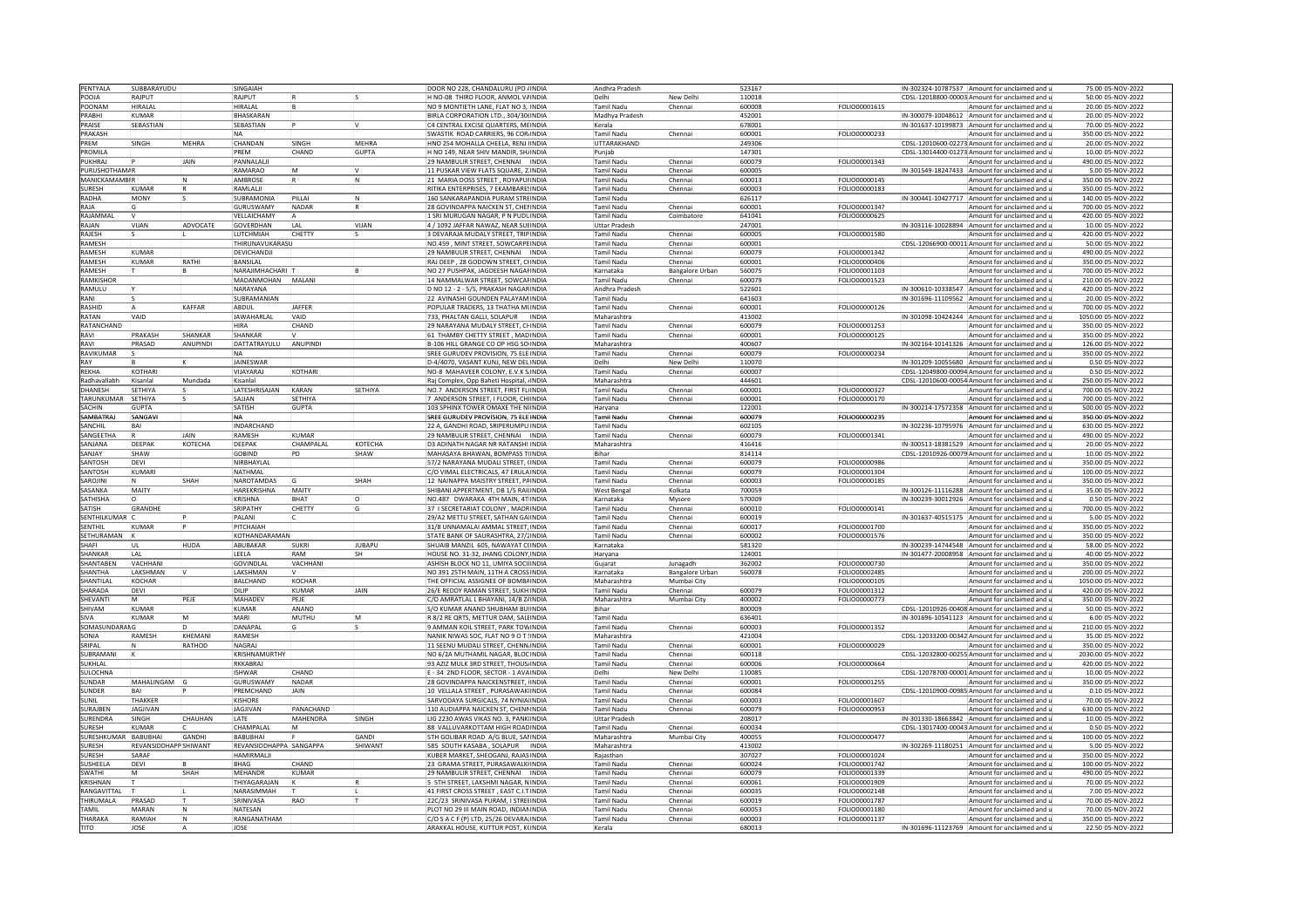| PENTYALA               | SUBBARAYUDU           |               | SINGAIAH                |               |               | DOOR NO 228, CHANDALURU (PO / INDIA                                           | Andhra Pradesh       |                        | 523167           |                      |                    | IN-302324-10787537 Amount for unclaimed and u                             | 75.00 05-NOV-2022                       |
|------------------------|-----------------------|---------------|-------------------------|---------------|---------------|-------------------------------------------------------------------------------|----------------------|------------------------|------------------|----------------------|--------------------|---------------------------------------------------------------------------|-----------------------------------------|
| POOJA                  | RAJPUT                |               | RAJPUT                  |               |               | H NO-08 THIRD FLOOR, ANMOL VAINDIA                                            | Delhi                | New Delhi              | 110018           |                      |                    | CDSL-12018800-00003 Amount for unclaimed and                              | 50.00 05-NOV-2022                       |
|                        |                       |               |                         |               |               |                                                                               |                      |                        |                  |                      |                    |                                                                           |                                         |
| POONAM                 | HIRALAL               |               | HIRALAL                 |               |               | NO 9 MONTIETH LANE. FLAT NO 3. INDIA                                          | <b>Tamil Nadu</b>    | Chennai                | 600008           | FOLIO00001615        |                    | Amount for unclaimed and                                                  | 20.00 05-NOV-2022                       |
| PRABHI                 | KUMAR                 |               | <b>BHASKARAN</b>        |               |               | BIRLA CORPORATION LTD., 304/30(INDIA                                          | Madhya Pradesh       |                        | 452001           |                      |                    | IN-300079-10048612 Amount for unclaimed and u                             | 20.00 05-NOV-2022                       |
| PRAISE                 | SEBASTIAN             |               | SEBASTIAN               |               |               | C4 CENTRAL EXCISE QUARTERS, MEINDIA                                           | Kerala               |                        | 678001           |                      |                    | IN-301637-10199873 Amount for unclaimed and u                             | 70.00 05-NOV-2022                       |
| PRAKASH                |                       |               | <b>NA</b>               |               |               | SWASTIK ROAD CARRIERS, 96 COR INDIA                                           | <b>Tamil Nadu</b>    | Chennai                | 600001           | FOLIO00000233        |                    | Amount for unclaimed and                                                  | 350.00 05-NOV-2022                      |
|                        |                       | MFHRA         |                         |               | MFHRA         |                                                                               | <b>UTTARAKHAND</b>   |                        |                  |                      |                    |                                                                           |                                         |
| PRFM                   | SINGH                 |               | CHANDAN                 | SINGH         |               | HNO 254 MOHALLA CHEELA, RENJ IINDIA                                           |                      |                        | 249306           |                      |                    | CDSL-12010600-02273 Amount for unclaimed and                              | 20.00 05-NOV-2022                       |
| PROMILA                |                       |               | PRFM                    | CHAND         | GUPTA         | I NO 149, NEAR SHIV MANDIR, SHANDIA                                           | Punjab               |                        | 147301           |                      |                    | CDSL-13014400-01273 Amount for unclaimed and u                            | 10.00 05-NOV-2022                       |
| PUKHRAJ                |                       | JAIN          | PANNALALI               |               |               | 29 NAMBULIR STREET, CHENNAI  INDIA                                            | Tamil Nadu           | Chenna                 | 600079           | FOLIO00001343        |                    | Amount for unclaimed and                                                  | 490.00 05-NOV-2022                      |
| PURUSHOTHAMAF          |                       |               | RAMARAO                 | İм            |               | 11 PUSKAR VIEW FLATS SQUARE. 2 INDIA                                          | <b>Tamil Nadu</b>    | Chennai                | 600005           |                      |                    | IN-301549-18247433 Amount for unclaimed and                               | 5.00 05-NOV-2022                        |
|                        |                       |               |                         |               |               |                                                                               |                      |                        |                  |                      |                    |                                                                           |                                         |
| MANICKAMAMBIR          |                       |               | AMBROSE                 |               | İN            | 21 MARIA DOSS STREET, ROYAPU INDIA                                            | <b>Tamil Nadu</b>    | Chenna                 | 600013           | FOLIO00000145        |                    | Amount for unclaimed and                                                  | 350.00 05-NOV-2022                      |
| <b>SURESH</b>          | KUMAR                 |               | RAMLALII                |               |               | RITIKA ENTERPRISES, 7 EKAMBARESINDIA                                          | <b>Tamil Nadu</b>    | Chenna                 | 600003           | FOLIO00000183        |                    | Amount for unclaimed and                                                  | 350.00 05-NOV-2022                      |
| RADHA                  | MONY                  |               | SUBRAMONIA              | PILLAI        |               | 160 SANKARAPANDIA PURAM STRÉINDIA                                             | <b>Tamil Nadu</b>    |                        | 626117           |                      |                    | IN-300441-10427717 Amount for unclaimed and                               | 140.00 05-NOV-2022                      |
|                        |                       |               |                         |               |               |                                                                               |                      |                        |                  |                      |                    |                                                                           |                                         |
| RAJA                   |                       |               | GURUSWAMY               | NADAF         |               | 28 GOVINDAPPA NAICKEN ST. CHEFINDIA                                           | <b>Tamil Nadu</b>    | Chennai                | 600001           | FOLIO00001347        |                    | Amount for unclaimed and                                                  | 700.00 05-NOV-2022                      |
| <b><i>RAIAMMA</i></b>  |                       |               | VELLAICHAMY             |               |               | 1 SRI MURUGAN NAGAR. P N PUDUNDIA                                             | Tamil Nadu           | Coimbatore             | 641041           | FOLIO00000625        |                    | Amount for unclaimed and                                                  | 420.00 05-NOV-2022                      |
| RAIAN                  | VIIAN                 | ADVOCATE      | GOVERDHAN               | LAL           | VIJAN         | 4 / 1092 JAFFAR NAWAZ, NEAR SUI INDIA                                         | <b>Uttar Pradesh</b> |                        | 247001           |                      |                    | IN-303116-10028894 Amount for unclaimed and u                             | 10.00 05-NOV-2022                       |
| RAJESH                 |                       |               | LUTCHMIAH               | CHETTY        |               | 3 DEVARAJA MUDALY STREET, TRIPINDIA                                           | <b>Tamil Nadu</b>    | Chenna                 | 600005           | FOLIO00001580        |                    | Amount for unclaimed and                                                  | 420.00 05-NOV-2022                      |
|                        |                       |               |                         |               |               |                                                                               |                      |                        |                  |                      |                    |                                                                           |                                         |
| RAMFSH                 |                       |               | THIRUNAVUKARASU         |               |               | NO.459, MINT STREET, SOWCARPEINDIA                                            | <b>Tamil Nadu</b>    | Chennai                | 600001           |                      |                    | CDSL-12066900-00011 Amount for unclaimed and                              | 50.00 05-NOV-2022                       |
| <b>AMESH</b>           | KUMAR                 |               | DEVICHANDJ              |               |               | 9 NAMBULIR STREET, CHENNAI INDIA                                              | Tamil Nadu           | Chennai                | 600079           | FOLIO00001342        |                    | Amount for unclaimed and                                                  | 490.00 05-NOV-2022                      |
| RAMESH                 | <b>KUMAR</b>          | RATHI         | <b>BANSILAL</b>         |               |               | RAJ DEEP, 28 GODOWN STREET, CHINDIA                                           | Tamil Nadu           | Chenna                 | 600001           | FOLIO00000406        |                    | Amount for unclaimed and                                                  | 350.00 05-NOV-2022                      |
| <b>RAMFSH</b>          |                       |               | NARAIIMHACHARI 1        |               |               | INO 27 PUSHPAK. IAGDEESH NAGARINDIA                                           | Karnataka            |                        | 560075           | <b>FOLIO00001103</b> |                    | Amount for unclaimed and                                                  | 700.00 05-NOV-2022                      |
|                        |                       |               |                         |               |               |                                                                               |                      | <b>Bangalore Urban</b> |                  |                      |                    |                                                                           |                                         |
| RAMKISHOR              |                       |               | MADANMOHAN MALANI       |               |               | 14 NAMMALWAR STREET, SOWCAHINDIA                                              | <b>Tamil Nadu</b>    | Chennai                | 600079           | FOLIO00001523        |                    | Amount for unclaimed and                                                  | 210.00 05-NOV-2022                      |
| RAMULU                 |                       |               | NARAYANA                |               |               | D NO 12 - 2 - 5/5, PRAKASH NAGARINDIA                                         | Andhra Pradesh       |                        | 522601           |                      |                    | IN-300610-10338547 Amount for unclaimed and u                             | 420.00 05-NOV-2022                      |
| RANI                   |                       |               | SUBRAMANIAN             |               |               | 22 AVINASHI GOUNDEN PALAYAM INDIA                                             | <b>Tamil Nadu</b>    |                        | 641603           |                      |                    | IN-301696-11109562 Amount for unclaimed and                               | 20.00 05-NOV-2022                       |
|                        |                       |               |                         |               |               |                                                                               |                      |                        |                  |                      |                    |                                                                           |                                         |
| RASHID                 |                       | KAFFAR        | ABDUL                   | <b>JAFFER</b> |               | OPULAR TRADERS, 13 THATHA MUNDIA                                              | <b>Tamil Nadu</b>    | Chennai                | 600001           | FOLIO00000126        |                    | Amount for unclaimed and                                                  | 700.00 05-NOV-2022                      |
| RATAN                  | VAID                  |               | <b>IAWAHARI AI</b>      | <b>VAID</b>   |               | 733, PHALTAN GALLI, SOLAPUR  INDIA                                            | Maharashtra          |                        | 413002           |                      |                    | IN-301098-10424244 Amount for unclaimed and                               | 1050.00 05-NOV-2022                     |
| RATANCHAND             |                       |               | <b>HIRA</b>             | CHAND         |               | 29 NARAYANA MUDALY STREET, CHINDIA                                            | <b>Tamil Nadu</b>    | Chennai                | 600079           | FOLIO00001253        |                    | Amount for unclaimed and                                                  | 350.00 05-NOV-2022                      |
| RAVI                   | PRAKASH               | SHANKAR       | SHANKAR                 |               |               | 61 THAMBY CHETTY STREET, MADINDIA                                             | <b>Tamil Nadu</b>    | Chennai                | 600001           | FOLIO00000125        |                    | Amount for unclaimed and                                                  | 350.00 05-NOV-2022                      |
|                        |                       |               | DATTATRAYULU            |               |               |                                                                               |                      |                        |                  |                      |                    |                                                                           |                                         |
| RAVI                   | PRASAD                | ANUPINDI      |                         | ANUPINDI      |               | B-106 HILL GRANGE CO OP HSG SOIINDIA                                          | Maharashtra          |                        | 400607           |                      |                    | IN-302164-10141326 Amount for unclaimed and u                             | 126.00 05-NOV-2022                      |
| RAVIKUMAR              |                       |               | NA                      |               |               | REE GURUDEV PROVISION, 75 ELE INDIA                                           | <b>Tamil Nadu</b>    | Chennai                | 600079           | FOLIO00000234        |                    | Amount for unclaimed and                                                  | 350.00 05-NOV-2022                      |
| RAY                    |                       |               | JAINESWAR               |               |               | D-4/4070, VASANT KUNJ, NEW DELINDIA                                           |                      | New Dell               | 110070           |                      |                    | IN-301209-10055680 Amount for unclaimed and                               | 0.50 05-NOV-2022                        |
| REKHA                  | KOTHARI               |               | VIJAYARAJ               | KOTHARI       |               | NO-8 MAHAVEER COLONY, E.V.K SINDIA                                            | <b>Tamil Nadu</b>    | Chennai                | 600007           |                      |                    | CDSL-12049800-00094 Amount for unclaimed and                              | 0.50 05-NOV-2022                        |
|                        |                       |               |                         |               |               |                                                                               |                      |                        |                  |                      |                    |                                                                           |                                         |
| Radhavallabh           | Kisanlal              | Mundada       | Kisanlal                |               |               | Raj Complex, Opp Baheti Hospital, INDIA                                       | Maharashtra          |                        | 444601           |                      |                    | CDSL-12010600-00054 Amount for unclaimed and u                            | 250.00 05-NOV-2022                      |
| DHANESH                | SETHIYA               |               | LATESHRISAJAN           | KARAN         | SETHIYA       | NO.7 ANDERSON STREET, FIRST FLINDIA                                           | <b>Tamil Nadu</b>    | Chennai                | 600001           | FOLIO00000327        |                    | Amount for unclaimed and                                                  | 700.00 05-NOV-2022                      |
| <b>TARUNKUMAR</b>      | SETHIYA               |               | SAJJAN                  | SETHIYA       |               | ANDERSON STREET, I FLOOR, CHIINDIA                                            | <b>Tamil Nadu</b>    | Chennai                | 600001           | FOLIO00000170        |                    | Amount for unclaimed and                                                  | 700.00 05-NOV-2022                      |
|                        |                       |               |                         |               |               |                                                                               |                      |                        |                  |                      |                    |                                                                           |                                         |
| <b>SACHIN</b>          | <b>GUPTA</b>          |               | SATISH                  | <b>GUPTA</b>  |               | 03 SPHINX TOWER OMAXE THE NUNDIA                                              | Haryana              |                        | 122001           |                      |                    | N-300214-17572358 Amount for unclaimed and u                              | 500.00 05-NOV-2022                      |
| SAMRATRA               | SANGAVI               |               | NΑ                      |               |               | SREE GURUDEV PROVISION, 75 ELE INDIA                                          | Tamil Nadı           | Chenna                 | 600079           | FOLIO00000235        |                    | Amount for unclaimed and                                                  | 350.00 05-NOV-2022                      |
| SANCHIL                | BAI                   |               | <b>INDARCHAND</b>       |               |               | 22 A, GANDHI ROAD, SRIPERUMPU INDIA                                           | <b>Tamil Nadu</b>    |                        | 602105           |                      |                    | IN-302236-10795976 Amount for unclaimed and u                             | 630.00 05-NOV-2022                      |
| <b>SANGEETHA</b>       |                       | JAIN          | RAMESH                  | <b>KUMAR</b>  |               | 29 NAMBULIR STREET, CHENNAI  INDIA                                            | Tamil Nadu           | Chenna                 | 600079           | FOLIO00001341        |                    | Amount for unclaimed and                                                  | 490.00 05-NOV-2022                      |
|                        |                       |               |                         |               |               |                                                                               |                      |                        |                  |                      |                    |                                                                           |                                         |
| <b>ANJANA</b>          | DEEPAK                | KOTECHA       | DEEPAK                  | CHAMPALAI     | KOTECHA       | D3 ADINATH NAGAR NR RATANSHI INDIA                                            | Maharashtra          |                        | 416416           |                      |                    | IN-300513-18381529 Amount for unclaimed and u                             | 20.00 05-NOV-2022                       |
| <b>ANJAY</b>           | SHAW                  |               | <b>GOBIND</b>           | PD            | SHAW          | <b>MAHASAYA BHAWAN, BOMPASS THNDIA</b>                                        | Bihar                |                        | 814114           |                      |                    | CDSL-12010926-00079 Amount for unclaimed and                              | 10.00 05-NOV-2022                       |
| SANTOSH                | DEVI                  |               | NIRBHAYLA               |               |               | 57/2 NARAYANA MUDALI STREET, (INDIA                                           | Tamil Nadu           |                        |                  | FOLIO00000986        |                    | Amount for unclaimed and                                                  | 350.00 05-NOV-2022                      |
|                        |                       |               |                         |               |               |                                                                               |                      |                        |                  |                      |                    |                                                                           |                                         |
|                        |                       |               |                         |               |               |                                                                               |                      | Chenna                 | 600079           |                      |                    |                                                                           |                                         |
| SANTOSH                | KUMARI                |               | NATHMAI                 |               |               | C/O VIMAL ELECTRICALS, 47 ERULAINDIA                                          | <b>Tamil Nadu</b>    | Chenna                 | 600079           | FOLIO00001304        |                    | Amount for unclaimed and                                                  | 100.00 05-NOV-2022                      |
| SAROJINI               |                       | SHAH          | NAROTAMDAS              |               | SHAH          | 12 NAINAPPA MAISTRY STREET, PAINDIA                                           | <b>Tamil Nadu</b>    | Chenna                 | 600003           | FOLIO00000185        |                    | Amount for unclaimed and                                                  | 350.00 05-NOV-2022                      |
| SASANKA                | MAITY                 |               | HAREKRISHNA             | MAITY         |               |                                                                               |                      | Kolkata                | 700059           |                      |                    |                                                                           |                                         |
|                        |                       |               |                         |               |               | SHIBANI APPERTMENT, DB 1/5 RAILINDIA                                          | <b>West Bengal</b>   |                        |                  |                      |                    | IN-300126-11116288 Amount for unclaimed and                               | 35.00 05-NOV-2022                       |
| SATHISHA               |                       |               | KRISHNA                 | <b>BHAT</b>   |               | NO.487 DWARAKA 4TH MAIN, 4T INDIA                                             | Karnataka            | Mysore                 | 570009           |                      |                    | IN-300239-30012926 Amount for unclaimed and                               | 0.50 05-NOV-2022                        |
| <b>ATISH</b>           | GRANDHE               |               | <b>SRIPATHY</b>         | CHETTY        |               | 7 I SECRETARIAT COLONY, MADRINDIA                                             | Tamil Nadu           | Chenna                 | 600010           | FOLIO00000141        |                    | Amount for unclaimed and                                                  | 700.00 05-NOV-2022                      |
| SENTHILKUMAR           |                       |               | PAIANI                  |               |               | 29/A2 METTU STREET, SATHAN GAINDIA                                            | Tamil Nadu           | Chenna                 | 600019           |                      |                    | IN-301637-40515175 Amount for unclaimed and                               | 5.00 05-NOV-2022                        |
| SENTHIL                | <b>KUMAR</b>          |               | PITCHAIAH               |               |               | 31/8 UNNAMALAI AMMAL STREET, INDIA                                            | <b>Tamil Nadu</b>    | Chenna                 | 600017           | FOLIO00001700        |                    | Amount for unclaimed and                                                  | 350.00 05-NOV-2022                      |
|                        |                       |               |                         |               |               |                                                                               |                      |                        |                  |                      |                    |                                                                           |                                         |
| SETHURAMAN             |                       |               | KOTHANDARAMAN           |               |               | STATE BANK OF SAURASHTRA, 27/2INDIA                                           | <b>Tamil Nadu</b>    | Chennai                | 600002           | FOLIO00001576        |                    | Amount for unclaimed and                                                  | 350.00 05-NOV-2022                      |
| SHAFI                  | UL                    | <b>HUDA</b>   | ABURAKAR                | SUKRI         | <b>IURAPU</b> | SHUAIB MANZIL 605, NAWAYAT C(INDIA                                            | Karnataka            |                        | 581320           |                      |                    | IN-300239-14744548 Amount for unclaimed and u                             | 58.00 05-NOV-2022                       |
| <b>HANKAR</b>          | I AI                  |               | LEELA                   | RAM           |               | HOUSE NO. 31-32. JHANG COLONY INDIA                                           | Harvana              |                        | 124001           |                      | IN-301477-20008958 | Amount for unclaimed and                                                  | 40.00 05-NOV-2022                       |
| SHANTABEN              | VACHHAN               |               | GOVINDLAL               | VACHHAN       |               | ASHISH BLOCK NO 11. UMIYA SOCIIINDIA                                          | Guiarat              | Junagadh               | 362002           | FOLIO00000730        |                    | Amount for unclaimed and                                                  | 350.00 05-NOV-2022                      |
|                        |                       |               |                         |               |               |                                                                               |                      |                        |                  |                      |                    |                                                                           |                                         |
| SHANTHA                | <b>I AKSHMAN</b>      |               | I AKSHMAN               |               |               | NO 391 25TH MAIN. 11TH A CROSSINDIA                                           | Karnataka            | <b>Bangalore Urban</b> | 560078           | FOLIO00002485        |                    | Amount for unclaimed and                                                  | 200.00 05-NOV-2022                      |
| SHANTILAL              | KOCHAR                |               | BALCHAND                | KOCHAR        |               | THE OFFICIAL ASSIGNEE OF BOMBAINDIA                                           | Maharashtra          | Mumbai City            |                  | FOLIO00000105        |                    | Amount for unclaimed and                                                  | 1050.00 05-NOV-2022                     |
| SHARADA                | DEVI                  |               | DILIP                   | <b>KUMAR</b>  | JAIN          | 26/E REDDY RAMAN STREET, SUKH INDIA                                           | <b>Tamil Nadu</b>    | Chenna                 | 600079           | FOLIO00001312        |                    | Amount for unclaimed and                                                  | 420.00 05-NOV-2022                      |
| SHEVANTI               | м                     | PEJE          | MAHADEV                 | PEJE          |               | C/O AMRATLAL L BHAYANI, 14/B ZAINDIA                                          | Maharashtra          | Mumbai City            | 400002           | FOLIO00000773        |                    | Amount for unclaimed and                                                  | 350.00 05-NOV-2022                      |
|                        |                       |               |                         |               |               |                                                                               |                      |                        |                  |                      |                    |                                                                           |                                         |
| SHIVAM                 | <b>KUMAR</b>          |               | <b>KUMAR</b>            | ANAND         |               | O KUMAR ANAND SHUBHAM BU INDIA                                                | Bihar                |                        | 800009           |                      |                    | CDSL-12010926-00408 Amount for unclaimed and                              | 50.00 05-NOV-2022                       |
| SIVA                   | <b>KUMAR</b>          |               | MARI                    | MUTHU         | İм            | R 8/2 RE QRTS, METTUR DAM, SALIINDIA                                          | Tamil Nadu           |                        | 636401           |                      |                    | IN-301696-10541123 Amount for unclaimed and                               | 6.00 05-NOV-2022                        |
| SOMASUNDARANG          |                       |               | DANAPAI                 |               |               | 9 AMMAN KOIL STREET, PARK TOWINDIA                                            | Tamil Nadu           | Chennai                | 600003           | FOLIO00001352        |                    | Amount for unclaimed and                                                  | 210.00 05-NOV-2022                      |
| SONIA                  | RAMESH                | KHEMAN        | RAMESH                  |               |               | NANIK NIWAS SOC, FLAT NO 9 O T INDIA                                          | Maharashtra          |                        | 421004           |                      |                    | CDSL-12033200-00342 Amount for unclaimed and u                            | 35.00 05-NOV-2022                       |
| SRIPAI                 |                       |               |                         |               |               |                                                                               |                      |                        |                  |                      |                    |                                                                           |                                         |
|                        |                       | RATHOD        | NAGRAJ                  |               |               | 11 SEENU MUDALI STREET, CHENN INDIA                                           | <b>Tamil Nadu</b>    | Chennai                | 600001           | FOLIO00000029        |                    | Amount for unclaimed and u                                                | 350.00 05-NOV-2022                      |
| <b>JUBRAMANI</b>       |                       |               | KRISHNAMURTHY           |               |               | NO 6/2A MUTHAMIL NAGAR. BLOCINDIA                                             | <b>Tamil Nadu</b>    | Chenna                 | 600118           |                      |                    | CDSL-12032800-00255 Amount for unclaimed and                              | 2030.00 05-NOV-2022                     |
| SUKHLAL                |                       |               | RKKABRAJ                |               |               | 93 AZIZ MULK 3RD STREET, THOUS INDIA                                          | Tamil Nadu           | Chenna                 | 600006           | FOLIO00000664        |                    | Amount for unclaimed and                                                  | 420.00 05-NOV-2022                      |
| SULOCHNA               |                       |               | <b>ISHWAR</b>           | CHAND         |               | E - 34 2ND FLOOR, SECTOR - 1 AVAINDIA                                         | Delhi                | New Delh               | 110085           |                      |                    | CDSL-12078700-00001 Amount for unclaimed and                              | 10.00 05-NOV-2022                       |
|                        |                       |               |                         |               |               |                                                                               |                      |                        |                  |                      |                    |                                                                           |                                         |
| <b>JUNDAR</b>          | MAHALINGAM            |               | GURUSWAMY               | NADAR         |               | 28 GOVINDAPPA NAICKENSTREET, INDIA                                            | <b>Tamil Nadu</b>    | Chenna                 | 600001           | FOLIO00001255        |                    | Amount for unclaimed and                                                  | 350.00 05-NOV-2022                      |
| SUNDER                 | <b>BAL</b>            |               | PREMCHAND               | JAIN          |               | 10 VELLALA STREET, PURASAWAK INDIA                                            | <b>Tamil Nadu</b>    | Chenna                 | 600084           |                      |                    | CDSL-12010900-00985 Amount for unclaimed and                              | 0.10 05-NOV-2022                        |
| SUNIL                  | <b>THAKKFR</b>        |               | <b>KISHORE</b>          |               |               | SARVODAYA SURGICALS, 74 NYNIA INDIA                                           | Tamil Nadu           | Chennai                | 600003           | FOLIO00001607        |                    | Amount for unclaimed and                                                  | 70.00 05-NOV-2022                       |
|                        | <b>IAG IIVAN</b>      |               |                         | PANACHAND     |               |                                                                               | <b>Tamil Nadu</b>    | Chenna                 |                  |                      |                    | Amount for unclaimed and                                                  |                                         |
| URAJBEN                |                       |               | <b>JAGJIVAN</b>         |               |               | 10 AUDIAPPA NAICKEN ST, CHENNINDIA                                            |                      |                        | 600079           | FOLIO00000953        |                    |                                                                           | 630.00 05-NOV-2022                      |
| SURENDRA               | SINGH                 | CHAUHAN       | LATE                    | MAHENDRA      | SINGH         | LIG 2230 AWAS VIKAS NO. 3, PANK INDIA                                         | <b>Uttar Prades</b>  |                        | 208017           |                      |                    | IN-301330-18663842 Amount for unclaimed and                               | 10.00 05-NOV-2022                       |
| <b>SURESH</b>          | <b>KUMAR</b>          |               | CHAMPALAL               | İМ            |               | 88 VALLUVARKOTTAM HIGH ROADINDIA                                              | <b>Tamil Nadu</b>    | Chennai                | 600034           |                      |                    | CDSL-13017400-00043 Amount for unclaimed and                              | 0.50 05-NOV-2022                        |
| SURESHKUMAR            | BABUBHAI              | <b>GANDHI</b> | BABUBHAI                |               | GANDI         | 5TH GOLIBAR ROAD A/G BLUE, SANINDIA                                           | Maharashtra          | Mumbai City            | 400055           | FOLIO00000477        |                    | Amount for unclaimed and                                                  | 100.00 05-NOV-2022                      |
| <b>SURESH</b>          |                       |               |                         |               | SHIWANT       |                                                                               | Maharashtra          |                        | 413002           |                      |                    |                                                                           |                                         |
|                        | REVANSIDDHAPP SHIWANT |               | REVANSIDDHAPPA SANGAPPA |               |               | 585 SOUTH KASABA, SOLAPUR  INDIA                                              |                      |                        |                  |                      |                    | IN-302269-11180251 Amount for unclaimed and                               | 5.00 05-NOV-2022                        |
| <b>SURESH</b>          | SARAF                 |               | HAMIRMALII              |               |               | KUBER MARKET. SHEOGANJ. RAJASINDIA                                            | Raiasthan            |                        | 307027           | FOLIO00001024        |                    | Amount for unclaimed and                                                  | 350.00 05-NOV-2022                      |
| USHEELA                | DEVI                  |               | BHAG                    | CHAND         |               | 23 GRAMA STREET, PURASAWALKINDIA                                              | <b>Tamil Nadu</b>    | Chenna                 | 600024           | FOLIO00001742        |                    | Amount for unclaimed and                                                  | 100.00 05-NOV-2022                      |
| SWATHI                 | м                     | <b>SHAH</b>   | MFHANDR                 | KUMAR         |               | 29 NAMBULIR STREET. CHENNAI INDIA                                             | Tamil Nadu           | Chenna                 | 600079           | FOLIO00001339        |                    | Amount for unclaimed and                                                  | 490.00 05-NOV-2022                      |
|                        |                       |               | THIYAGARAJAN            |               |               |                                                                               | <b>Tamil Nadu</b>    | Chennai                |                  |                      |                    |                                                                           |                                         |
| KRISHNAN               |                       |               |                         |               |               | 5 STH STREET, LAKSHMI NAGAR, NINDIA                                           |                      |                        | 600061           | FOLIO00001909        |                    | Amount for unclaimed and                                                  | 70.00 05-NOV-2022                       |
| RANGAVITTAI            |                       |               | NARASIMMAH              |               |               | 41 FIRST CROSS STREET, EAST C.I.TINDIA                                        | <b>Tamil Nadu</b>    | Chenna                 | 600035           | FOLIO00002148        |                    | Amount for unclaimed and                                                  | 7.00 05-NOV-2022                        |
| <b>THIRUMALA</b>       | PRASAD                |               | SRINIVASA               | RAO           |               | 22C/23 SRINIVASA PURAM, I STRELINDIA                                          | <b>Tamil Nadu</b>    | Chennai                | 600019           | FOLIO00001787        |                    | Amount for unclaimed and                                                  | 70.00 05-NOV-2022                       |
| <b>TAMIL</b>           | MARAN                 |               | NATESAN                 |               |               | LOT NO 29 III MAIN ROAD, INDIANINDIA                                          | Tamil Nadu           | Chennai                | 600053           | FOLIO00001180        |                    | Amount for unclaimed and                                                  | 70.00 05-NOV-2022                       |
|                        |                       |               |                         |               |               |                                                                               |                      |                        |                  |                      |                    |                                                                           |                                         |
| THARAKA<br><b>TITO</b> | RAMIAH<br><b>IOSE</b> |               | RANGANATHAM<br>JOSE     |               |               | C/O S A C F (P) LTD, 25/26 DEVARA INDIA<br>ARAKKAL HOUSE, KUTTUR POST, KUNDIA | Tamil Nadu<br>Kerala | Chenna                 | 600003<br>680013 | FOLIO00001137        |                    | Amount for unclaimed and<br>IN-301696-11123769 Amount for unclaimed and u | 350.00 05-NOV-2022<br>22.50 05-NOV-2022 |